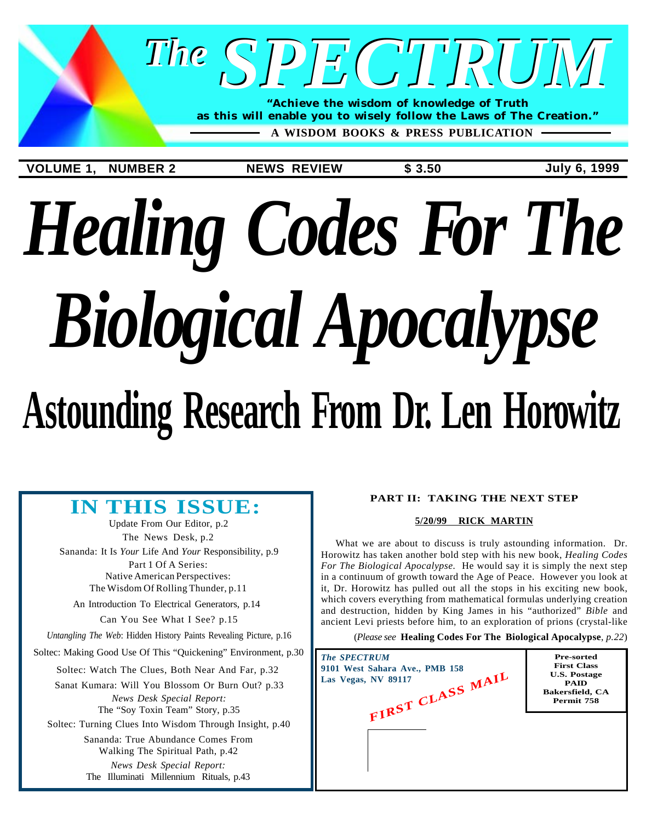

**A WISDOM BOOKS & PRESS PUBLICATION**

**VOLUME 1, NUMBER 2 NEWS REVIEW \$ 3.50 July 6, 1999**

# *Healing Codes For The Biological Apocalypse*

## **Astounding Research From Dr. Len Horowitz**

### **IN THIS ISSUE:**

[Update From Our Editor, p.2](#page-1-0) [The News Desk, p.2](#page-1-0) Sananda: It Is *Your* Life And *Your* [Responsibility, p.9](#page-8-0) Part 1 Of A Series: Native American Perspectives:

[The Wisdom Of Rolling Thunder, p.11](#page-10-0)

[An Introduction To Electrical Generators, p.14](#page-13-0) [Can You See What I See? p.15](#page-14-0)

*Untangling The Web*[: Hidden History Paints Revealing Picture, p.16](#page-15-0)

[Soltec: Making Good Use Of This "Quickening" Environment, p.30](#page-29-0)

[Soltec: Watch The Clues, Both Near And Far, p.32](#page-31-0)

[Sanat Kumara: Will You Blossom Or Burn Out? p.33](#page-32-0) *News Desk Special Report:* [The "Soy Toxin Team" Story, p.35](#page-34-0)

[Soltec: Turning Clues Into Wisdom Through Insight, p.40](#page-39-0)

*News Desk Special Report:* [The Illuminati Millennium Rituals, p.43](#page-42-0) [Sananda: True Abundance Comes From](#page-41-0) Walking The Spiritual Path, p.42

#### **PART II: TAKING THE NEXT STEP**

#### **5/20/99 RICK MARTIN**

What we are about to discuss is truly astounding information. Dr. Horowitz has taken another bold step with his new book, *Healing Codes For The Biological Apocalypse.* He would say it is simply the next step in a continuum of growth toward the Age of Peace. However you look at it, Dr. Horowitz has pulled out all the stops in his exciting new book, which covers everything from mathematical formulas underlying creation and destruction, hidden by King James in his "authorized" *Bible* and ancient Levi priests before him, to an exploration of prions (crystal-like

(*Please see* **[Healing Codes For The Biological Apocalypse](#page-21-0)**, *p.22*)

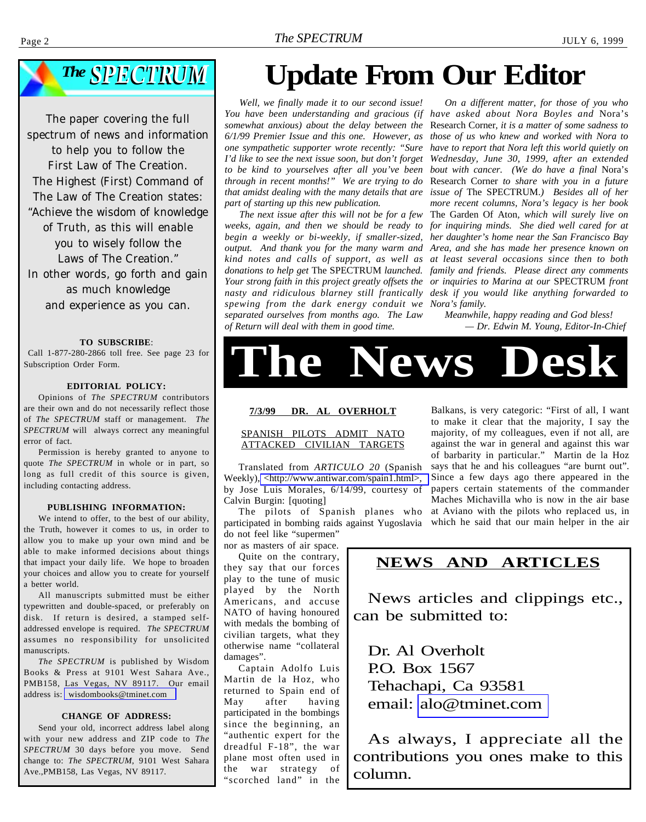#### <span id="page-1-0"></span>Page 2 *The SPECTRUM* JULY 6, 1999



The paper covering the full spectrum of news and information to help you to follow the First Law of The Creation. The Highest (First) Command of The Law of The Creation states: "Achieve the wisdom of knowledge of Truth, as this will enable you to wisely follow the Laws of The Creation." In other words, go forth and gain as much knowledge and experience as you can.

#### **TO SUBSCRIBE**:

 Call 1-877-280-2866 toll free. See page 23 for Subscription Order Form.

#### **EDITORIAL POLICY:**

Opinions of *The SPECTRUM* contributors are their own and do not necessarily reflect those of *The SPECTRUM* staff or management. *The SPECTRUM* will always correct any meaningful error of fact.

Permission is hereby granted to anyone to quote *The SPECTRUM* in whole or in part, so long as full credit of this source is given, including contacting address.

#### **PUBLISHING INFORMATION:**

We intend to offer, to the best of our ability, the Truth, however it comes to us, in order to allow you to make up your own mind and be able to make informed decisions about things that impact your daily life. We hope to broaden your choices and allow you to create for yourself a better world.

All manuscripts submitted must be either typewritten and double-spaced, or preferably on disk. If return is desired, a stamped selfaddressed envelope is required. *The SPECTRUM* assumes no responsibility for unsolicited manuscripts.

*The SPECTRUM* is published by Wisdom Books & Press at 9101 West Sahara Ave., PMB158, Las Vegas, NV 89117. Our email address is: [wisdombooks@tminet.com](mailto:wisdombooks@tminet.com)

#### **CHANGE OF ADDRESS:**

Send your old, incorrect address label along with your new address and ZIP code to *The SPECTRUM* 30 days before you move. Send change to: *The SPECTRUM*, 9101 West Sahara Ave.,PMB158, Las Vegas, NV 89117.

### **Update From Our Editor**

*Well, we finally made it to our second issue! somewhat anxious) about the delay between the 6/1/99 Premier Issue and this one. However, as one sympathetic supporter wrote recently: "Sure I'd like to see the next issue soon, but don't forget to be kind to yourselves after all you've been through in recent months!" We are trying to do that amidst dealing with the many details that are part of starting up this new publication.*

*The next issue after this will not be for a few weeks, again, and then we should be ready to begin a weekly or bi-weekly, if smaller-sized, output. And thank you for the many warm and kind notes and calls of support, as well as donations to help get* The SPECTRUM *launched. nasty and ridiculous blarney still frantically spewing from the dark energy conduit we separated ourselves from months ago. The Law of Return will deal with them in good time.*

You have been understanding and gracious (if have asked about Nora Boyles and Nora's *Your strong faith in this project greatly offsets the or inquiries to Marina at our* SPECTRUM *front On a different matter, for those of you who* Research Corner*, it is a matter of some sadness to those of us who knew and worked with Nora to have to report that Nora left this world quietly on Wednesday, June 30, 1999, after an extended bout with cancer. (We do have a final* Nora's Research Corner *to share with you in a future issue of* The SPECTRUM.*) Besides all of her more recent columns, Nora's legacy is her book* The Garden Of Aton*, which will surely live on for inquiring minds. She died well cared for at her daughter's home near the San Francisco Bay Area, and she has made her presence known on at least several occasions since then to both family and friends. Please direct any comments desk if you would like anything forwarded to Nora's family.*

*Meanwhile, happy reading and God bless! — Dr. Edwin M. Young, Editor-In-Chief*



#### **7/3/99 DR. AL OVERHOLT**

#### SPANISH PILOTS ADMIT NATO ATTACKED CIVILIAN TARGETS

Translated from *ARTICULO 20* (Spanish Weekly), [<http://www.antiwar.com/spain1.html>,](http://www.antiwar.com/spain1.html) by Jose Luis Morales, 6/14/99, courtesy of Calvin Burgin: [quoting]

The pilots of Spanish planes who participated in bombing raids against Yugoslavia which he said that our main helper in the air do not feel like "supermen"

nor as masters of air space.

Quite on the contrary, they say that our forces play to the tune of music played by the North Americans, and accuse NATO of having honoured with medals the bombing of civilian targets, what they otherwise name "collateral damages".

Captain Adolfo Luis Martin de la Hoz, who returned to Spain end of May after having participated in the bombings since the beginning, an "authentic expert for the dreadful F-18", the war plane most often used in the war strategy of "scorched land" in the

Balkans, is very categoric: "First of all, I want to make it clear that the majority, I say the majority, of my colleagues, even if not all, are against the war in general and against this war of barbarity in particular." Martin de la Hoz says that he and his colleagues "are burnt out". Since a few days ago there appeared in the papers certain statements of the commander Maches Michavilla who is now in the air base at Aviano with the pilots who replaced us, in

#### **NEWS AND ARTICLES**

News articles and clippings etc., can be submitted to:

Dr. Al Overholt P.O. Box 1567 Tehachapi, Ca 93581 email: [alo@tminet.com](mailto:alo@tminet.com)

As always, I appreciate all the contributions you ones make to this column.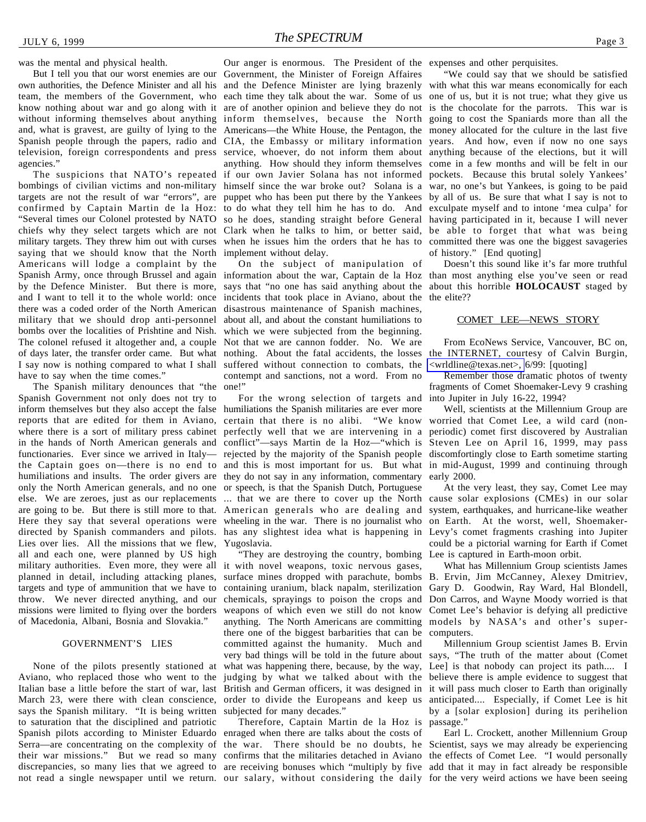own authorities, the Defence Minister and all his team, the members of the Government, who know nothing about war and go along with it without informing themselves about anything inform themselves, because the North going to cost the Spaniards more than all the and, what is gravest, are guilty of lying to the Americans—the White House, the Pentagon, the money allocated for the culture in the last five Spanish people through the papers, radio and CIA, the Embassy or military information years. And how, even if now no one says television, foreign correspondents and press agencies."

The suspicions that NATO's repeated bombings of civilian victims and non-military targets are not the result of war "errors", are confirmed by Captain Martin de la Hoz: to do what they tell him he has to do. And exculpate myself and to intone 'mea culpa' for "Several times our Colonel protested by NATO chiefs why they select targets which are not Clark when he talks to him, or better said, be able to forget that what was being military targets. They threw him out with curses saying that we should know that the North implement without delay. Americans will lodge a complaint by the Spanish Army, once through Brussel and again information about the war, Captain de la Hoz than most anything else you've seen or read by the Defence Minister. But there is more, says that "no one has said anything about the about this horrible **HOLOCAUST** staged by and I want to tell it to the whole world: once incidents that took place in Aviano, about the the elite?? there was a coded order of the North American disastrous maintenance of Spanish machines, military that we should drop anti-personnel bombs over the localities of Prishtine and Nish. The colonel refused it altogether and, a couple Not that we are cannon fodder. No. We are of days later, the transfer order came. But what nothing. About the fatal accidents, the losses the INTERNET, courtesy of Calvin Burgin, I say now is nothing compared to what I shall suffered without connection to combats, the have to say when the time comes."

The Spanish military denounces that "the Spanish Government not only does not try to inform themselves but they also accept the false humiliations the Spanish militaries are ever more reports that are edited for them in Aviano, where there is a sort of military press cabinet perfectly well that we are intervening in a in the hands of North American generals and functionaries. Ever since we arrived in Italy the Captain goes on—there is no end to humiliations and insults. The order givers are only the North American generals, and no one else. We are zeroes, just as our replacements are going to be. But there is still more to that. Here they say that several operations were directed by Spanish commanders and pilots. Lies over lies. All the missions that we flew, all and each one, were planned by US high military authorities. Even more, they were all planned in detail, including attacking planes, targets and type of ammunition that we have to throw. We never directed anything, and our missions were limited to flying over the borders of Macedonia, Albani, Bosnia and Slovakia."

#### GOVERNMENT'S LIES

None of the pilots presently stationed at Aviano, who replaced those who went to the says the Spanish military. "It is being written subjected for many decades." to saturation that the disciplined and patriotic Spanish pilots according to Minister Eduardo enraged when there are talks about the costs of Serra—are concentrating on the complexity of the war. There should be no doubts, he Scientist, says we may already be experiencing their war missions." But we read so many confirms that the militaries detached in Aviano the effects of Comet Lee. "I would personally discrepancies, so many lies that we agreed to are receiving bonuses which "multiply by five add that it may in fact already be responsible not read a single newspaper until we return. our salary, without considering the daily for the very weird actions we have been seeing

But I tell you that our worst enemies are our Government, the Minister of Foreign Affaires Our anger is enormous. The President of the expenses and other perquisites. and the Defence Minister are lying brazenly with what this war means economically for each each time they talk about the war. Some of us one of us, but it is not true; what they give us are of another opinion and believe they do not is the chocolate for the parrots. This war is service, whoever, do not inform them about anything because of the elections, but it will anything. How should they inform themselves come in a few months and will be felt in our if our own Javier Solana has not informed pockets. Because this brutal solely Yankees' himself since the war broke out? Solana is a war, no one's but Yankees, is going to be paid puppet who has been put there by the Yankees by all of us. Be sure that what I say is not to so he does, standing straight before General having participated in it, because I will never when he issues him the orders that he has to committed there was one the biggest savageries

> On the subject of manipulation of about all, and about the constant humiliations to which we were subjected from the beginning. contempt and sanctions, not a word. From no one!"

For the wrong selection of targets and certain that there is no alibi. "We know conflict"—says Martin de la Hoz—"which is rejected by the majority of the Spanish people discomfortingly close to Earth sometime starting and this is most important for us. But what in mid-August, 1999 and continuing through they do not say in any information, commentary or speech, is that the Spanish Dutch, Portuguese ... that we are there to cover up the North American generals who are dealing and wheeling in the war. There is no journalist who has any slightest idea what is happening in Yugoslavia.

Italian base a little before the start of war, last British and German officers, it was designed in it will pass much closer to Earth than originally March 23, were there with clean conscience, order to divide the Europeans and keep us anticipated.... Especially, if Comet Lee is hit "They are destroying the country, bombing it with novel weapons, toxic nervous gases, surface mines dropped with parachute, bombs B. Ervin, Jim McCanney, Alexey Dmitriev, containing uranium, black napalm, sterilization chemicals, sprayings to poison the crops and weapons of which even we still do not know anything. The North Americans are committing there one of the biggest barbarities that can be committed against the humanity. Much and very bad things will be told in the future about what was happening there, because, by the way, judging by what we talked about with the believe there is ample evidence to suggest that

Therefore, Captain Martin de la Hoz is

"We could say that we should be satisfied of history." [End quoting]

Doesn't this sound like it's far more truthful

#### COMET LEE—NEWS STORY

From EcoNews Service, Vancouver, BC on, [<wrldline@texas.net>,](mailto:wrldline@texas.net) 6/99: [quoting]

Remember those dramatic photos of twenty fragments of Comet Shoemaker-Levy 9 crashing into Jupiter in July 16-22, 1994?

Well, scientists at the Millennium Group are worried that Comet Lee, a wild card (nonperiodic) comet first discovered by Australian Steven Lee on April 16, 1999, may pass early 2000.

At the very least, they say, Comet Lee may cause solar explosions (CMEs) in our solar system, earthquakes, and hurricane-like weather on Earth. At the worst, well, Shoemaker-Levy's comet fragments crashing into Jupiter could be a pictorial warning for Earth if Comet Lee is captured in Earth-moon orbit.

What has Millennium Group scientists James Gary D. Goodwin, Ray Ward, Hal Blondell, Don Carros, and Wayne Moody worried is that Comet Lee's behavior is defying all predictive models by NASA's and other's supercomputers.

Millennium Group scientist James B. Ervin says, "The truth of the matter about (Comet Lee] is that nobody can project its path.... I by a [solar explosion] during its perihelion passage."

Earl L. Crockett, another Millennium Group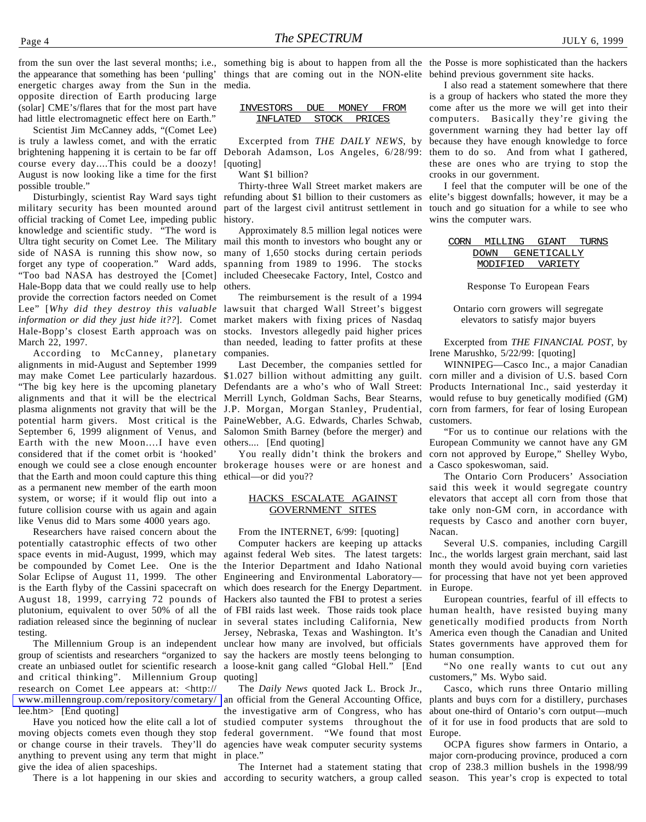from the sun over the last several months; i.e., something big is about to happen from all the the Posse is more sophisticated than the hackers the appearance that something has been 'pulling' things that are coming out in the NON-elite behind previous government site hacks. energetic charges away from the Sun in the media. opposite direction of Earth producing large (solar] CME's/flares that for the most part have had little electromagnetic effect here on Earth."

Scientist Jim McCanney adds, "(Comet Lee) is truly a lawless comet, and with the erratic brightening happening it is certain to be far off Deborah Adamson, Los Angeles, 6/28/99: course every day....This could be a doozy! August is now looking like a time for the first possible trouble."

military security has been mounted around official tracking of Comet Lee, impeding public knowledge and scientific study. "The word is Ultra tight security on Comet Lee. The Military side of NASA is running this show now, so forget any type of cooperation." Ward adds, "Too bad NASA has destroyed the [Comet] Hale-Bopp data that we could really use to help provide the correction factors needed on Comet Lee" [*Why did they destroy this valuable* lawsuit that charged Wall Street's biggest *information or did they just hide it??*]. Comet market makers with fixing prices of Nasdaq Hale-Bopp's closest Earth approach was on March 22, 1997.

According to McCanney, planetary alignments in mid-August and September 1999 may make Comet Lee particularly hazardous. \$1.027 billion without admitting any guilt. "The big key here is the upcoming planetary alignments and that it will be the electrical plasma alignments not gravity that will be the potential harm givers. Most critical is the PaineWebber, A.G. Edwards, Charles Schwab, September 6, 1999 alignment of Venus, and Earth with the new Moon....I have even considered that if the comet orbit is 'hooked' that the Earth and moon could capture this thing as a permanent new member of the earth moon system, or worse; if it would flip out into a future collision course with us again and again like Venus did to Mars some 4000 years ago.

Researchers have raised concern about the potentially catastrophic effects of two other space events in mid-August, 1999, which may be compounded by Comet Lee. One is the Solar Eclipse of August 11, 1999. The other is the Earth flyby of the Cassini spacecraft on August 18, 1999, carrying 72 pounds of plutonium, equivalent to over 50% of all the radiation released since the beginning of nuclear in several states including California, New testing.

The Millennium Group is an independent group of scientists and researchers "organized to create an unbiased outlet for scientific research a loose-knit gang called "Global Hell." [End and critical thinking". Millennium Group research on Comet Lee appears at: <http:// [www.millenngroup.com/repository/cometary/](http://www.millenngroup.com/repository/cometary/lee.htm) lee.htm> [End quoting]

Have you noticed how the elite call a lot of moving objects comets even though they stop federal government. "We found that most or change course in their travels. They'll do agencies have weak computer security systems anything to prevent using any term that might in place." give the idea of alien spaceships.

| "VESTORS<br>$\mathbf{I}$ |               | )NIF Y     |  |
|--------------------------|---------------|------------|--|
| וו איוים. וי             | <b>CITOOK</b> | טיםי זו שנ |  |

Excerpted from *THE DAILY NEWS*, by [quoting]

Want \$1 billion?

Disturbingly, scientist Ray Ward says tight refunding about \$1 billion to their customers as Thirty-three Wall Street market makers are part of the largest civil antitrust settlement in history.

> Approximately 8.5 million legal notices were mail this month to investors who bought any or many of 1,650 stocks during certain periods spanning from 1989 to 1996. The stocks included Cheesecake Factory, Intel, Costco and others.

> The reimbursement is the result of a 1994 stocks. Investors allegedly paid higher prices than needed, leading to fatter profits at these companies.

> Last December, the companies settled for Defendants are a who's who of Wall Street: Merrill Lynch, Goldman Sachs, Bear Stearns, J.P. Morgan, Morgan Stanley, Prudential, Salomon Smith Barney (before the merger) and others.... [End quoting]

enough we could see a close enough encounter brokerage houses were or are honest and a Casco spokeswoman, said. ethical—or did you??

#### HACKS ESCALATE AGAINST GOVERNMENT SITES

From the INTERNET, 6/99: [quoting]

Computer hackers are keeping up attacks against federal Web sites. The latest targets: the Interior Department and Idaho National Engineering and Environmental Laboratory which does research for the Energy Department. Hackers also taunted the FBI to protest a series of FBI raids last week. Those raids took place Jersey, Nebraska, Texas and Washington. It's unclear how many are involved, but officials say the hackers are mostly teens belonging to quoting]

The *Daily News* quoted Jack L. Brock Jr., an official from the General Accounting Office, the investigative arm of Congress, who has about one-third of Ontario's corn output—much studied computer systems throughout the

I also read a statement somewhere that there is a group of hackers who stated the more they come after us the more we will get into their computers. Basically they're giving the government warning they had better lay off because they have enough knowledge to force them to do so. And from what I gathered, these are ones who are trying to stop the crooks in our government.

I feel that the computer will be one of the elite's biggest downfalls; however, it may be a touch and go situation for a while to see who wins the computer wars.

| CORN | MTT.T.TNG | GIANT       | TURNS |
|------|-----------|-------------|-------|
|      | DOWN      | GENETICALLY |       |
|      | MODIFIED  | VARTETY     |       |

Response To European Fears

Ontario corn growers will segregate elevators to satisfy major buyers

Excerpted from *THE FINANCIAL POST*, by Irene Marushko, 5/22/99: [quoting]

WINNIPEG—Casco Inc., a major Canadian corn miller and a division of U.S. based Corn Products International Inc., said yesterday it would refuse to buy genetically modified (GM) corn from farmers, for fear of losing European customers.

You really didn't think the brokers and corn not approved by Europe," Shelley Wybo, "For us to continue our relations with the European Community we cannot have any GM

> The Ontario Corn Producers' Association said this week it would segregate country elevators that accept all corn from those that take only non-GM corn, in accordance with requests by Casco and another corn buyer, Nacan.

> Several U.S. companies, including Cargill Inc., the worlds largest grain merchant, said last month they would avoid buying corn varieties for processing that have not yet been approved in Europe.

> European countries, fearful of ill effects to human health, have resisted buying many genetically modified products from North America even though the Canadian and United States governments have approved them for human consumption.

> "No one really wants to cut out any customers," Ms. Wybo said.

> Casco, which runs three Ontario milling plants and buys corn for a distillery, purchases of it for use in food products that are sold to Europe.

There is a lot happening in our skies and according to security watchers, a group called season. This year's crop is expected to total The Internet had a statement stating that crop of 238.3 million bushels in the 1998/99 OCPA figures show farmers in Ontario, a major corn-producing province, produced a corn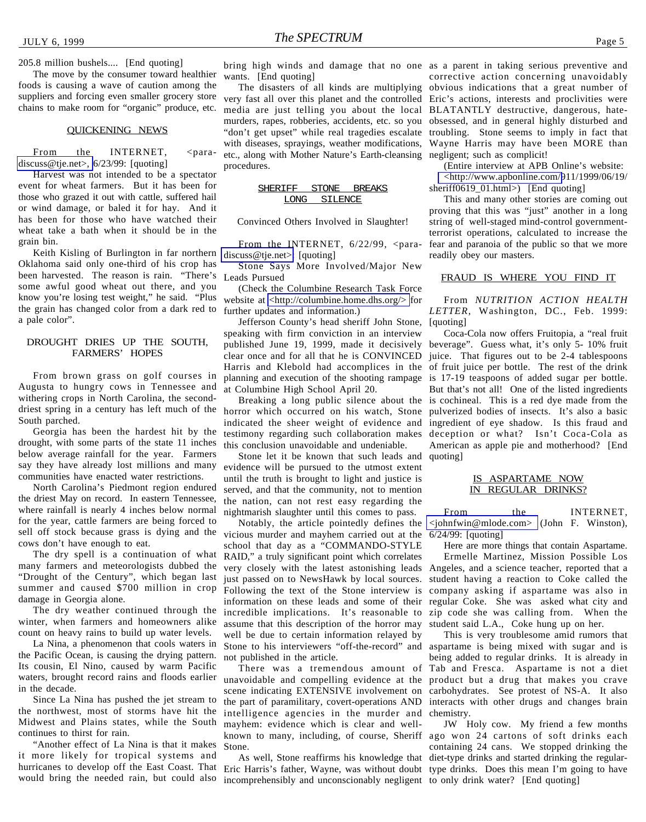205.8 million bushels.... [End quoting]

The move by the consumer toward healthier foods is causing a wave of caution among the suppliers and forcing even smaller grocery store chains to make room for "organic" produce, etc.

#### QUICKENING NEWS

From the INTERNET, <para[discuss@tje.net>,](mailto:para-discuss@tje.net) 6/23/99: [quoting]

Harvest was not intended to be a spectator event for wheat farmers. But it has been for those who grazed it out with cattle, suffered hail or wind damage, or baled it for hay. And it has been for those who have watched their wheat take a bath when it should be in the grain bin.

Keith Kisling of Burlington in far northern [discuss@tje.net>:](mailto:para-discuss@tje.net) [quoting] Oklahoma said only one-third of his crop has been harvested. The reason is rain. "There's some awful good wheat out there, and you know you're losing test weight," he said. "Plus the grain has changed color from a dark red to a pale color".

#### DROUGHT DRIES UP THE SOUTH, FARMERS' HOPES

From brown grass on golf courses in Augusta to hungry cows in Tennessee and withering crops in North Carolina, the seconddriest spring in a century has left much of the horror which occurred on his watch, Stone South parched.

Georgia has been the hardest hit by the drought, with some parts of the state 11 inches below average rainfall for the year. Farmers say they have already lost millions and many communities have enacted water restrictions.

North Carolina's Piedmont region endured the driest May on record. In eastern Tennessee, where rainfall is nearly 4 inches below normal for the year, cattle farmers are being forced to sell off stock because grass is dying and the cows don't have enough to eat.

The dry spell is a continuation of what many farmers and meteorologists dubbed the "Drought of the Century", which began last summer and caused \$700 million in crop damage in Georgia alone.

The dry weather continued through the winter, when farmers and homeowners alike count on heavy rains to build up water levels.

La Nina, a phenomenon that cools waters in the Pacific Ocean, is causing the drying pattern. Its cousin, El Nino, caused by warm Pacific waters, brought record rains and floods earlier in the decade.

Since La Nina has pushed the jet stream to the northwest, most of storms have hit the Midwest and Plains states, while the South continues to thirst for rain.

"Another effect of La Nina is that it makes it more likely for tropical systems and hurricanes to develop off the East Coast. That would bring the needed rain, but could also

wants. [End quoting]

The disasters of all kinds are multiplying very fast all over this planet and the controlled Eric's actions, interests and proclivities were media are just telling you about the local BLATANTLY destructive, dangerous, hatemurders, rapes, robberies, accidents, etc. so you obsessed, and in general highly disturbed and "don't get upset" while real tragedies escalate troubling. Stone seems to imply in fact that with diseases, sprayings, weather modifications, etc., along with Mother Nature's Earth-cleansing negligent; such as complicit! procedures.

SHERIFF STONE BREAKS LONG SILENCE

#### Convinced Others Involved in Slaughter!

From the INTERNET,  $6/22/99$ ,  $\epsilon$ para-

Stone Says More Involved/Major New Leads Pursued

(Check the Columbine Research Task Force website at [<http://columbine.home.dhs.org/>](http://www.columbine.home.dhs.org) for further updates and information.)

Jefferson County's head sheriff John Stone, speaking with firm conviction in an interview published June 19, 1999, made it decisively clear once and for all that he is CONVINCED Harris and Klebold had accomplices in the planning and execution of the shooting rampage at Columbine High School April 20.

indicated the sheer weight of evidence and testimony regarding such collaboration makes this conclusion unavoidable and undeniable.

Stone let it be known that such leads and evidence will be pursued to the utmost extent until the truth is brought to light and justice is served, and that the community, not to mention the nation, can not rest easy regarding the nightmarish slaughter until this comes to pass.

vicious murder and mayhem carried out at the 6/24/99: [quoting] school that day as a "COMMANDO-STYLE RAID," a truly significant point which correlates very closely with the latest astonishing leads Angeles, and a science teacher, reported that a just passed on to NewsHawk by local sources. Following the text of the Stone interview is company asking if aspartame was also in information on these leads and some of their regular Coke. She was asked what city and incredible implications. It's reasonable to assume that this description of the horror may well be due to certain information relayed by Stone to his interviewers "off-the-record" and not published in the article.

There was a tremendous amount of unavoidable and compelling evidence at the scene indicating EXTENSIVE involvement on the part of paramilitary, covert-operations AND intelligence agencies in the murder and mayhem: evidence which is clear and wellknown to many, including, of course, Sheriff ago won 24 cartons of soft drinks each Stone.

incomprehensibly and unconscionably negligent to only drink water? [End quoting]

bring high winds and damage that no one as a parent in taking serious preventive and corrective action concerning unavoidably obvious indications that a great number of Wayne Harris may have been MORE than

> (Entire interview at APB Online's website: [<http://www.apbonline.com/9](http://www.apbonline.com)11/1999/06/19/ sheriff0619\_01.html>) [End quoting]

> This and many other stories are coming out proving that this was "just" another in a long string of well-staged mind-control governmentterrorist operations, calculated to increase the fear and paranoia of the public so that we more readily obey our masters.

#### FRAUD IS WHERE YOU FIND IT

From *NUTRITION ACTION HEALTH LETTER*, Washington, DC., Feb. 1999: [quoting]

Breaking a long public silence about the is cochineal. This is a red dye made from the Coca-Cola now offers Fruitopia, a "real fruit beverage". Guess what, it's only 5- 10% fruit juice. That figures out to be 2-4 tablespoons of fruit juice per bottle. The rest of the drink is 17-19 teaspoons of added sugar per bottle. But that's not all! One of the listed ingredients pulverized bodies of insects. It's also a basic ingredient of eye shadow. Is this fraud and deception or what? Isn't Coca-Cola as American as apple pie and motherhood?[End quoting]

#### IS ASPARTAME NOW IN REGULAR DRINKS?

Notably, the article pointedly defines the [<johnfwin@mlode.com>](mailto:johnfwin@mlode.com) (John F. Winston), From the INTERNET,

Here are more things that contain Aspartame. Ermelle Martinez, Mission Possible Los student having a reaction to Coke called the zip code she was calling from. When the student said L.A., Coke hung up on her.

This is very troublesome amid rumors that aspartame is being mixed with sugar and is being added to regular drinks. It is already in Tab and Fresca. Aspartame is not a diet product but a drug that makes you crave carbohydrates. See protest of NS-A. It also interacts with other drugs and changes brain chemistry.

As well, Stone reaffirms his knowledge that diet-type drinks and started drinking the regular-Eric Harris's father, Wayne, was without doubt type drinks. Does this mean I'm going to have JW Holy cow. My friend a few months containing 24 cans. We stopped drinking the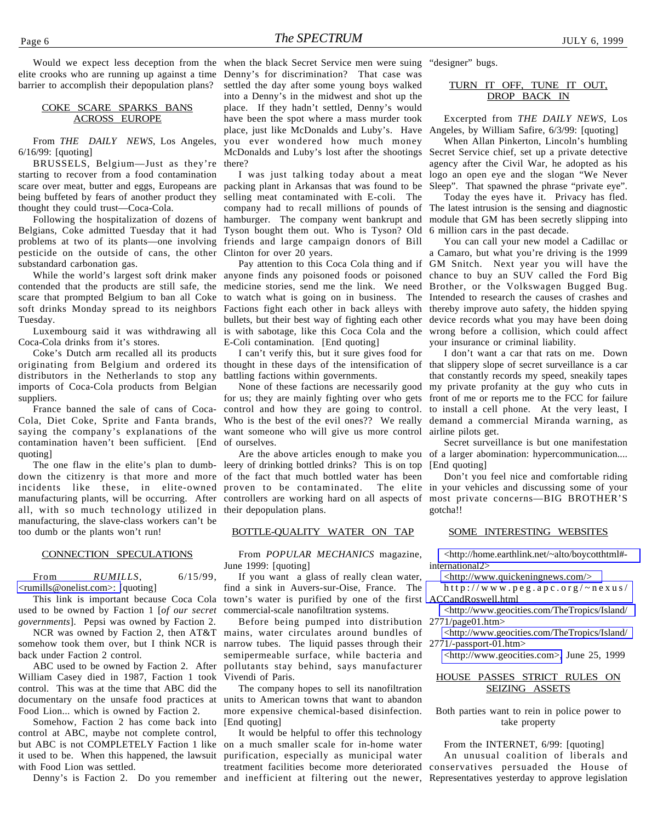elite crooks who are running up against a time barrier to accomplish their depopulation plans?

#### COKE SCARE SPARKS BANS ACROSS EUROPE

From *THE DAILY NEWS*, Los Angeles, 6/16/99: [quoting]

BRUSSELS, Belgium—Just as they're starting to recover from a food contamination scare over meat, butter and eggs, Europeans are being buffeted by fears of another product they thought they could trust—Coca-Cola.

Following the hospitalization of dozens of Belgians, Coke admitted Tuesday that it had Tyson bought them out. Who is Tyson? Old problems at two of its plants—one involving friends and large campaign donors of Bill pesticide on the outside of cans, the other Clinton for over 20 years. substandard carbonation gas.

contended that the products are still safe, the medicine stories, send me the link. We need Brother, or the Volkswagen Bugged Bug. scare that prompted Belgium to ban all Coke to watch what is going on in business. The Intended to research the causes of crashes and soft drinks Monday spread to its neighbors Tuesday.

Luxembourg said it was withdrawing all Coca-Cola drinks from it's stores.

Coke's Dutch arm recalled all its products originating from Belgium and ordered its thought in these days of the intensification of that slippery slope of secret surveillance is a car distributors in the Netherlands to stop any imports of Coca-Cola products from Belgian suppliers.

Cola, Diet Coke, Sprite and Fanta brands, saying the company's explanations of the want someone who will give us more control airline pilots get. contamination haven't been sufficient. [End of ourselves. quoting]

down the citizenry is that more and more of the fact that much bottled water has been incidents like these, in elite-owned manufacturing plants, will be occurring. After all, with so much technology utilized in their depopulation plans. manufacturing, the slave-class workers can't be too dumb or the plants won't run!

#### CONNECTION SPECULATIONS

From *RUMILLS*, 6/15/99, [<rumills@onelist.com>: \[](mailto:rumills@onelist.com)quoting]

This link is important because Coca Cola used to be owned by Faction 1 [*of our secret governments*]. Pepsi was owned by Faction 2.

NCR was owned by Faction 2, then AT&T somehow took them over, but I think NCR is back under Faction 2 control.

ABC used to be owned by Faction 2. After William Casey died in 1987, Faction 1 took control. This was at the time that ABC did the documentary on the unsafe food practices at Food Lion... which is owned by Faction 2.

Somehow, Faction 2 has come back into control at ABC, maybe not complete control, but ABC is not COMPLETELY Faction 1 like on a much smaller scale for in-home water it used to be. When this happened, the lawsuit with Food Lion was settled.

Would we expect less deception from the when the black Secret Service men were suing "designer" bugs. Denny's for discrimination? That case was settled the day after some young boys walked into a Denny's in the midwest and shot up the place. If they hadn't settled, Denny's would have been the spot where a mass murder took place, just like McDonalds and Luby's. Have you ever wondered how much money McDonalds and Luby's lost after the shootings there?

> I was just talking today about a meat packing plant in Arkansas that was found to be selling meat contaminated with E-coli. The company had to recall millions of pounds of The latest intrusion is the sensing and diagnostic hamburger. The company went bankrupt and

While the world's largest soft drink maker anyone finds any poisoned foods or poisoned chance to buy an SUV called the Ford Big Factions fight each other in back alleys with thereby improve auto safety, the hidden spying bullets, but their best way of fighting each other device records what you may have been doing is with sabotage, like this Coca Cola and the wrong before a collision, which could affect E-Coli contamination. [End quoting]

> I can't verify this, but it sure gives food for battling factions within governments.

France banned the sale of cans of Coca- control and how they are going to control. to install a cell phone. At the very least, I for us; they are mainly fighting over who gets Who is the best of the evil ones?? We really demand a commercial Miranda warning, as

The one flaw in the elite's plan to dumb- leery of drinking bottled drinks? This is on top proven to be contaminated. controllers are working hard on all aspects of

#### BOTTLE-QUALITY WATER ON TAP

From *POPULAR MECHANICS* magazine, June 1999: [quoting]

If you want a glass of really clean water, find a sink in Auvers-sur-Oise, France. The town's water is purified by one of the first commercial-scale nanofiltration systems.

Before being pumped into distribution mains, water circulates around bundles of narrow tubes. The liquid passes through their semipermeable surface, while bacteria and pollutants stay behind, says manufacturer Vivendi of Paris.

The company hopes to sell its nanofiltration units to American towns that want to abandon more expensive chemical-based disinfection. [End quoting]

Denny's is Faction 2. Do you remember and inefficient at filtering out the newer, Representatives yesterday to approve legislation It would be helpful to offer this technology purification, especially as municipal water treatment facilities become more deteriorated

#### TURN IT OFF, TUNE IT OUT, DROP BACK IN

Excerpted from *THE DAILY NEWS*, Los Angeles, by William Safire, 6/3/99: [quoting]

When Allan Pinkerton, Lincoln's humbling Secret Service chief, set up a private detective agency after the Civil War, he adopted as his logo an open eye and the slogan "We Never Sleep". That spawned the phrase "private eye".

Today the eyes have it. Privacy has fled. module that GM has been secretly slipping into 6 million cars in the past decade.

Pay attention to this Coca Cola thing and if GM Snitch. Next year you will have the You can call your new model a Cadillac or a Camaro, but what you're driving is the 1999 your insurance or criminal liability.

None of these factions are necessarily good my private profanity at the guy who cuts in I don't want a car that rats on me. Down that constantly records my speed, sneakily tapes front of me or reports me to the FCC for failure

Are the above articles enough to make you of a larger abomination: hypercommunication.... Secret surveillance is but one manifestation [End quoting]

> Don't you feel nice and comfortable riding The elite in your vehicles and discussing some of your most private concerns—BIG BROTHER'S gotcha!!

#### SOME INTERESTING WEBSITES

[<http://home.earthlink.net/~alto/boycotthtml#](http://www.home.earthlink.net/!alto/boycotthtml#-international2) international2>

[<http://www.quickeningnews.com/>](http://www.quickeningnews.com)

[http://www.peg.apc.org/~nexus/](http://www.peg.apc.org/~nexus/ACCandRoswell.html) ACCandRoswell.html

[<http://www.geocities.com/TheTropics/Island/](http://www.geocities.com/TheTropics/Island/2771/-page-01.htm)  $2771/page01.htm$ 

[<http://www.geocities.com/TheTropics/Island/](http://www.geocities.com/TheTropics/Island/2771/-passport-01.htm) 2771/-passport-01.htm>

[<http://www.geocities.com>,](http://www.geocities.com) June 25, 1999

#### HOUSE PASSES STRICT RULES ON SEIZING ASSETS

Both parties want to rein in police power to take property

From the INTERNET, 6/99: [quoting]

An unusual coalition of liberals and conservatives persuaded the House of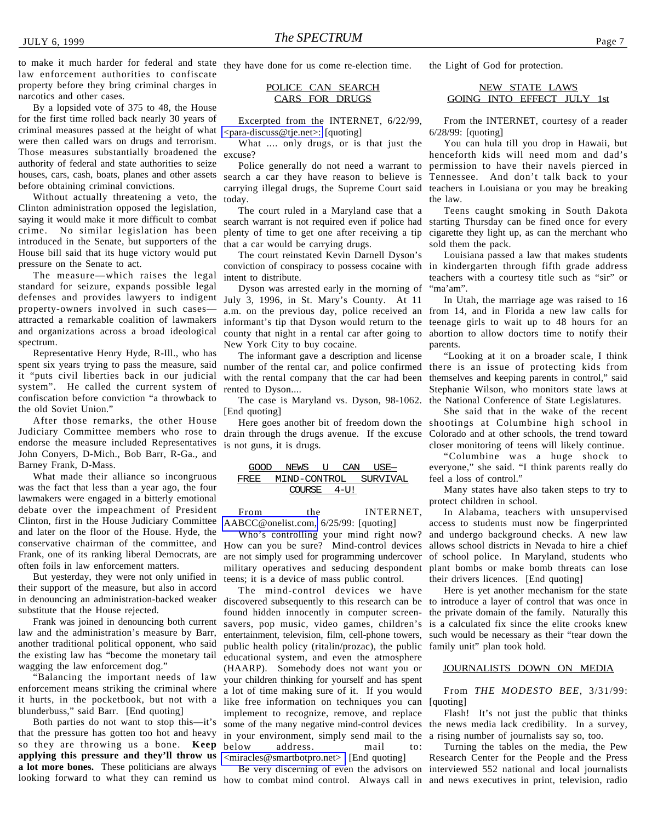to make it much harder for federal and state they have done for us come re-election time. law enforcement authorities to confiscate property before they bring criminal charges in narcotics and other cases.

By a lopsided vote of 375 to 48, the House for the first time rolled back nearly 30 years of criminal measures passed at the height of what were then called wars on drugs and terrorism. Those measures substantially broadened the authority of federal and state authorities to seize houses, cars, cash, boats, planes and other assets before obtaining criminal convictions.

Without actually threatening a veto, the Clinton administration opposed the legislation, saying it would make it more difficult to combat crime. No similar legislation has been introduced in the Senate, but supporters of the House bill said that its huge victory would put pressure on the Senate to act.

The measure—which raises the legal standard for seizure, expands possible legal defenses and provides lawyers to indigent July 3, 1996, in St. Mary's County. At 11 property-owners involved in such cases attracted a remarkable coalition of lawmakers and organizations across a broad ideological spectrum.

Representative Henry Hyde, R-Ill., who has spent six years trying to pass the measure, said it "puts civil liberties back in our judicial system". He called the current system of confiscation before conviction "a throwback to the old Soviet Union."

After those remarks, the other House Judiciary Committee members who rose to endorse the measure included Representatives John Conyers, D-Mich., Bob Barr, R-Ga., and Barney Frank, D-Mass.

What made their alliance so incongruous was the fact that less than a year ago, the four lawmakers were engaged in a bitterly emotional debate over the impeachment of President Clinton, first in the House Judiciary Committee and later on the floor of the House. Hyde, the conservative chairman of the committee, and Frank, one of its ranking liberal Democrats, are often foils in law enforcement matters.

But yesterday, they were not only unified in their support of the measure, but also in accord in denouncing an administration-backed weaker substitute that the House rejected.

Frank was joined in denouncing both current law and the administration's measure by Barr, another traditional political opponent, who said the existing law has "become the monetary tail wagging the law enforcement dog."

"Balancing the important needs of law enforcement means striking the criminal where it hurts, in the pocketbook, but not with a blunderbuss," said Barr. [End quoting]

Both parties do not want to stop this—it's that the pressure has gotten too hot and heavy so they are throwing us a bone. **Keep applying this pressure and they'll throw us a lot more bones.** These politicians are always

POLICE CAN SEARCH CARS FOR DRUGS

Excerpted from the INTERNET, 6/22/99, [<para-discuss@tje.net>:](para-discuss@tje.net) [quoting]

What .... only drugs, or is that just the excuse?

Police generally do not need a warrant to search a car they have reason to believe is Tennessee. And don't talk back to your carrying illegal drugs, the Supreme Court said teachers in Louisiana or you may be breaking today.

The court ruled in a Maryland case that a plenty of time to get one after receiving a tip that a car would be carrying drugs.

The court reinstated Kevin Darnell Dyson's conviction of conspiracy to possess cocaine with in kindergarten through fifth grade address intent to distribute.

Dyson was arrested early in the morning of a.m. on the previous day, police received an informant's tip that Dyson would return to the county that night in a rental car after going to New York City to buy cocaine.

The informant gave a description and license number of the rental car, and police confirmed with the rental company that the car had been rented to Dyson....

The case is Maryland vs. Dyson, 98-1062. [End quoting]

is not guns, it is drugs.

$$
\begin{tabular}{c c|c} \hline \text{GOOD} & \text{NENS} & \text{U} & \text{CAN} & \text{USE} \\\hline \text{FREE} & \text{MIND-CONTROL} & \text{SURVIVAL} \\\hline \text{COLRSE} & 4-U! \\\hline \end{tabular}
$$

From the INTERNET, [AABCC@onelist.com,](mailto:AABCC@onelist.com) 6/25/99: [quoting]

Who's controlling your mind right now? How can you be sure? Mind-control devices are not simply used for programming undercover military operatives and seducing despondent teens; it is a device of mass public control.

The mind-control devices we have discovered subsequently to this research can be to introduce a layer of control that was once in found hidden innocently in computer screensavers, pop music, video games, children's entertainment, television, film, cell-phone towers, public health policy (ritalin/prozac), the public educational system, and even the atmosphere (HAARP). Somebody does not want you or your children thinking for yourself and has spent a lot of time making sure of it. If you would like free information on techniques you can implement to recognize, remove, and replace some of the many negative mind-control devices the news media lack credibility. In a survey, in your environment, simply send mail to the a rising number of journalists say so, too. below address. mail to:  $\langle$ miracles@smartbotpro.net> [End quoting]

the Light of God for protection.

#### NEW STATE LAWS GOING INTO EFFECT JULY 1st

From the INTERNET, courtesy of a reader 6/28/99: [quoting]

You can hula till you drop in Hawaii, but henceforth kids will need mom and dad's permission to have their navels pierced in the law.

search warrant is not required even if police had starting Thursday can be fined once for every Teens caught smoking in South Dakota cigarette they light up, as can the merchant who sold them the pack.

> Louisiana passed a law that makes students teachers with a courtesy title such as "sir" or "ma'am".

> In Utah, the marriage age was raised to 16 from 14, and in Florida a new law calls for teenage girls to wait up to 48 hours for an abortion to allow doctors time to notify their parents.

> "Looking at it on a broader scale, I think there is an issue of protecting kids from themselves and keeping parents in control," said Stephanie Wilson, who monitors state laws at the National Conference of State Legislatures.

Here goes another bit of freedom down the shootings at Columbine high school in drain through the drugs avenue. If the excuse Colorado and at other schools, the trend toward She said that in the wake of the recent closer monitoring of teens will likely continue.

> "Columbine was a huge shock to everyone," she said. "I think parents really do feel a loss of control."

> Many states have also taken steps to try to protect children in school.

> In Alabama, teachers with unsupervised access to students must now be fingerprinted and undergo background checks. A new law allows school districts in Nevada to hire a chief of school police. In Maryland, students who plant bombs or make bomb threats can lose their drivers licences. [End quoting]

> Here is yet another mechanism for the state the private domain of the family. Naturally this is a calculated fix since the elite crooks knew such would be necessary as their "tear down the family unit" plan took hold.

#### JOURNALISTS DOWN ON MEDIA

From *THE MODESTO BEE*, 3/31/99: [quoting]

Flash! It's not just the public that thinks

looking forward to what they can remind us how to combat mind control. Always call in and news executives in print, television, radio Be very discerning of even the advisors on interviewed 552 national and local journalists Turning the tables on the media, the Pew Research Center for the People and the Press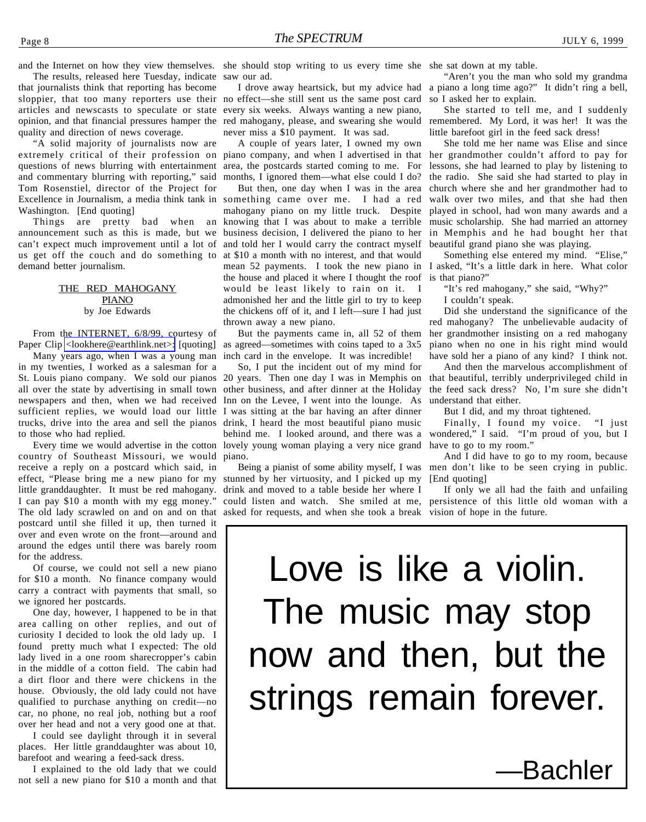The results, released here Tuesday, indicate that journalists think that reporting has become sloppier, that too many reporters use their no effect—she still sent us the same post card articles and newscasts to speculate or state every six weeks. Always wanting a new piano, opinion, and that financial pressures hamper the quality and direction of news coverage.

"A solid majority of journalists now are extremely critical of their profession on piano company, and when I advertised in that questions of news blurring with entertainment area, the postcards started coming to me. For and commentary blurring with reporting," said Tom Rosenstiel, director of the Project for Excellence in Journalism, a media think tank in something came over me. I had a red Washington. [End quoting]

Things are pretty bad when announcement such as this is made, but we can't expect much improvement until a lot of demand better journalism.

#### THE RED MAHOGANY PIANO by Joe Edwards

From the INTERNET, 6/8/99, courtesy of Paper Clip [<lookhere@earthlink.net>:](mailto:lookhere@earthlink.net) [quoting]

Many years ago, when I was a young man in my twenties, I worked as a salesman for a St. Louis piano company. We sold our pianos 20 years. Then one day I was in Memphis on all over the state by advertising in small town newspapers and then, when we had received sufficient replies, we would load our little trucks, drive into the area and sell the pianos to those who had replied.

country of Southeast Missouri, we would receive a reply on a postcard which said, in effect, "Please bring me a new piano for my little granddaughter. It must be red mahogany. I can pay \$10 a month with my egg money." The old lady scrawled on and on and on that asked for requests, and when she took a break vision of hope in the future. postcard until she filled it up, then turned it over and even wrote on the front—around and around the edges until there was barely room for the address.

Of course, we could not sell a new piano for \$10 a month. No finance company would carry a contract with payments that small, so we ignored her postcards.

One day, however, I happened to be in that area calling on other replies, and out of curiosity I decided to look the old lady up. I found pretty much what I expected: The old lady lived in a one room sharecropper's cabin in the middle of a cotton field. The cabin had a dirt floor and there were chickens in the house. Obviously, the old lady could not have qualified to purchase anything on credit—no car, no phone, no real job, nothing but a roof over her head and not a very good one at that.

I could see daylight through it in several places. Her little granddaughter was about 10, barefoot and wearing a feed-sack dress.

I explained to the old lady that we could not sell a new piano for \$10 a month and that

and the Internet on how they view themselves. she should stop writing to us every time she she sat down at my table. saw our ad.

> I drove away heartsick, but my advice had red mahogany, please, and swearing she would never miss a \$10 payment. It was sad.

A couple of years later, I owned my own months, I ignored them—what else could I do?

us get off the couch and do something to at \$10 a month with no interest, and that would But then, one day when I was in the area mahogany piano on my little truck. Despite an knowing that I was about to make a terrible business decision, I delivered the piano to her and told her I would carry the contract myself mean 52 payments. I took the new piano in I asked, "It's a little dark in here. What color the house and placed it where I thought the roof would be least likely to rain on it. I admonished her and the little girl to try to keep the chickens off of it, and I left—sure I had just thrown away a new piano.

> But the payments came in, all 52 of them as agreed—sometimes with coins taped to a 3x5 inch card in the envelope. It was incredible!

Every time we would advertise in the cotton lovely young woman playing a very nice grand So, I put the incident out of my mind for other business, and after dinner at the Holiday Inn on the Levee, I went into the lounge. As I was sitting at the bar having an after dinner drink, I heard the most beautiful piano music behind me. I looked around, and there was a piano.

> stunned by her virtuosity, and I picked up my drink and moved to a table beside her where I could listen and watch. She smiled at me,

"Aren't you the man who sold my grandma a piano a long time ago?" It didn't ring a bell, so I asked her to explain.

She started to tell me, and I suddenly remembered. My Lord, it was her! It was the little barefoot girl in the feed sack dress!

She told me her name was Elise and since her grandmother couldn't afford to pay for lessons, she had learned to play by listening to the radio. She said she had started to play in church where she and her grandmother had to walk over two miles, and that she had then played in school, had won many awards and a music scholarship. She had married an attorney in Memphis and he had bought her that beautiful grand piano she was playing.

Something else entered my mind. "Elise," is that piano?"

"It's red mahogany," she said, "Why?"

I couldn't speak.

Did she understand the significance of the red mahogany? The unbelievable audacity of her grandmother insisting on a red mahogany piano when no one in his right mind would have sold her a piano of any kind? I think not.

And then the marvelous accomplishment of that beautiful, terribly underprivileged child in the feed sack dress? No, I'm sure she didn't understand that either.

But I did, and my throat tightened.

Finally, I found my voice. "I just wondered," I said. "I'm proud of you, but I have to go to my room."

Being a pianist of some ability myself, I was men don't like to be seen crying in public. And I did have to go to my room, because [End quoting]

If only we all had the faith and unfailing persistence of this little old woman with a

## Love is like a violin. The music may stop now and then, but the strings remain forever.

**Bachler**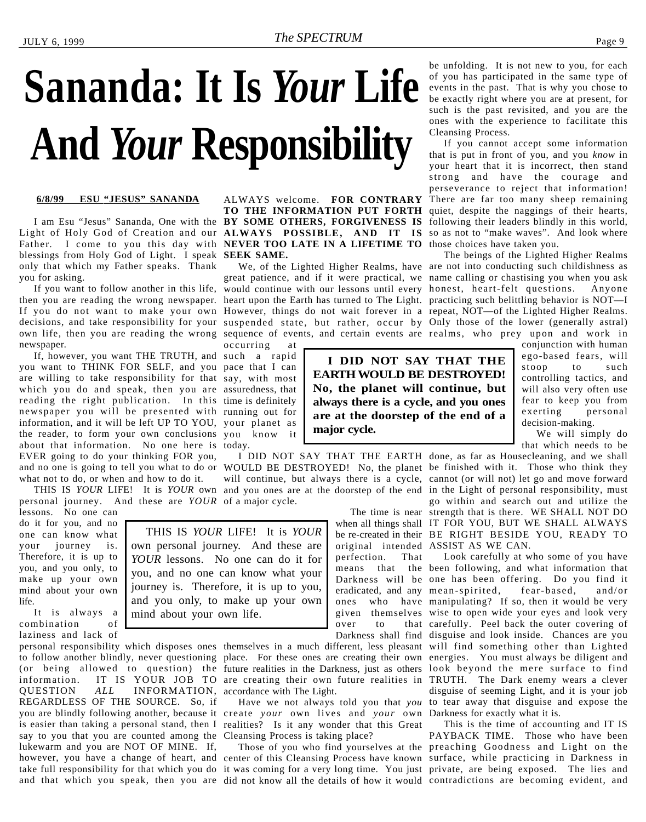## <span id="page-8-0"></span>**Sananda: It Is** *Your* **Life And** *Your* **Responsibility**

#### **6/8/99 ESU "JESUS" SANANDA**

Light of Holy God of Creation and our **ALWAYS POSSIBLE, AND IT IS** so as not to "make waves". And look where Father. I come to you this day with **NEVER TOO LATE IN A LIFETIME TO** those choices have taken you. blessings from Holy God of Light. I speak **SEEK SAME.** only that which my Father speaks. Thank you for asking.

then you are reading the wrong newspaper. heart upon the Earth has turned to The Light. practicing such belittling behavior is NOT—I If you do not want to make your own However, things do not wait forever in a repeat, NOT—of the Lighted Higher Realms. decisions, and take responsibility for your suspended state, but rather, occur by Only those of the lower (generally astral) own life, then you are reading the wrong sequence of events, and certain events are realms, who prey upon and work in newspaper.

If, however, you want THE TRUTH, and such a rapid you want to THINK FOR SELF, and you pace that I can are willing to take responsibility for that say, with most which you do and speak, then you are assuredness, that reading the right publication. In this time is definitely newspaper you will be presented with running out for information, and it will be left UP TO YOU, your planet as the reader, to form your own conclusions you know it about that information. No one here is today. EVER going to do your thinking FOR you, and no one is going to tell you what to do or WOULD BE DESTROYED! No, the planet be finished with it. Those who think they what not to do, or when and how to do it.

personal journey. And these are *YOUR* of a major cycle.

lessons. No one can do it for you, and no one can know what your journey is. Therefore, it is up to you, and you only, to make up your own mind about your own life.

It is always a combination of laziness and lack of

QUESTION *ALL* INFORMATION, accordance with The Light. REGARDLESS OF THE SOURCE. So, if you are blindly following another, because it create *your* own lives and *your* own Darkness for exactly what it is. is easier than taking a personal stand, then I realities? Is it any wonder that this Great say to you that you are counted among the Cleansing Process is taking place? lukewarm and you are NOT OF MINE. If, however, you have a change of heart, and center of this Cleansing Process have known surface, while practicing in Darkness in take full responsibility for that which you do it was coming for a very long time. You just private, are being exposed. The lies and

I am Esu "Jesus" Sananda, One with the **BY SOME OTHERS, FORGIVENESS IS** ALWAYS welcome. **FOR CONTRARY TO THE INFORMATION PUT FORTH**

If you want to follow another in this life, would continue with our lessons until every honest, heart-felt questions. Anyone great patience, and if it were practical, we name calling or chastising you when you ask

> **I DID NOT SAY THAT THE EARTH WOULD BE DESTROYED! No, the planet will continue, but always there is a cycle, and you ones are at the doorstep of the end of a**

occurring at

**major cycle.**

perfection. That

THIS IS *YOUR* LIFE! It is *YOUR* own personal journey. And these are *YOUR* lessons. No one can do it for you, and no one can know what your journey is. Therefore, it is up to you, and you only, to make up your own mind about your own life.

personal responsibility which disposes ones themselves in a much different, less pleasant will find something other than Lighted to follow another blindly, never questioning place. For these ones are creating their own energies. You must always be diligent and (or being allowed to question) the future realities in the Darkness, just as others look beyond the mere surface to find information. IT IS YOUR JOB TO are creating their own future realities in TRUTH. The Dark enemy wears a clever

and that which you speak, then you are did not know all the details of how it would contradictions are becoming evident, and

be unfolding. It is not new to you, for each of you has participated in the same type of events in the past. That is why you chose to be exactly right where you are at present, for such is the past revisited, and you are the ones with the experience to facilitate this Cleansing Process.

If you cannot accept some information that is put in front of you, and you *know* in your heart that it is incorrect, then stand strong and have the courage and perseverance to reject that information! There are far too many sheep remaining quiet, despite the naggings of their hearts, following their leaders blindly in this world,

We, of the Lighted Higher Realms, have are not into conducting such childishness as The beings of the Lighted Higher Realms

> conjunction with human ego-based fears, will stoop to such controlling tactics, and will also very often use fear to keep you from exerting personal decision-making.

We will simply do that which needs to be

THIS IS *YOUR* LIFE! It is *YOUR* own and you ones are at the doorstep of the end in the Light of personal responsibility, must I DID NOT SAY THAT THE EARTH done, as far as Housecleaning, and we shall will continue, but always there is a cycle, cannot (or will not) let go and move forward go within and search out and utilize the

The time is near strength that is there. WE SHALL NOT DO when all things shall IT FOR YOU, BUT WE SHALL ALWAYS be re-created in their BE RIGHT BESIDE YOU, READY TO original intended ASSIST AS WE CAN.

means that the been following, and what information that Darkness will be one has been offering. Do you find it eradicated, and any mean-spirited, fear-based, and/or ones who have manipulating? If so, then it would be very given themselves wise to open wide your eyes and look very over to that carefully. Peel back the outer covering of Darkness shall find disguise and look inside. Chances are you Have we not always told you that *you* to tear away that disguise and expose the Look carefully at who some of you have disguise of seeming Light, and it is your job

Those of you who find yourselves at the preaching Goodness and Light on the This is the time of accounting and IT IS PAYBACK TIME. Those who have been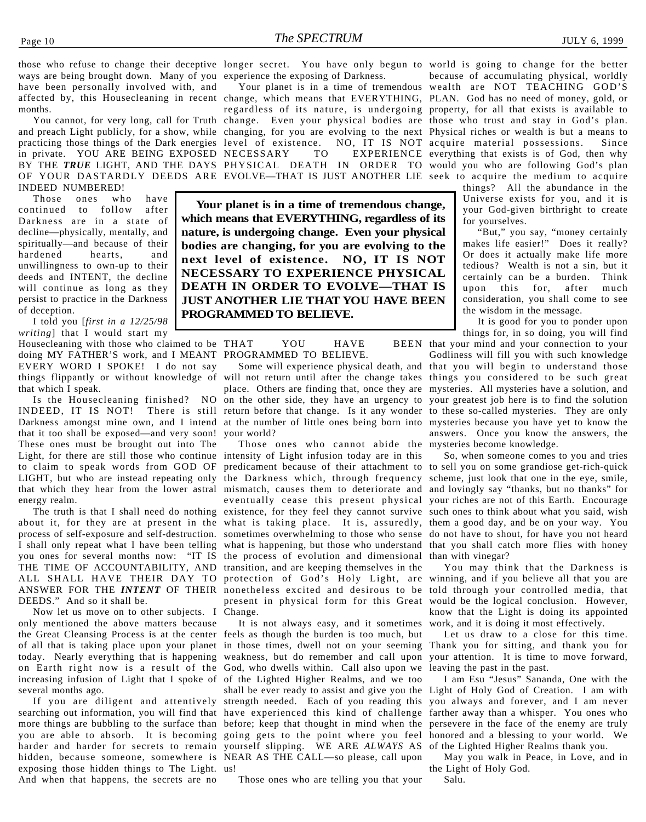in private. YOU ARE BEING EXPOSED NECESSARY INDEED NUMBERED!

Those ones who have continued to follow after Darkness are in a state of decline—physically, mentally, and spiritually—and because of their hardened hearts, and unwillingness to own-up to their deeds and INTENT, the decline will continue as long as they persist to practice in the Darkness of deception.

I told you [*first in a 12/25/98 writing*] that I would start my

Housecleaning with those who claimed to be THAT YOU HAVE BEEN doing MY FATHER'S work, and I MEANT PROGRAMMED TO BELIEVE. EVERY WORD I SPOKE! I do not say that which I speak.

Is the Housecleaning finished? NO INDEED, IT IS NOT! There is still Darkness amongst mine own, and I intend that it too shall be exposed—and very soon! These ones must be brought out into The Light, for there are still those who continue intensity of Light infusion today are in this to claim to speak words from GOD OF energy realm.

you ones for several months now: "IT IS the process of evolution and dimensional THE TIME OF ACCOUNTABILITY, AND transition, and are keeping themselves in the DEEDS." And so it shall be.

Now let us move on to other subjects. I only mentioned the above matters because the Great Cleansing Process is at the center feels as though the burden is too much, but of all that is taking place upon your planet in those times, dwell not on your seeming today. Nearly everything that is happening weakness, but do remember and call upon on Earth right now is a result of the God, who dwells within. Call also upon we increasing infusion of Light that I spoke of of the Lighted Higher Realms, and we too several months ago.

searching out information, you will find that have experienced this kind of challenge hidden, because someone, somewhere is NEAR AS THE CALL—so please, call upon exposing those hidden things to The Light. us! And when that happens, the secrets are no

those who refuse to change their deceptive longer secret. You have only begun to world is going to change for the better

affected by, this Housecleaning in recent change, which means that EVERYTHING, PLAN. God has no need of money, gold, or You cannot, for very long, call for Truth change. Even your physical bodies are those who trust and stay in God's plan. and preach Light publicly, for a show, while changing, for you are evolving to the next Physical riches or wealth is but a means to practicing those things of the Dark energies level of existence. NO, IT IS NOT acquire material possessions. Since BY THE *TRUE* LIGHT, AND THE DAYS PHYSICAL DEATH IN ORDER TO would you who are following God's plan OF YOUR DASTARDLY DEEDS ARE EVOLVE—THAT IS JUST ANOTHER LIE seek to acquire the medium to acquire regardless of its nature, is undergoing property, for all that exists is available to NECESSARY TO EXPERIENCE everything that exists is of God, then why

> **Your planet is in a time of tremendous change, which means that EVERYTHING, regardless of its nature, is undergoing change. Even your physical bodies are changing, for you are evolving to the next level of existence. NO, IT IS NOT NECESSARY TO EXPERIENCE PHYSICAL DEATH IN ORDER TO EVOLVE—THAT IS JUST ANOTHER LIE THAT YOU HAVE BEEN PROGRAMMED TO BELIEVE.**

things flippantly or without knowledge of will not return until after the change takes things you considered to be such great place. Others are finding that, once they are mysteries. All mysteries have a solution, and on the other side, they have an urgency to your greatest job here is to find the solution return before that change. Is it any wonder to these so-called mysteries. They are only at the number of little ones being born into mysteries because you have yet to know the your world?

LIGHT, but who are instead repeating only the Darkness which, through frequency scheme, just look that one in the eye, smile, that which they hear from the lower astral mismatch, causes them to deteriorate and and lovingly say "thanks, but no thanks" for The truth is that I shall need do nothing existence, for they feel they cannot survive such ones to think about what you said, wish about it, for they are at present in the what is taking place. It is, assuredly, them a good day, and be on your way. You process of self-exposure and self-destruction. sometimes overwhelming to those who sense do not have to shout, for have you not heard I shall only repeat what I have been telling what is happening, but those who understand that you shall catch more flies with honey ALL SHALL HAVE THEIR DAY TO protection of God's Holy Light, are winning, and if you believe all that you are ANSWER FOR THE *INTENT* OF THEIR nonetheless excited and desirous to be told through your controlled media, that Those ones who cannot abide the mysteries become knowledge. predicament because of their attachment to to sell you on some grandiose get-rich-quick eventually cease this present physical your riches are not of this Earth. Encourage present in physical form for this Great would be the logical conclusion. However, Change.

If you are diligent and attentively strength needed. Each of you reading this more things are bubbling to the surface than before; keep that thought in mind when the persevere in the face of the enemy are truly you are able to absorb. It is becoming going gets to the point where you feel honored and a blessing to your world. We harder and harder for secrets to remain yourself slipping. WE ARE *ALWAYS* AS of the Lighted Higher Realms thank you. It is not always easy, and it sometimes shall be ever ready to assist and give you the

Those ones who are telling you that your

Your planet is in a time of tremendous wealth are NOT TEACHING GOD'S because of accumulating physical, worldly

> things? All the abundance in the Universe exists for you, and it is your God-given birthright to create for yourselves.

> "But," you say, "money certainly makes life easier!" Does it really? Or does it actually make life more tedious? Wealth is not a sin, but it certainly can be a burden. Think upon this for, after much consideration, you shall come to see the wisdom in the message.

It is good for you to ponder upon things for, in so doing, you will find

Some will experience physical death, and that you will begin to understand those BEEN that your mind and your connection to your Godliness will fill you with such knowledge answers. Once you know the answers, the

So, when someone comes to you and tries than with vinegar?

You may think that the Darkness is know that the Light is doing its appointed work, and it is doing it most effectively.

Let us draw to a close for this time. Thank you for sitting, and thank you for your attention. It is time to move forward, leaving the past in the past.

I am Esu "Jesus" Sananda, One with the Light of Holy God of Creation. I am with you always and forever, and I am never farther away than a whisper. You ones who

May you walk in Peace, in Love, and in the Light of Holy God. Salu.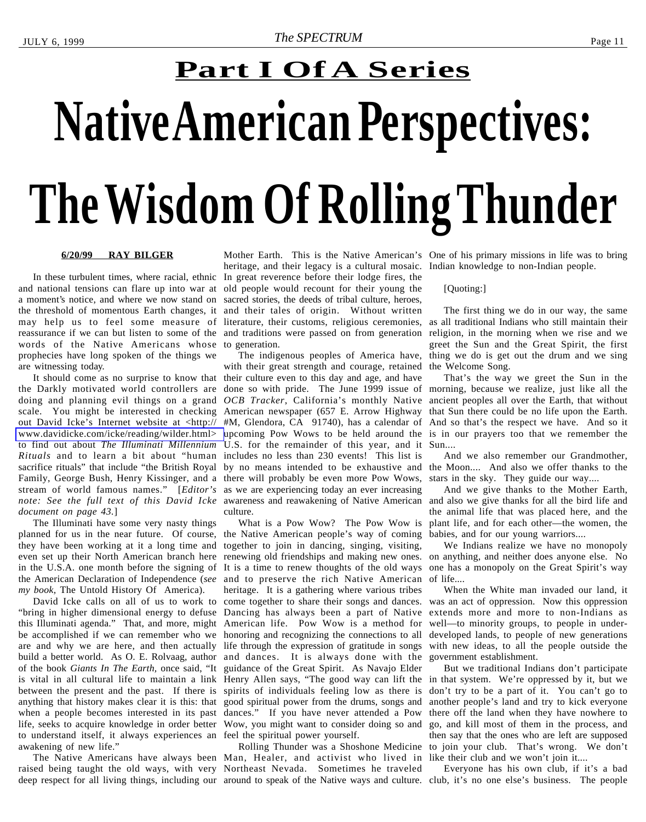# <span id="page-10-0"></span>**Native American Perspectives: The Wisdom Of Rolling Thunder Part I Of A Series**

#### **6/20/99 RAY BILGER**

and national tensions can flare up into war at a moment's notice, and where we now stand on the threshold of momentous Earth changes, it and their tales of origin. Without written may help us to feel some measure of reassurance if we can but listen to some of the words of the Native Americans whose prophecies have long spoken of the things we are witnessing today.

It should come as no surprise to know that the Darkly motivated world controllers are doing and planning evil things on a grand scale. You might be interested in checking out David Icke's Internet website at <http:// [www.davidicke.com/icke/reading/wilder.html>](http://www.davidicke.com/icke/reading/wilder.html) to find out about *The Illuminati Millennium Rituals* and to learn a bit about "human sacrifice rituals" that include "the British Royal Family, George Bush, Henry Kissinger, and a there will probably be even more Pow Wows, stream of world famous names." [*Editor's note: See the full text of this David Icke* awareness and reawakening of Native American and also we give thanks for all the bird life and *document on page 43.*]

The Illuminati have some very nasty things planned for us in the near future. Of course, the Native American people's way of coming they have been working at it a long time and even set up their North American branch here the American Declaration of Independence (*see my book,* The Untold History Of America).

David Icke calls on all of us to work to "bring in higher dimensional energy to defuse Dancing has always been a part of Native this Illuminati agenda." That, and more, might American life. Pow Wow is a method for be accomplished if we can remember who we honoring and recognizing the connections to all are and why we are here, and then actually life through the expression of gratitude in songs build a better world. As O. E. Rolvaag, author and dances. It is always done with the of the book *Giants In The Earth,* once said, "It is vital in all cultural life to maintain a link Henry Allen says, "The good way can lift the between the present and the past. If there is anything that history makes clear it is this: that good spiritual power from the drums, songs and when a people becomes interested in its past dances." If you have never attended a Pow life, seeks to acquire knowledge in order better Wow, you might want to consider doing so and to understand itself, it always experiences an feel the spiritual power yourself. awakening of new life."

raised being taught the old ways, with very Northeast Nevada. Sometimes he traveled deep respect for all living things, including our around to speak of the Native ways and culture. club, it's no one else's business. The people

In these turbulent times, where racial, ethnic In great reverence before their lodge fires, the Mother Earth. This is the Native American's One of his primary missions in life was to bring heritage, and their legacy is a cultural mosaic. Indian knowledge to non-Indian people. old people would recount for their young the sacred stories, the deeds of tribal culture, heroes, literature, their customs, religious ceremonies, and traditions were passed on from generation to generation.

The indigenous peoples of America have, with their great strength and courage, retained their culture even to this day and age, and have done so with pride. The June 1999 issue of *OCB Tracker*, California's monthly Native American newspaper (657 E. Arrow Highway #M, Glendora, CA 91740), has a calendar of upcoming Pow Wows to be held around the is in our prayers too that we remember the U.S. for the remainder of this year, and it Sun.... includes no less than 230 events! This list is by no means intended to be exhaustive and the Moon.... And also we offer thanks to the as we are experiencing today an ever increasing culture.

in the U.S.A. one month before the signing of It is a time to renew thoughts of the old ways one has a monopoly on the Great Spirit's way What is a Pow Wow? The Pow Wow is together to join in dancing, singing, visiting, renewing old friendships and making new ones. on anything, and neither does anyone else. No and to preserve the rich Native American heritage. It is a gathering where various tribes come together to share their songs and dances. guidance of the Great Spirit. As Navajo Elder spirits of individuals feeling low as there is

The Native Americans have always been Man, Healer, and activist who lived in Rolling Thunder was a Shoshone Medicine

#### [Quoting:]

The first thing we do in our way, the same as all traditional Indians who still maintain their religion, in the morning when we rise and we greet the Sun and the Great Spirit, the first thing we do is get out the drum and we sing the Welcome Song.

That's the way we greet the Sun in the morning, because we realize, just like all the ancient peoples all over the Earth, that without that Sun there could be no life upon the Earth. And so that's the respect we have. And so it

And we also remember our Grandmother, stars in the sky. They guide our way....

And we give thanks to the Mother Earth, the animal life that was placed here, and the plant life, and for each other—the women, the babies, and for our young warriors....

We Indians realize we have no monopoly of life....

When the White man invaded our land, it was an act of oppression. Now this oppression extends more and more to non-Indians as well—to minority groups, to people in underdeveloped lands, to people of new generations with new ideas, to all the people outside the government establishment.

But we traditional Indians don't participate in that system. We're oppressed by it, but we don't try to be a part of it. You can't go to another people's land and try to kick everyone there off the land when they have nowhere to go, and kill most of them in the process, and then say that the ones who are left are supposed to join your club. That's wrong. We don't like their club and we won't join it....

Everyone has his own club, if it's a bad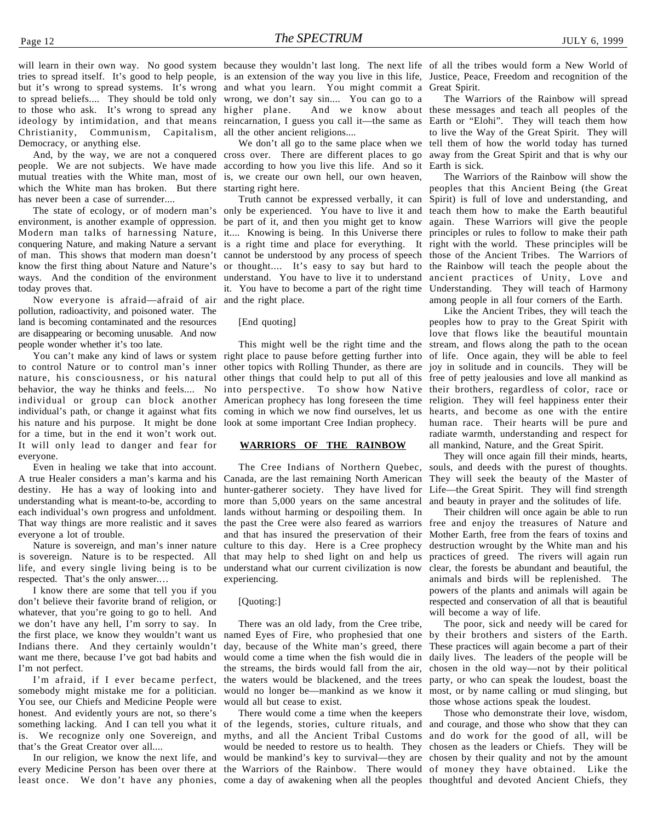will learn in their own way. No good system because they wouldn't last long. The next life of all the tribes would form a New World of tries to spread itself. It's good to help people, is an extension of the way you live in this life, Justice, Peace, Freedom and recognition of the but it's wrong to spread systems. It's wrong and what you learn. You might commit a Great Spirit. to spread beliefs.... They should be told only wrong, we don't say sin.... You can go to a to those who ask. It's wrong to spread any higher plane. ideology by intimidation, and that means reincarnation, I guess you call it—the same as Earth or "Elohi". They will teach them how Christianity, Communism, Capitalism, all the other ancient religions.... Democracy, or anything else.

mutual treaties with the White man, most of is, we create our own hell, our own heaven, which the White man has broken. But there starting right here. has never been a case of surrender....

environment, is another example of oppression. be part of it, and then you might get to know Modern man talks of harnessing Nature, it.... Knowing is being. In this Universe there conquering Nature, and making Nature a servant is a right time and place for everything. It today proves that.

Now everyone is afraid—afraid of air and the right place. pollution, radioactivity, and poisoned water. The land is becoming contaminated and the resources are disappearing or becoming unusable. And now people wonder whether it's too late.

to control Nature or to control man's inner nature, his consciousness, or his natural behavior, the way he thinks and feels.... No individual or group can block another individual's path, or change it against what fits his nature and his purpose. It might be done for a time, but in the end it won't work out. It will only lead to danger and fear for everyone.

Even in healing we take that into account. A true Healer considers a man's karma and his destiny. He has a way of looking into and understanding what is meant-to-be, according to each individual's own progress and unfoldment. That way things are more realistic and it saves everyone a lot of trouble.

Nature is sovereign, and man's inner nature is sovereign. Nature is to be respected. All life, and every single living being is to be respected. That's the only answer.…

I know there are some that tell you if you don't believe their favorite brand of religion, or whatever, that you're going to go to hell. And we don't have any hell, I'm sorry to say. In the first place, we know they wouldn't want us Indians there. And they certainly wouldn't want me there, because I've got bad habits and I'm not perfect.

I'm afraid, if I ever became perfect, somebody might mistake me for a politician. You see, our Chiefs and Medicine People were honest. And evidently yours are not, so there's something lacking. And I can tell you what it of the legends, stories, culture rituals, and and courage, and those who show that they can is. We recognize only one Sovereign, and that's the Great Creator over all....

every Medicine Person has been over there at the Warriors of the Rainbow. There would of money they have obtained. Like the

And, by the way, we are not a conquered cross over. There are different places to go away from the Great Spirit and that is why our people. We are not subjects. We have made according to how you live this life. And so it Earth is sick.

The state of ecology, or of modern man's only be experienced. You have to live it and of man. This shows that modern man doesn't cannot be understood by any process of speech those of the Ancient Tribes. The Warriors of know the first thing about Nature and Nature's or thought.... It's easy to say but hard to the Rainbow will teach the people about the ways. And the condition of the environment understand. You have to live it to understand ancient practices of Unity, Love and Truth cannot be expressed verbally, it can it. You have to become a part of the right time Understanding. They will teach of Harmony

#### [End quoting]

You can't make any kind of laws or system right place to pause before getting further into This might well be the right time and the other topics with Rolling Thunder, as there are other things that could help to put all of this into perspective. To show how Native American prophecy has long foreseen the time coming in which we now find ourselves, let us look at some important Cree Indian prophecy.

#### **WARRIORS OF THE RAINBOW**

The Cree Indians of Northern Quebec, Canada, are the last remaining North American They will seek the beauty of the Master of hunter-gatherer society. They have lived for Life—the Great Spirit. They will find strength more than 5,000 years on the same ancestral lands without harming or despoiling them. In the past the Cree were also feared as warriors and that has insured the preservation of their culture to this day. Here is a Cree prophecy that may help to shed light on and help us understand what our current civilization is now experiencing.

#### [Quoting:]

There was an old lady, from the Cree tribe, named Eyes of Fire*,* who prophesied that one day, because of the White man's greed, there would come a time when the fish would die in the streams, the birds would fall from the air, the waters would be blackened, and the trees would no longer be—mankind as we know it would all but cease to exist.

In our religion, we know the next life, and would be mankind's key to survival—they are chosen by their quality and not by the amount least once. We don't have any phonies, come a day of awakening when all the peoples thoughtful and devoted Ancient Chiefs, theyThere would come a time when the keepers myths, and all the Ancient Tribal Customs and do work for the good of all, will be would be needed to restore us to health. They chosen as the leaders or Chiefs. They will be

higher plane. And we know about these messages and teach all peoples of the We don't all go to the same place when we tell them of how the world today has turned The Warriors of the Rainbow will spread to live the Way of the Great Spirit. They will

> The Warriors of the Rainbow will show the peoples that this Ancient Being (the Great Spirit) is full of love and understanding, and teach them how to make the Earth beautiful again. These Warriors will give the people principles or rules to follow to make their path It right with the world. These principles will be among people in all four corners of the Earth.

Like the Ancient Tribes, they will teach the peoples how to pray to the Great Spirit with love that flows like the beautiful mountain stream, and flows along the path to the ocean of life. Once again, they will be able to feel joy in solitude and in councils. They will be free of petty jealousies and love all mankind as their brothers, regardless of color, race or religion. They will feel happiness enter their hearts, and become as one with the entire human race. Their hearts will be pure and radiate warmth, understanding and respect for all mankind, Nature, and the Great Spirit.

They will once again fill their minds, hearts, souls, and deeds with the purest of thoughts. and beauty in prayer and the solitudes of life.

Their children will once again be able to run free and enjoy the treasures of Nature and Mother Earth, free from the fears of toxins and destruction wrought by the White man and his practices of greed. The rivers will again run clear, the forests be abundant and beautiful, the animals and birds will be replenished. The powers of the plants and animals will again be respected and conservation of all that is beautiful will become a way of life.

The poor, sick and needy will be cared for by their brothers and sisters of the Earth. These practices will again become a part of their daily lives. The leaders of the people will be chosen in the old way—not by their political party, or who can speak the loudest, boast the most, or by name calling or mud slinging, but those whose actions speak the loudest.

Those who demonstrate their love, wisdom,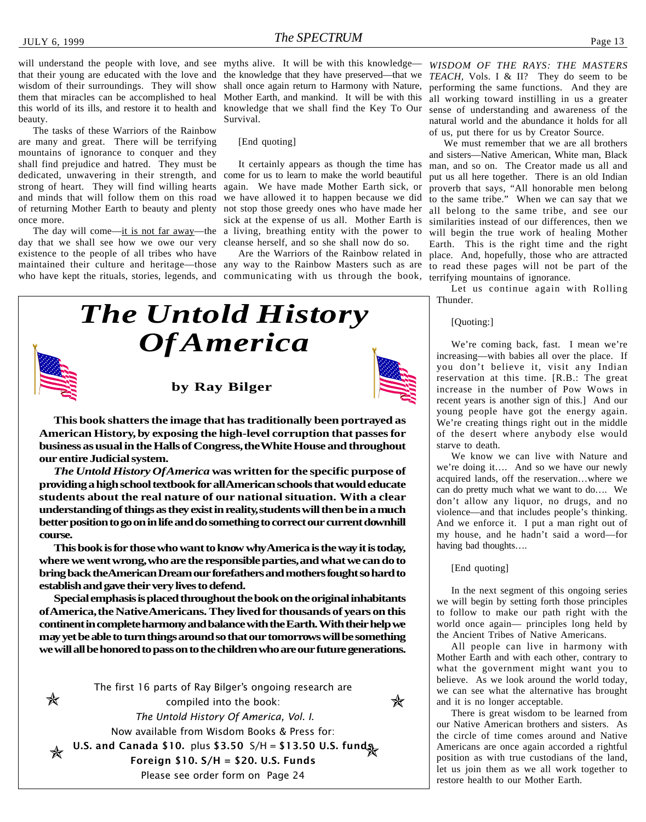will understand the people with love, and see myths alive. It will be with this knowledge that their young are educated with the love and wisdom of their surroundings. They will show them that miracles can be accomplished to heal this world of its ills, and restore it to health and beauty.

The tasks of these Warriors of the Rainbow are many and great. There will be terrifying mountains of ignorance to conquer and they shall find prejudice and hatred. They must be dedicated, unwavering in their strength, and strong of heart. They will find willing hearts and minds that will follow them on this road of returning Mother Earth to beauty and plenty once more.

day that we shall see how we owe our very existence to the people of all tribes who have maintained their culture and heritage—those any way to the Rainbow Masters such as are to read these pages will not be part of the

the knowledge that they have preserved—that we *TEACH,* Vols. I & II? They do seem to be shall once again return to Harmony with Nature, Mother Earth, and mankind. It will be with this knowledge that we shall find the Key To Our Survival.

[End quoting]

The day will come—it is not far away—the a living, breathing entity with the power to It certainly appears as though the time has come for us to learn to make the world beautiful again. We have made Mother Earth sick, or we have allowed it to happen because we did not stop those greedy ones who have made her sick at the expense of us all. Mother Earth is cleanse herself, and so she shall now do so.

who have kept the rituals, stories, legends, and communicating with us through the book, terrifying mountains of ignorance.

*WISDOM OF THE RAYS: THE MASTERS* performing the same functions. And they are all working toward instilling in us a greater sense of understanding and awareness of the natural world and the abundance it holds for all of us, put there for us by Creator Source.

Are the Warriors of the Rainbow related in place. And, hopefully, those who are attracted We must remember that we are all brothers and sisters—Native American, White man, Black man, and so on. The Creator made us all and put us all here together. There is an old Indian proverb that says, "All honorable men belong to the same tribe." When we can say that we all belong to the same tribe, and see our similarities instead of our differences, then we will begin the true work of healing Mother Earth. This is the right time and the right

> Let us continue again with Rolling Thunder.

[Quoting:]

We're coming back, fast. I mean we're increasing—with babies all over the place. If you don't believe it, visit any Indian reservation at this time. [R.B.: The great increase in the number of Pow Wows in recent years is another sign of this.] And our young people have got the energy again. We're creating things right out in the middle of the desert where anybody else would starve to death.

We know we can live with Nature and we're doing it…. And so we have our newly acquired lands, off the reservation…where we can do pretty much what we want to do…. We don't allow any liquor, no drugs, and no violence—and that includes people's thinking. And we enforce it. I put a man right out of my house, and he hadn't said a word—for having bad thoughts….

[End quoting]

In the next segment of this ongoing series we will begin by setting forth those principles to follow to make our path right with the world once again— principles long held by the Ancient Tribes of Native Americans.

All people can live in harmony with Mother Earth and with each other, contrary to what the government might want you to believe. As we look around the world today, we can see what the alternative has brought and it is no longer acceptable.

There is great wisdom to be learned from our Native American brothers and sisters. As the circle of time comes around and Native Americans are once again accorded a rightful position as with true custodians of the land, let us join them as we all work together to restore health to our Mother Earth.

#### **by Ray Bilger**

*The Untold History*

*Of America*



*The Untold History Of America* **was written for the specific purpose of providing a high school textbook for all American schools that would educate students about the real nature of our national situation. With a clear understanding of things as they exist in reality, students will then be in a much better position to go on in life and do something to correct our current downhill course.**

**This book is for those who want to know why America is the way it is today, where we went wrong, who are the responsible parties, and what we can do to bring back the American Dream our forefathers and mothers fought so hard to establish and gave their very lives to defend.**

**Special emphasis is placed throughout the book on the original inhabitants of America, the Native Americans. They lived for thousands of years on this continent in complete harmony and balance with the Earth. With their help we may yet be able to turn things around so that our tomorrows will be something we will all be honored to pass on to the children who are our future generations.**

The first 16 parts of Ray Bilger's ongoing research are  $\cancel{\mathbf{x}}$  $\,$  X compiled into the book: The Untold History Of America, Vol. I. Now available from Wisdom Books & Press for: U.S. and Canada \$10. plus \$3.50 S/H = \$13.50 U.S. funds Foreign \$10. S/H = \$20. U.S. Funds Please see order form on Page 24

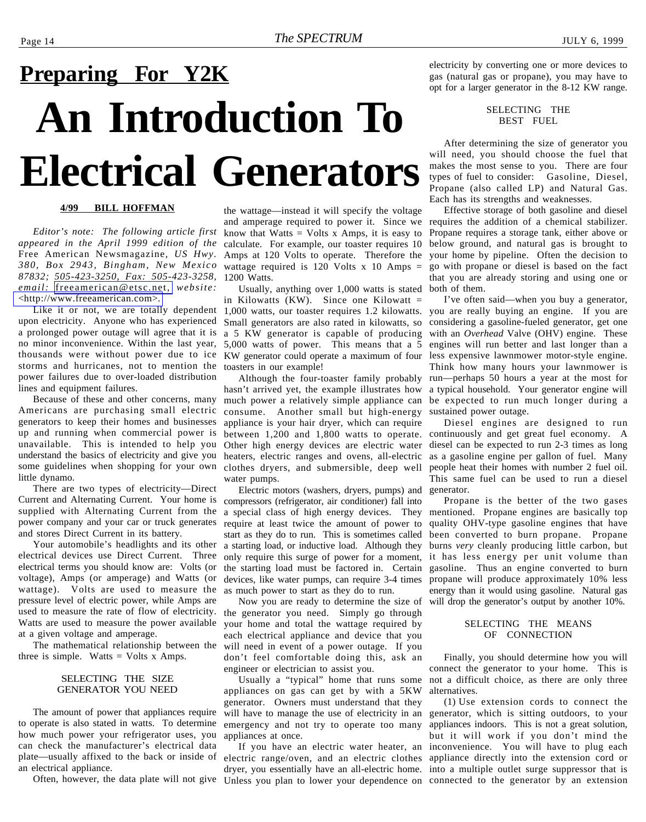## <span id="page-13-0"></span>**An Introduction To Electrical Generators Preparing For Y2K**

#### **4/99 BILL HOFFMAN**

*Editor's note: The following article first appeared in the April 1999 edition of the* Free American Newsmagazine*, US Hwy. 380, Box 2943, Bingham, New Mexico* wattage required is 120 Volts x 10 Amps = *87832; 505-423-3250, Fax: 505-423-3258,* 1200 Watts. *email:* [freeamerican@etsc.net,](mailto:freeamerican@etsc.net) *website:* [<http://www.freeamerican.com>.](http://www.freeamerican.com)

upon electricity. Anyone who has experienced a prolonged power outage will agree that it is a 5 KW generator is capable of producing no minor inconvenience. Within the last year, 5,000 watts of power. This means that a 5 thousands were without power due to ice storms and hurricanes, not to mention the power failures due to over-loaded distribution lines and equipment failures.

Because of these and other concerns, many Americans are purchasing small electric generators to keep their homes and businesses up and running when commercial power is unavailable. This is intended to help you understand the basics of electricity and give you some guidelines when shopping for your own little dynamo.

There are two types of electricity—Direct Current and Alternating Current. Your home is supplied with Alternating Current from the power company and your car or truck generates and stores Direct Current in its battery.

Your automobile's headlights and its other electrical devices use Direct Current. Three electrical terms you should know are: Volts (or voltage), Amps (or amperage) and Watts (or wattage). Volts are used to measure the pressure level of electric power, while Amps are used to measure the rate of flow of electricity. Watts are used to measure the power available at a given voltage and amperage.

The mathematical relationship between the three is simple. Watts  $=$  Volts x Amps.

#### SELECTING THE SIZE GENERATOR YOU NEED

The amount of power that appliances require to operate is also stated in watts. To determine how much power your refrigerator uses, you can check the manufacturer's electrical data plate—usually affixed to the back or inside of electric range/oven, and an electric clothes appliance directly into the extension cord or an electrical appliance.

the wattage—instead it will specify the voltage and amperage required to power it. Since we know that Watts  $=$  Volts x Amps, it is easy to calculate. For example, our toaster requires 10 Amps at 120 Volts to operate. Therefore the

Like it or not, we are totally dependent 1,000 watts, our toaster requires 1.2 kilowatts. Usually, anything over 1,000 watts is stated in Kilowatts (KW). Since one Kilowatt  $=$ Small generators are also rated in kilowatts, so KW generator could operate a maximum of four less expensive lawnmower motor-style engine. toasters in our example!

Although the four-toaster family probably hasn't arrived yet, the example illustrates how much power a relatively simple appliance can consume. Another small but high-energy appliance is your hair dryer, which can require between 1,200 and 1,800 watts to operate. Other high energy devices are electric water heaters, electric ranges and ovens, all-electric clothes dryers, and submersible, deep well water pumps.

Electric motors (washers, dryers, pumps) and compressors (refrigerator, air conditioner) fall into a special class of high energy devices. They require at least twice the amount of power to start as they do to run. This is sometimes called a starting load, or inductive load. Although they only require this surge of power for a moment, the starting load must be factored in. Certain devices, like water pumps, can require 3-4 times as much power to start as they do to run.

Now you are ready to determine the size of the generator you need. Simply go through your home and total the wattage required by each electrical appliance and device that you will need in event of a power outage. If you don't feel comfortable doing this, ask an engineer or electrician to assist you.

Usually a "typical" home that runs some appliances on gas can get by with a 5KW generator. Owners must understand that they will have to manage the use of electricity in an generator, which is sitting outdoors, to your emergency and not try to operate too many appliances at once.

electricity by converting one or more devices to gas (natural gas or propane), you may have to opt for a larger generator in the 8-12 KW range.

> SELECTING THE BEST FUEL

After determining the size of generator you will need, you should choose the fuel that makes the most sense to you. There are four types of fuel to consider: Gasoline, Diesel, Propane (also called LP) and Natural Gas. Each has its strengths and weaknesses.

Effective storage of both gasoline and diesel requires the addition of a chemical stabilizer. Propane requires a storage tank, either above or below ground, and natural gas is brought to your home by pipeline. Often the decision to go with propane or diesel is based on the fact that you are already storing and using one or both of them.

I've often said—when you buy a generator, you are really buying an engine. If you are considering a gasoline-fueled generator, get one with an *Overhead* Valve (OHV) engine. These engines will run better and last longer than a Think how many hours your lawnmower is run—perhaps 50 hours a year at the most for a typical household. Your generator engine will be expected to run much longer during a sustained power outage.

Diesel engines are designed to run continuously and get great fuel economy. A diesel can be expected to run 2-3 times as long as a gasoline engine per gallon of fuel. Many people heat their homes with number 2 fuel oil. This same fuel can be used to run a diesel generator.

Propane is the better of the two gases mentioned. Propane engines are basically top quality OHV-type gasoline engines that have been converted to burn propane. Propane burns *very* cleanly producing little carbon, but it has less energy per unit volume than gasoline. Thus an engine converted to burn propane will produce approximately 10% less energy than it would using gasoline. Natural gas will drop the generator's output by another 10%.

#### SELECTING THE MEANS OF CONNECTION

Finally, you should determine how you will connect the generator to your home. This is not a difficult choice, as there are only three alternatives.

Often, however, the data plate will not give Unless you plan to lower your dependence on connected to the generator by an extensionIf you have an electric water heater, an inconvenience. You will have to plug each dryer, you essentially have an all-electric home. into a multiple outlet surge suppressor that is (1) Use extension cords to connect the appliances indoors. This is not a great solution, but it will work if you don't mind the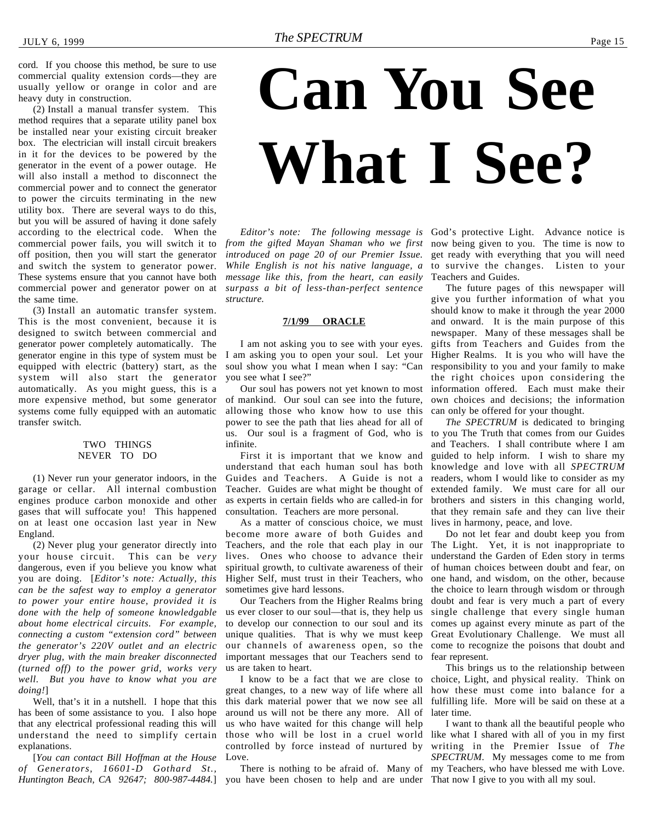<span id="page-14-0"></span>cord. If you choose this method, be sure to use commercial quality extension cords—they are usually yellow or orange in color and are heavy duty in construction.

commercial power fails, you will switch it to *from the gifted Mayan Shaman who we first* now being given to you. The time is now to off position, then you will start the generator *introduced on page 20 of our Premier Issue*. get ready with everything that you will need (2) Install a manual transfer system. This method requires that a separate utility panel box be installed near your existing circuit breaker box. The electrician will install circuit breakers in it for the devices to be powered by the generator in the event of a power outage. He will also install a method to disconnect the commercial power and to connect the generator to power the circuits terminating in the new utility box. There are several ways to do this, but you will be assured of having it done safely according to the electrical code. When the and switch the system to generator power. These systems ensure that you cannot have both commercial power and generator power on at the same time.

(3) Install an automatic transfer system. This is the most convenient, because it is designed to switch between commercial and generator power completely automatically. The generator engine in this type of system must be equipped with electric (battery) start, as the system will also start the generator automatically. As you might guess, this is a more expensive method, but some generator systems come fully equipped with an automatic transfer switch.

#### TWO THINGS NEVER TO DO

(1) Never run your generator indoors, in the garage or cellar. All internal combustion engines produce carbon monoxide and other gases that will suffocate you! This happened on at least one occasion last year in New England.

(2) Never plug your generator directly into your house circuit. This can be *very* dangerous, even if you believe you know what you are doing. [*Editor's note: Actually, this can be the safest way to employ a generator to power your entire house, provided it is done with the help of someone knowledgable about home electrical circuits. For example, connecting a custom "extension cord" between the generator's 220V outlet and an electric dryer plug, with the main breaker disconnected (turned off) to the power grid, works very well. But you have to know what you are doing!*]

Well, that's it in a nutshell. I hope that this has been of some assistance to you. I also hope that any electrical professional reading this will understand the need to simplify certain explanations.

Huntington Beach, CA 92647; 800-987-4484.] you have been chosen to help and are under That now I give to you with all my soul. [*You can contact Bill Hoffman at the House of Generators, 16601-D Gothard St.,*

# **Can You See What I See?**

*While English is not his native language, a* to survive the changes. Listen to your *message like this, from the heart, can easily surpass a bit of less-than-perfect sentence structure.*

#### **7/1/99 ORACLE**

I am not asking you to see with your eyes. I am asking you to open your soul. Let your soul show you what I mean when I say: "Can you see what I see?"

Our soul has powers not yet known to most of mankind. Our soul can see into the future, allowing those who know how to use this power to see the path that lies ahead for all of us. Our soul is a fragment of God, who is to you The Truth that comes from our Guides infinite.

First it is important that we know and understand that each human soul has both Guides and Teachers. A Guide is not a Teacher. Guides are what might be thought of as experts in certain fields who are called-in for brothers and sisters in this changing world, consultation. Teachers are more personal.

As a matter of conscious choice, we must become more aware of both Guides and Teachers, and the role that each play in our lives. Ones who choose to advance their spiritual growth, to cultivate awareness of their Higher Self, must trust in their Teachers, who sometimes give hard lessons.

Our Teachers from the Higher Realms bring us ever closer to our soul—that is, they help us to develop our connection to our soul and its unique qualities. That is why we must keep our channels of awareness open, so the important messages that our Teachers send to us are taken to heart.

I know to be a fact that we are close to great changes, to a new way of life where all this dark material power that we now see all around us will not be there any more. All of us who have waited for this change will help those who will be lost in a cruel world like what I shared with all of you in my first controlled by force instead of nurtured by Love.

*Editor's note: The following message is* God's protective Light. Advance notice is Teachers and Guides.

> The future pages of this newspaper will give you further information of what you should know to make it through the year 2000 and onward. It is the main purpose of this newspaper. Many of these messages shall be gifts from Teachers and Guides from the Higher Realms. It is you who will have the responsibility to you and your family to make the right choices upon considering the information offered. Each must make their own choices and decisions; the information can only be offered for your thought.

> *The SPECTRUM* is dedicated to bringing and Teachers. I shall contribute where I am guided to help inform. I wish to share my knowledge and love with all *SPECTRUM* readers, whom I would like to consider as my extended family. We must care for all our that they remain safe and they can live their lives in harmony, peace, and love.

> Do not let fear and doubt keep you from The Light. Yet, it is not inappropriate to understand the Garden of Eden story in terms of human choices between doubt and fear, on one hand, and wisdom, on the other, because the choice to learn through wisdom or through doubt and fear is very much a part of every single challenge that every single human comes up against every minute as part of the Great Evolutionary Challenge. We must all come to recognize the poisons that doubt and fear represent.

> This brings us to the relationship between choice, Light, and physical reality. Think on how these must come into balance for a fulfilling life. More will be said on these at a later time.

There is nothing to be afraid of. Many of my Teachers, who have blessed me with Love. I want to thank all the beautiful people who writing in the Premier Issue of *The SPECTRUM*. My messages come to me from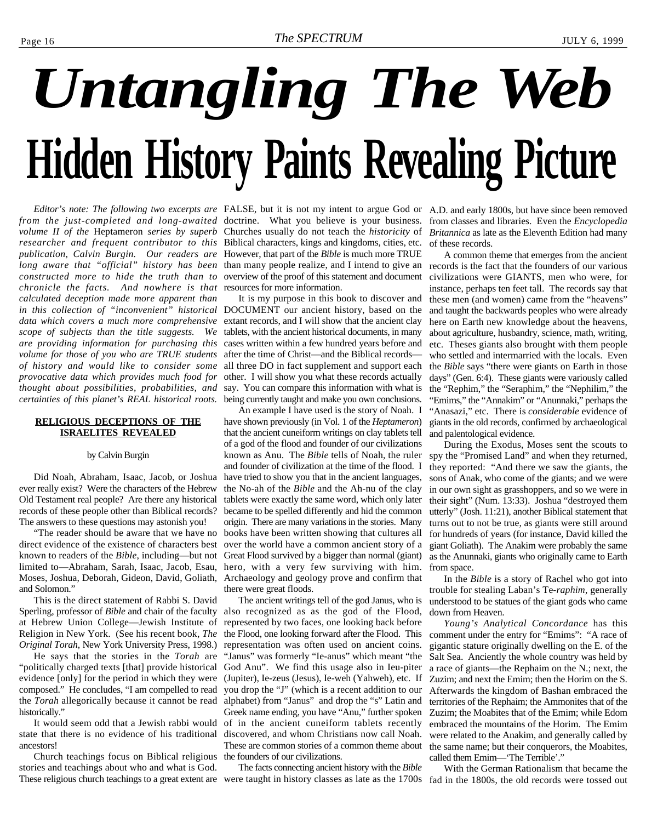# <span id="page-15-0"></span>*Untangling The Web* **Hidden History Paints Revealing Picture**

*from the just-completed and long-awaited* doctrine. What you believe is your business. from classes and libraries. Even the *Encyclopedia* volume II of the Heptameron series by superb Churches usually do not teach the *historicity* of Britannica as late as the Eleventh Edition had many *researcher and frequent contributor to this* Biblical characters, kings and kingdoms, cities, etc. *publication, Calvin Burgin. Our readers are* However, that part of the *Bible* is much more TRUE long aware that "official" history has been than many people realize, and I intend to give an records is the fact that the founders of our various *constructed more to hide the truth than to* overview of the proof of this statement and document *chronicle the facts. And nowhere is that* resources for more information. *calculated deception made more apparent than in this collection of "inconvenient" historical* DOCUMENT our ancient history, based on the *data which covers a much more comprehensive* extant records, and I will show that the ancient clay *scope of subjects than the title suggests. We are providing information for purchasing this* cases written within a few hundred years before and volume for those of you who are TRUE students after the time of Christ—and the Biblical records *of history and would like to consider some provocative data which provides much food for thought about possibilities, probabilities, and certainties of this planet's REAL historical roots.*

#### **RELIGIOUS DECEPTIONS OF THE ISRAELITES REVEALED**

#### by Calvin Burgin

Did Noah, Abraham, Isaac, Jacob, or Joshua ever really exist? Were the characters of the Hebrew Old Testament real people? Are there any historical records of these people other than Biblical records? The answers to these questions may astonish you!

"The reader should be aware that we have no direct evidence of the existence of characters best known to readers of the *Bible*, including—but not limited to—Abraham, Sarah, Isaac, Jacob, Esau, Moses, Joshua, Deborah, Gideon, David, Goliath, Archaeology and geology prove and confirm that and Solomon."

This is the direct statement of Rabbi S. David Sperling, professor of *Bible* and chair of the faculty at Hebrew Union College—Jewish Institute of Religion in New York. (See his recent book, *The Original Torah*, New York University Press, 1998.)

He says that the stories in the *Torah* are "politically charged texts [that] provide historical evidence [only] for the period in which they were composed." He concludes, "I am compelled to read the *Torah* allegorically because it cannot be read historically."

It would seem odd that a Jewish rabbi would state that there is no evidence of his traditional ancestors!

Church teachings focus on Biblical religious stories and teachings about who and what is God.

It is my purpose in this book to discover and tablets, with the ancient historical documents, in many all three DO in fact supplement and support each other. I will show you what these records actually say. You can compare this information with what is being currently taught and make you own conclusions.

An example I have used is the story of Noah. I have shown previously (in Vol. 1 of the *Heptameron*) that the ancient cuneiform writings on clay tablets tell of a god of the flood and founder of our civilizations known as Anu. The *Bible* tells of Noah, the ruler and founder of civilization at the time of the flood. I have tried to show you that in the ancient languages, the No-ah of the *Bible* and the Ah-nu of the clay tablets were exactly the same word, which only later became to be spelled differently and hid the common origin. There are many variations in the stories. Many books have been written showing that cultures all over the world have a common ancient story of a Great Flood survived by a bigger than normal (giant) hero, with a very few surviving with him. there were great floods.

The ancient writings tell of the god Janus, who is also recognized as as the god of the Flood, represented by two faces, one looking back before the Flood, one looking forward after the Flood. This representation was often used on ancient coins. "Janus" was formerly "Ie-anus" which meant "the God Anu". We find this usage also in Ieu-piter (Jupiter), Ie-zeus (Jesus), Ie-weh (Yahweh), etc. If you drop the "J" (which is a recent addition to our alphabet) from "Janus" and drop the "s" Latin and Greek name ending, you have "Anu," further spoken of in the ancient cuneiform tablets recently discovered, and whom Christians now call Noah. These are common stories of a common theme about the founders of our civilizations.

These religious church teachings to a great extent are were taught in history classes as late as the 1700s fad in the 1800s, the old records were tossed out The facts connecting ancient history with the *Bible*

Editor's note: The following two excerpts are FALSE, but it is not my intent to argue God or A.D. and early 1800s, but have since been removed of these records.

> A common theme that emerges from the ancient civilizations were GIANTS, men who were, for instance, perhaps ten feet tall. The records say that these men (and women) came from the "heavens" and taught the backwards peoples who were already here on Earth new knowledge about the heavens, about agriculture, husbandry, science, math, writing, etc. Theses giants also brought with them people who settled and intermarried with the locals. Even the *Bible* says "there were giants on Earth in those days" (Gen. 6:4). These giants were variously called the "Rephim," the "Seraphim," the "Nephilim," the "Emims," the "Annakim" or "Anunnaki," perhaps the "Anasazi," etc. There is *considerable* evidence of giants in the old records, confirmed by archaeological and palentological evidence.

> During the Exodus, Moses sent the scouts to spy the "Promised Land" and when they returned, they reported: "And there we saw the giants, the sons of Anak, who come of the giants; and we were in our own sight as grasshoppers, and so we were in their sight" (Num. 13:33). Joshua "destroyed them utterly" (Josh. 11:21), another Biblical statement that turns out to not be true, as giants were still around for hundreds of years (for instance, David killed the giant Goliath). The Anakim were probably the same as the Anunnaki, giants who originally came to Earth from space.

> In the *Bible* is a story of Rachel who got into trouble for stealing Laban's Te*-raphim*, generally understood to be statues of the giant gods who came down from Heaven.

> *Young's Analytical Concordance* has this comment under the entry for "Emims": "A race of gigantic stature originally dwelling on the E. of the Salt Sea. Anciently the whole country was held by a race of giants—the Rephaim on the N.; next, the Zuzim; and next the Emim; then the Horim on the S. Afterwards the kingdom of Bashan embraced the territories of the Rephaim; the Ammonites that of the Zuzim; the Moabites that of the Emim; while Edom embraced the mountains of the Horim. The Emim were related to the Anakim, and generally called by the same name; but their conquerors, the Moabites, called them Emim—'The Terrible'."

> With the German Rationalism that became the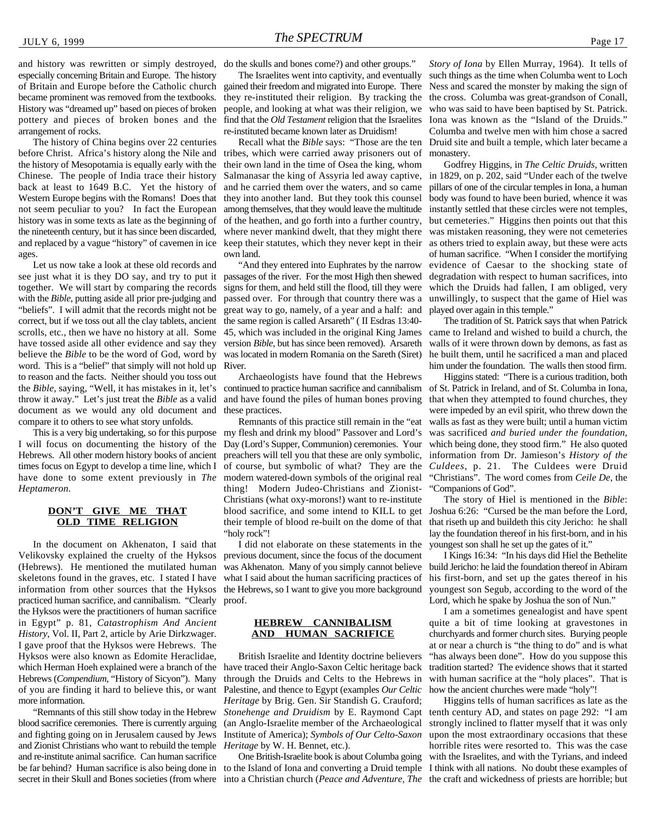and history was rewritten or simply destroyed, especially concerning Britain and Europe. The history of Britain and Europe before the Catholic church became prominent was removed from the textbooks. History was "dreamed up" based on pieces of broken pottery and pieces of broken bones and the arrangement of rocks.

The history of China begins over 22 centuries before Christ. Africa's history along the Nile and the history of Mesopotamia is equally early with the Chinese. The people of India trace their history back at least to 1649 B.C. Yet the history of Western Europe begins with the Romans! Does that not seem peculiar to you? In fact the European among themselves, that they would leave the multitude instantly settled that these circles were not temples, history was in some texts as late as the beginning of the nineteenth century, but it has since been discarded, where never mankind dwelt, that they might there was mistaken reasoning, they were not cemeteries and replaced by a vague "history" of cavemen in ice keep their statutes, which they never kept in their as others tried to explain away, but these were acts ages.

Let us now take a look at these old records and see just what it is they DO say, and try to put it passages of the river. For the most High then shewed together. We will start by comparing the records with the *Bible*, putting aside all prior pre-judging and "beliefs". I will admit that the records might not be correct, but if we toss out all the clay tablets, ancient scrolls, etc., then we have no history at all. Some have tossed aside all other evidence and say they believe the *Bible* to be the word of God, word by word. This is a "belief" that simply will not hold up to reason and the facts. Neither should you toss out the *Bible*, saying, "Well, it has mistakes in it, let's throw it away." Let's just treat the *Bible* as a valid document as we would any old document and compare it to others to see what story unfolds.

This is a very big undertaking, so for this purpose I will focus on documenting the history of the Hebrews. All other modern history books of ancient times focus on Egypt to develop a time line, which I have done to some extent previously in *The Heptameron*.

#### **DON'T GIVE ME THAT OLD TIME RELIGION**

In the document on Akhenaton, I said that Velikovsky explained the cruelty of the Hyksos (Hebrews). He mentioned the mutilated human skeletons found in the graves, etc. I stated I have information from other sources that the Hyksos practiced human sacrifice, and cannibalism. "Clearly the Hyksos were the practitioners of human sacrifice in Egypt" p. 81, *Catastrophism And Ancient History*, Vol. II, Part 2, article by Arie Dirkzwager. I gave proof that the Hyksos were Hebrews. The Hyksos were also known as Edomite Heraclidae, which Herman Hoeh explained were a branch of the Hebrews (*Compendium*, "History of Sicyon"). Many of you are finding it hard to believe this, or want more information.

"Remnants of this still show today in the Hebrew blood sacrifice ceremonies. There is currently arguing and fighting going on in Jerusalem caused by Jews and Zionist Christians who want to rebuild the temple and re-institute animal sacrifice. Can human sacrifice secret in their Skull and Bones societies (from where into a Christian church (*Peace and Adventure*, *The* the craft and wickedness of priests are horrible; but

do the skulls and bones come?) and other groups."

The Israelites went into captivity, and eventually gained their freedom and migrated into Europe. There they re-instituted their religion. By tracking the people, and looking at what was their religion, we find that the *Old Testament* religion that the Israelites re-instituted became known later as Druidism!

Recall what the *Bible* says: "Those are the ten tribes, which were carried away prisoners out of their own land in the time of Osea the king, whom Salmanasar the king of Assyria led away captive, and he carried them over the waters, and so came they into another land. But they took this counsel of the heathen, and go forth into a further country, own land.

"And they entered into Euphrates by the narrow signs for them, and held still the flood, till they were passed over. For through that country there was a great way to go, namely, of a year and a half: and the same region is called Arsareth" ( II Esdras 13:40- 45, which was included in the original King James came to Ireland and wished to build a church, the version *Bible*, but has since been removed). Arsareth was located in modern Romania on the Sareth (Siret) River.

Archaeologists have found that the Hebrews continued to practice human sacrifice and cannibalism and have found the piles of human bones proving these practices.

Remnants of this practice still remain in the "eat my flesh and drink my blood" Passover and Lord's Day (Lord's Supper, Communion) ceremonies. Your preachers will tell you that these are only symbolic, of course, but symbolic of what? They are the modern watered-down symbols of the original real thing! Modern Judeo-Christians and Zionist-Christians (what oxy-morons!) want to re-institute blood sacrifice, and some intend to KILL to get Joshua 6:26: "Cursed be the man before the Lord, their temple of blood re-built on the dome of that that riseth up and buildeth this city Jericho: he shall "holy rock"!

I did not elaborate on these statements in the previous document, since the focus of the document was Akhenaton. Many of you simply cannot believe what I said about the human sacrificing practices of the Hebrews, so I want to give you more background proof.

#### **HEBREW CANNIBALISM AND HUMAN SACRIFICE**

British Israelite and Identity doctrine believers have traced their Anglo-Saxon Celtic heritage back through the Druids and Celts to the Hebrews in Palestine, and thence to Egypt (examples *Our Celtic Heritage* by Brig. Gen. Sir Standish G. Crauford; *Stonehenge and Druidism* by E. Raymond Capt (an Anglo-Israelite member of the Archaeological Institute of America); *Symbols of Our Celto-Saxon Heritage* by W. H. Bennet, etc.).

One British-Israelite book is about Columba going

*Story of Iona* by Ellen Murray, 1964). It tells of such things as the time when Columba went to Loch Ness and scared the monster by making the sign of the cross. Columba was great-grandson of Conall, who was said to have been baptised by St. Patrick. Iona was known as the "Island of the Druids." Columba and twelve men with him chose a sacred Druid site and built a temple, which later became a monastery.

Godfrey Higgins, in *The Celtic Druids*, written in 1829, on p. 202, said "Under each of the twelve pillars of one of the circular temples in Iona, a human body was found to have been buried, whence it was but cemeteries." Higgins then points out that this of human sacrifice. "When I consider the mortifying evidence of Caesar to the shocking state of degradation with respect to human sacrifices, into which the Druids had fallen, I am obliged, very unwillingly, to suspect that the game of Hiel was played over again in this temple."

The tradition of St. Patrick says that when Patrick walls of it were thrown down by demons, as fast as he built them, until he sacrificed a man and placed him under the foundation. The walls then stood firm.

Higgins stated: "There is a curious tradition, both of St. Patrick in Ireland, and of St. Columba in Iona, that when they attempted to found churches, they were impeded by an evil spirit, who threw down the walls as fast as they were built; until a human victim was sacrificed *and buried under the foundation*, which being done, they stood firm." He also quoted information from Dr. Jamieson's *History of the Culdees*, p. 21. The Culdees were Druid "Christians". The word comes from *Ceile De*, the "Companions of God".

The story of Hiel is mentioned in the *Bible*: lay the foundation thereof in his first-born, and in his youngest son shall he set up the gates of it."

I Kings 16:34: "In his days did Hiel the Bethelite build Jericho: he laid the foundation thereof in Abiram his first-born, and set up the gates thereof in his youngest son Segub, according to the word of the Lord, which he spake by Joshua the son of Nun."

I am a sometimes genealogist and have spent quite a bit of time looking at gravestones in churchyards and former church sites. Burying people at or near a church is "the thing to do" and is what "has always been done". How do you suppose this tradition started? The evidence shows that it started with human sacrifice at the "holy places". That is how the ancient churches were made "holy"!

be far behind? Human sacrifice is also being done in to the Island of Iona and converting a Druid temple I think with all nations. No doubt these examples of Higgins tells of human sacrifices as late as the tenth century AD, and states on page 292: "I am strongly inclined to flatter myself that it was only upon the most extraordinary occasions that these horrible rites were resorted to. This was the case with the Israelites, and with the Tyrians, and indeed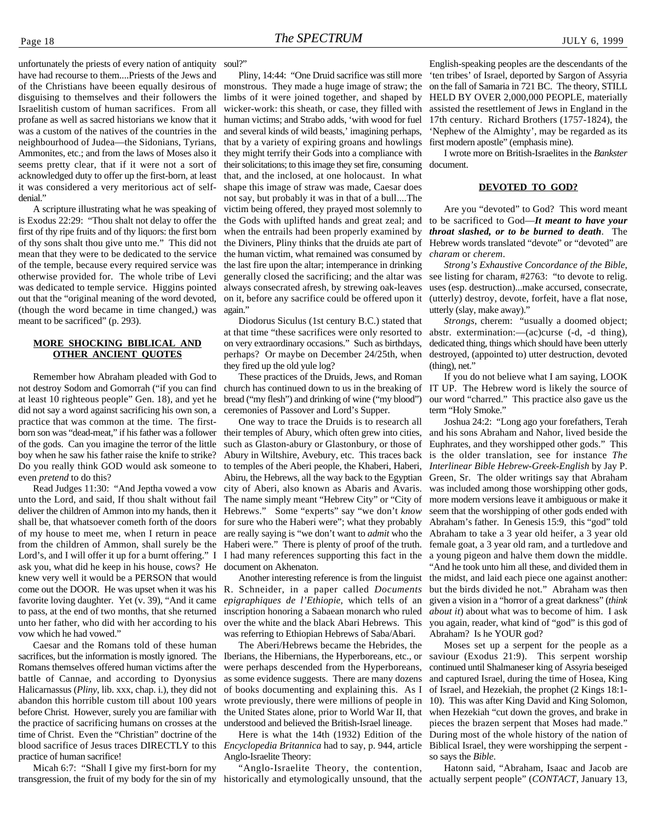unfortunately the priests of every nation of antiquity have had recourse to them....Priests of the Jews and of the Christians have beeen equally desirous of disguising to themselves and their followers the Israelitish custom of human sacrifices. From all profane as well as sacred historians we know that it was a custom of the natives of the countries in the neighbourhood of Judea—the Sidonians, Tyrians, Ammonites, etc.; and from the laws of Moses also it seems pretty clear, that if it were not a sort of acknowledged duty to offer up the first-born, at least it was considered a very meritorious act of selfdenial."

A scripture illustrating what he was speaking of is Exodus 22:29: "Thou shalt not delay to offer the first of thy ripe fruits and of thy liquors: the first born of thy sons shalt thou give unto me." This did not mean that they were to be dedicated to the service of the temple, because every required service was otherwise provided for. The whole tribe of Levi was dedicated to temple service. Higgins pointed out that the "original meaning of the word devoted, (though the word became in time changed,) was meant to be sacrificed" (p. 293).

#### **MORE SHOCKING BIBLICAL AND OTHER ANCIENT QUOTES**

Remember how Abraham pleaded with God to not destroy Sodom and Gomorrah ("if you can find at least 10 righteous people" Gen. 18), and yet he did not say a word against sacrificing his own son, a practice that was common at the time. The firstborn son was "dead-meat," if his father was a follower of the gods. Can you imagine the terror of the little boy when he saw his father raise the knife to strike? Do you really think GOD would ask someone to even *pretend* to do this?

Read Judges 11:30: "And Jeptha vowed a vow unto the Lord, and said, If thou shalt without fail deliver the children of Ammon into my hands, then it shall be, that whatsoever cometh forth of the doors of my house to meet me, when I return in peace from the children of Ammon, shall surely be the Lord's, and I will offer it up for a burnt offering." I ask you, what did he keep in his house, cows? He knew very well it would be a PERSON that would come out the DOOR. He was upset when it was his favorite loving daughter. Yet (v. 39), "And it came to pass, at the end of two months, that she returned unto her father, who did with her according to his vow which he had vowed."

Caesar and the Romans told of these human sacrifices, but the information is mostly ignored. The Romans themselves offered human victims after the battle of Cannae, and according to Dyonysius Halicarnassus (*Pliny*, lib. xxx, chap. i.), they did not abandon this horrible custom till about 100 years before Christ. However, surely you are familiar with the practice of sacrificing humans on crosses at the time of Christ. Even the "Christian" doctrine of the blood sacrifice of Jesus traces DIRECTLY to this practice of human sacrifice!

Micah 6:7: "Shall I give my first-born for my transgression, the fruit of my body for the sin of my historically and etymologically unsound, that the actually serpent people" (*CONTACT*, January 13,

soul?"

Pliny, 14:44: "One Druid sacrifice was still more monstrous. They made a huge image of straw; the limbs of it were joined together, and shaped by wicker-work: this sheath, or case, they filled with human victims; and Strabo adds, 'with wood for fuel and several kinds of wild beasts,' imagining perhaps, that by a variety of expiring groans and howlings they might terrify their Gods into a compliance with their solicitations; to this image they set fire, consuming that, and the inclosed, at one holocaust. In what shape this image of straw was made, Caesar does not say, but probably it was in that of a bull....The victim being offered, they prayed most solemnly to the human victim, what remained was consumed by the last fire upon the altar; intemperance in drinking always consecrated afresh, by strewing oak-leaves on it, before any sacrifice could be offered upon it again."

Diodorus Siculus (1st century B.C.) stated that at that time "these sacrifices were only resorted to abstr. extermination:—(ac)curse (-d, -d thing), on very extraordinary occasions." Such as birthdays, perhaps? Or maybe on December 24/25th, when they fired up the old yule log?

These practices of the Druids, Jews, and Roman bread ("my flesh") and drinking of wine ("my blood") ceremonies of Passover and Lord's Supper.

One way to trace the Druids is to research all their temples of Abury, which often grew into cities, such as Glaston-abury or Glastonbury, or those of Abury in Wiltshire, Avebury, etc. This traces back to temples of the Aberi people, the Khaberi, Haberi, Abiru, the Hebrews, all the way back to the Egyptian city of Aberi, also known as Abaris and Avaris. The name simply meant "Hebrew City" or "City of Hebrews." Some "experts" say "we don't *know* for sure who the Haberi were"; what they probably are really saying is "we don't want to *admit* who the Haberi were." There is plenty of proof of the truth. I had many references supporting this fact in the document on Akhenaton.

Another interesting reference is from the linguist R. Schneider, in a paper called *Documents epigraphiques de l'Ethiopie*, which tells of an inscription honoring a Sabaean monarch who ruled over the white and the black Abari Hebrews. This was referring to Ethiopian Hebrews of Saba/Abari.

The Aberi/Hebrews became the Hebrides, the Iberians, the Hibernians, the Hyperboreans, etc., or were perhaps descended from the Hyperboreans, as some evidence suggests. There are many dozens of books documenting and explaining this. As I wrote previously, there were millions of people in the United States alone, prior to World War II, that understood and believed the British-Israel lineage.

Here is what the 14th (1932) Edition of the *Encyclopedia Britannica* had to say, p. 944, article Anglo-Israelite Theory:

"Anglo-Israelite Theory, the contention,

English-speaking peoples are the descendants of the 'ten tribes' of Israel, deported by Sargon of Assyria on the fall of Samaria in 721 BC. The theory, STILL HELD BY OVER 2,000,000 PEOPLE, materially assisted the resettlement of Jews in England in the 17th century. Richard Brothers (1757-1824), the 'Nephew of the Almighty', may be regarded as its first modern apostle" (emphasis mine).

I wrote more on British-Israelites in the *Bankster* document.

#### **DEVOTED TO GOD?**

the Gods with uplifted hands and great zeal; and to be sacrificed to God—*It meant to have your* when the entrails had been properly examined by *throat slashed, or to be burned to death*. The the Diviners, Pliny thinks that the druids ate part of Hebrew words translated "devote" or "devoted" are Are you "devoted" to God? This word meant *charam* or *cherem*.

generally closed the sacrificing; and the altar was see listing for charam, #2763: "to devote to relig. *Strong's Exhaustive Concordance of the Bible*, uses (esp. destruction)...make accursed, consecrate, (utterly) destroy, devote, forfeit, have a flat nose, utterly (slay, make away)."

> *Strongs*, cherem: "usually a doomed object; dedicated thing, things which should have been utterly destroyed, (appointed to) utter destruction, devoted (thing), net."

church has continued down to us in the breaking of IT UP. The Hebrew word is likely the source of If you do not believe what I am saying, LOOK our word "charred." This practice also gave us the term "Holy Smoke."

> Joshua 24:2: "Long ago your forefathers, Terah and his sons Abraham and Nahor, lived beside the Euphrates, and they worshipped other gods." This is the older translation, see for instance *The Interlinear Bible Hebrew-Greek-English* by Jay P. Green, Sr. The older writings say that Abraham was included among those worshipping other gods, more modern versions leave it ambiguous or make it seem that the worshipping of other gods ended with Abraham's father. In Genesis 15:9, this "god" told Abraham to take a 3 year old heifer, a 3 year old female goat, a 3 year old ram, and a turtledove and a young pigeon and halve them down the middle. "And he took unto him all these, and divided them in the midst, and laid each piece one against another: but the birds divided he not." Abraham was then given a vision in a "horror of a great darkness" (*think*

> *about it*) about what was to become of him. I ask you again, reader, what kind of "god" is this god of Abraham? Is he YOUR god?

> Moses set up a serpent for the people as a saviour (Exodus 21:9). This serpent worship continued until Shalmaneser king of Assyria beseiged and captured Israel, during the time of Hosea, King of Israel, and Hezekiah, the prophet (2 Kings 18:1- 10). This was after King David and King Solomon, when Hezekiah "cut down the groves, and brake in pieces the brazen serpent that Moses had made." During most of the whole history of the nation of Biblical Israel, they were worshipping the serpent so says the *Bible*.

Hatonn said, "Abraham, Isaac and Jacob are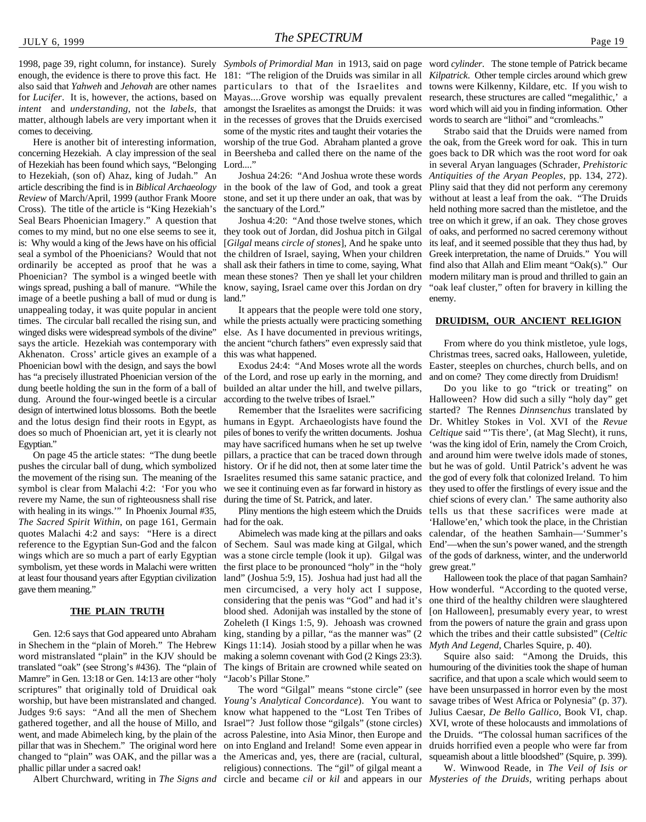enough, the evidence is there to prove this fact. He 181: "The religion of the Druids was similar in all also said that *Yahweh* and *Jehovah* are other names for *Lucifer*. It is, however, the actions, based on *intent* and *understanding*, not the *labels*, that matter, although labels are very important when it comes to deceiving.

Here is another bit of interesting information, concerning Hezekiah. A clay impression of the seal of Hezekiah has been found which says, "Belonging to Hezekiah, (son of) Ahaz, king of Judah." An article describing the find is in *Biblical Archaeology Review* of March/April, 1999 (author Frank Moore Cross). The title of the article is "King Hezekiah's Seal Bears Phoenician Imagery." A question that comes to my mind, but no one else seems to see it, they took out of Jordan, did Joshua pitch in Gilgal is: Why would a king of the Jews have on his official seal a symbol of the Phoenicians? Would that not the children of Israel, saying, When your children ordinarily be accepted as proof that he was a Phoenician? The symbol is a winged beetle with mean these stones? Then ye shall let your children wings spread, pushing a ball of manure. "While the know, saying, Israel came over this Jordan on dry image of a beetle pushing a ball of mud or dung is unappealing today, it was quite popular in ancient times. The circular ball recalled the rising sun, and winged disks were widespread symbols of the divine" says the article. Hezekiah was contemporary with Akhenaton. Cross' article gives an example of a Phoenician bowl with the design, and says the bowl has "a precisely illustrated Phoenician version of the dung beetle holding the sun in the form of a ball of dung. Around the four-winged beetle is a circular design of intertwined lotus blossoms. Both the beetle and the lotus design find their roots in Egypt, as does so much of Phoenician art, yet it is clearly not Egyptian."

On page 45 the article states: "The dung beetle pushes the circular ball of dung, which symbolized the movement of the rising sun. The meaning of the symbol is clear from Malachi 4:2: 'For you who revere my Name, the sun of righteousness shall rise with healing in its wings.'" In Phoenix Journal #35, *The Sacred Spirit Within*, on page 161, Germain had for the oak. quotes Malachi 4:2 and says: "Here is a direct reference to the Egyptian Sun-God and the falcon wings which are so much a part of early Egyptian symbolism, yet these words in Malachi were written at least four thousand years after Egyptian civilization gave them meaning."

#### **THE PLAIN TRUTH**

Gen. 12:6 says that God appeared unto Abraham in Shechem in the "plain of Moreh." The Hebrew word mistranslated "plain" in the KJV should be translated "oak" (see Strong's #436). The "plain of Mamre" in Gen. 13:18 or Gen. 14:13 are other "holy scriptures" that originally told of Druidical oak worship, but have been mistranslated and changed. Judges 9:6 says: "And all the men of Shechem gathered together, and all the house of Millo, and went, and made Abimelech king, by the plain of the pillar that was in Shechem." The original word here changed to "plain" was OAK, and the pillar was a phallic pillar under a sacred oak!

particulars to that of the Israelites and Mayas....Grove worship was equally prevalent amongst the Israelites as amongst the Druids: it was in the recesses of groves that the Druids exercised some of the mystic rites and taught their votaries the worship of the true God. Abraham planted a grove in Beersheba and called there on the name of the Lord...."

Joshua 24:26: "And Joshua wrote these words in the book of the law of God, and took a great stone, and set it up there under an oak, that was by the sanctuary of the Lord."

Joshua 4:20: "And those twelve stones, which [*Gilgal* means *circle of stones*], And he spake unto shall ask their fathers in time to come, saying, What find also that Allah and Elim meant "Oak(s)." Our land."

It appears that the people were told one story, while the priests actually were practicing something else. As I have documented in previous writings, the ancient "church fathers" even expressly said that this was what happened.

Exodus 24:4: "And Moses wrote all the words of the Lord, and rose up early in the morning, and builded an altar under the hill, and twelve pillars, according to the twelve tribes of Israel."

Remember that the Israelites were sacrificing humans in Egypt. Archaeologists have found the piles of bones to verify the written documents. Joshua may have sacrificed humans when he set up twelve pillars, a practice that can be traced down through history. Or if he did not, then at some later time the Israelites resumed this same satanic practice, and we see it continuing even as far forward in history as during the time of St. Patrick, and later.

Abimelech was made king at the pillars and oaks of Sechem. Saul was made king at Gilgal, which End'—when the sun's power waned, and the strength was a stone circle temple (look it up). Gilgal was the first place to be pronounced "holy" in the "holy land" (Joshua 5:9, 15). Joshua had just had all the men circumcised, a very holy act I suppose, considering that the penis was "God" and had it's blood shed. Adonijah was installed by the stone of Zoheleth (I Kings 1:5, 9). Jehoash was crowned king, standing by a pillar, "as the manner was" (2 Kings 11:14). Josiah stood by a pillar when he was making a solemn covenant with God (2 Kings 23:3). The kings of Britain are crowned while seated on "Jacob's Pillar Stone."

Albert Churchward, writing in *The Signs and* circle and became *cil* or *kil* and appears in our *Mysteries of the Druids*, writing perhaps aboutThe word "Gilgal" means "stone circle" (see *Young's Analytical Concordance*). You want to know what happened to the "Lost Ten Tribes of Israel"? Just follow those "gilgals" (stone circles) across Palestine, into Asia Minor, then Europe and on into England and Ireland! Some even appear in the Americas and, yes, there are (racial, cultural, religious) connections. The "gil" of gilgal meant a

1998, page 39, right column, for instance). Surely *Symbols of Primordial Man* in 1913, said on page word *cylinder*. The stone temple of Patrick became *Kilpatrick*. Other temple circles around which grew towns were Kilkenny, Kildare, etc. If you wish to research, these structures are called "megalithic,' a word which will aid you in finding information. Other words to search are "lithoi" and "cromleachs."

> Strabo said that the Druids were named from the oak, from the Greek word for oak. This in turn goes back to DR which was the root word for oak in several Aryan languages (Schrader, *Prehistoric Antiquities of the Aryan Peoples*, pp. 134, 272). Pliny said that they did not perform any ceremony without at least a leaf from the oak. "The Druids held nothing more sacred than the mistletoe, and the tree on which it grew, if an oak. They chose groves of oaks, and performed no sacred ceremony without its leaf, and it seemed possible that they thus had, by Greek interpretation, the name of Druids." You will modern military man is proud and thrilled to gain an "oak leaf cluster," often for bravery in killing the enemy.

#### **DRUIDISM, OUR ANCIENT RELIGION**

From where do you think mistletoe, yule logs, Christmas trees, sacred oaks, Halloween, yuletide, Easter, steeples on churches, church bells, and on and on come? They come directly from Druidism!

Pliny mentions the high esteem which the Druids tells us that these sacrifices were made at Do you like to go "trick or treating" on Halloween? How did such a silly "holy day" get started? The Rennes *Dinnsenchus* translated by Dr. Whitley Stokes in Vol. XVI of the *Revue Celtique* said "Tis there', (at Mag Slecht), it runs, 'was the king idol of Erin, namely the Crom Croich, and around him were twelve idols made of stones, but he was of gold. Until Patrick's advent he was the god of every folk that colonized Ireland. To him they used to offer the firstlings of every issue and the chief scions of every clan.' The same authority also 'Hallowe'en,' which took the place, in the Christian calendar, of the heathen Samhain—'Summer's of the gods of darkness, winter, and the underworld grew great."

Halloween took the place of that pagan Samhain? How wonderful. "According to the quoted verse, one third of the healthy children were slaughtered [on Halloween], presumably every year, to wrest from the powers of nature the grain and grass upon which the tribes and their cattle subsisted" (*Celtic Myth And Legend*, Charles Squire, p. 40).

Squire also said: "Among the Druids, this humouring of the divinities took the shape of human sacrifice, and that upon a scale which would seem to have been unsurpassed in horror even by the most savage tribes of West Africa or Polynesia" (p. 37). Julius Caesar, *De Bello Gallico*, Book VI, chap. XVI, wrote of these holocausts and immolations of the Druids. "The colossal human sacrifices of the druids horrified even a people who were far from squeamish about a little bloodshed" (Squire, p. 399).

W. Winwood Reade, in *The Veil of Isis or*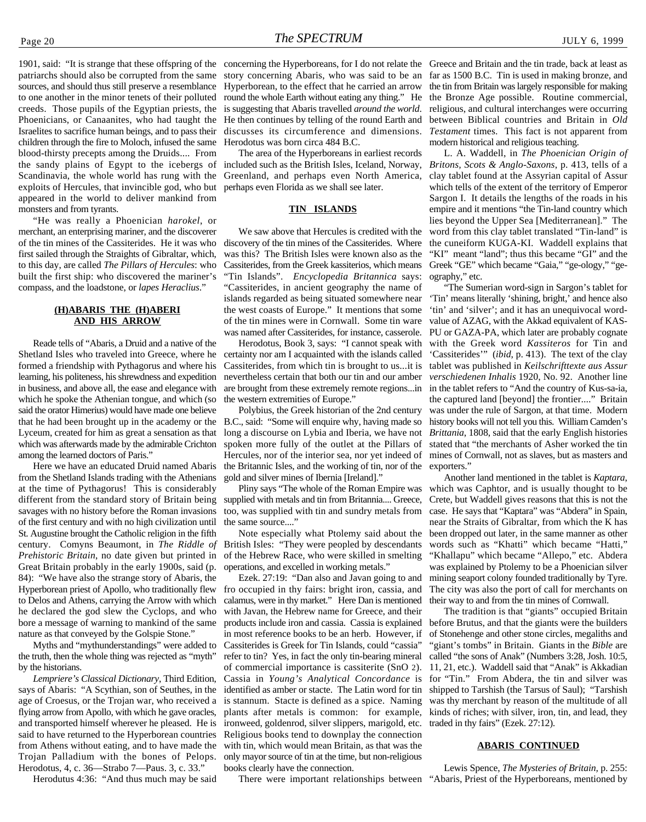patriarchs should also be corrupted from the same sources, and should thus still preserve a resemblance to one another in the minor tenets of their polluted creeds. Those pupils of the Egyptian priests, the Phoenicians, or Canaanites, who had taught the Israelites to sacrifice human beings, and to pass their children through the fire to Moloch, infused the same blood-thirsty precepts among the Druids.... From the sandy plains of Egypt to the icebergs of Scandinavia, the whole world has rung with the exploits of Hercules, that invincible god, who but appeared in the world to deliver mankind from monsters and from tyrants.

"He was really a Phoenician *harokel*, or merchant, an enterprising mariner, and the discoverer of the tin mines of the Cassiterides. He it was who discovery of the tin mines of the Cassiterides. Where first sailed through the Straights of Gibraltar, which, to this day, are called *The Pillars of Hercules*: who built the first ship: who discovered the mariner's compass, and the loadstone, or *lapes Heraclius*."

#### **(H)ABARIS THE (H)ABERI AND HIS ARROW**

Reade tells of "Abaris, a Druid and a native of the Shetland Isles who traveled into Greece, where he formed a friendship with Pythagorus and where his learning, his politeness, his shrewdness and expedition in business, and above all, the ease and elegance with which he spoke the Athenian tongue, and which (so said the orator Himerius) would have made one believe that he had been brought up in the academy or the Lyceum, created for him as great a sensation as that which was afterwards made by the admirable Crichton among the learned doctors of Paris."

Here we have an educated Druid named Abaris from the Shetland Islands trading with the Athenians at the time of Pythagorus! This is considerably different from the standard story of Britain being savages with no history before the Roman invasions of the first century and with no high civilization until St. Augustine brought the Catholic religion in the fifth century. Comyns Beaumont, in *The Riddle of Prehistoric Britain*, no date given but printed in Great Britain probably in the early 1900s, said (p. 84): "We have also the strange story of Abaris, the Hyperborean priest of Apollo, who traditionally flew to Delos and Athens, carrying the Arrow with which he declared the god slew the Cyclops, and who bore a message of warning to mankind of the same nature as that conveyed by the Golspie Stone."

Myths and "mythunderstandings" were added to the truth, then the whole thing was rejected as "myth" by the historians.

*Lempriere's Classical Dictionary*, Third Edition, says of Abaris: "A Scythian, son of Seuthes, in the age of Croesus, or the Trojan war, who received a flying arrow from Apollo, with which he gave oracles, and transported himself wherever he pleased. He is said to have returned to the Hyperborean countries from Athens without eating, and to have made the Trojan Palladium with the bones of Pelops. Herodotus, 4, c. 36—Strabo 7—Paus. 3, c. 33."

Herodutus 4:36: "And thus much may be said

1901, said: "It is strange that these offspring of the concerning the Hyperboreans, for I do not relate the Greece and Britain and the tin trade, back at least as story concerning Abaris, who was said to be an Hyperborean, to the effect that he carried an arrow round the whole Earth without eating any thing." He is suggesting that Abaris travelled *around the world*. He then continues by telling of the round Earth and discusses its circumference and dimensions. Herodotus was born circa 484 B.C.

> The area of the Hyperboreans in earliest records included such as the British Isles, Iceland, Norway, Greenland, and perhaps even North America, perhaps even Florida as we shall see later.

#### **TIN ISLANDS**

We saw above that Hercules is credited with the was this? The British Isles were known also as the Cassiterides, from the Greek kassiterios, which means "Tin Islands". *Encyclopedia Britannica* says: "Cassiterides, in ancient geography the name of islands regarded as being situated somewhere near the west coasts of Europe." It mentions that some of the tin mines were in Cornwall. Some tin ware was named after Cassiterides, for instance, casserole.

Herodotus, Book 3, says: "I cannot speak with certainty nor am I acquainted with the islands called Cassiterides, from which tin is brought to us...it is nevertheless certain that both our tin and our amber are brought from these extremely remote regions...in the western extremities of Europe."

Polybius, the Greek historian of the 2nd century B.C., said: "Some will enquire why, having made so long a discourse on Lybia and Iberia, we have not spoken more fully of the outlet at the Pillars of Hercules, nor of the interior sea, nor yet indeed of the Britannic Isles, and the working of tin, nor of the gold and silver mines of Ibernia [Ireland]."

the same source...."

Note especially what Ptolemy said about the British Isles: "They were peopled by descendants of the Hebrew Race, who were skilled in smelting operations, and excelled in working metals."

Ezek. 27:19: "Dan also and Javan going to and fro occupied in thy fairs: bright iron, cassia, and calamus, were in thy market." Here Dan is mentioned with Javan, the Hebrew name for Greece, and their products include iron and cassia. Cassia is explained in most reference books to be an herb. However, if Cassiterides is Greek for Tin Islands, could "cassia" refer to tin? Yes, in fact the only tin-bearing mineral of commercial importance is cassiterite (SnO 2). Cassia in *Young's Analytical Concordance* is identified as amber or stacte. The Latin word for tin is stannum. Stacte is defined as a spice. Naming plants after metals is common: for example, ironweed, goldenrod, silver slippers, marigold, etc. Religious books tend to downplay the connection with tin, which would mean Britain, as that was the only mayor source of tin at the time, but non-religious books clearly have the connection.

There were important relationships between "Abaris, Priest of the Hyperboreans, mentioned by

far as 1500 B.C. Tin is used in making bronze, and the tin from Britain was largely responsible for making the Bronze Age possible. Routine commercial, religious, and cultural interchanges were occurring between Biblical countries and Britain in *Old Testament* times. This fact is not apparent from modern historical and religious teaching.

L. A. Waddell, in *The Phoenician Origin of Britons, Scots & Anglo-Saxons*, p. 413, tells of a clay tablet found at the Assyrian capital of Assur which tells of the extent of the territory of Emperor Sargon I. It details the lengths of the roads in his empire and it mentions "the Tin-land country which lies beyond the Upper Sea [Mediterranean]." The word from this clay tablet translated "Tin-land" is the cuneiform KUGA-KI. Waddell explains that "KI" meant "land"; thus this became "GI" and the Greek "GE" which became "Gaia," "ge-ology," "geography," etc.

"The Sumerian word-sign in Sargon's tablet for 'Tin' means literally 'shining, bright,' and hence also 'tin' and 'silver'; and it has an unequivocal wordvalue of AZAG, with the Akkad equivalent of KAS-PU or GAZA-PA, which later are probably cognate with the Greek word *Kassiteros* for Tin and 'Cassiterides'" (*ibid*, p. 413). The text of the clay tablet was published in *Keilschrifttexte aus Assur verschiedenen Inhalis* 1920, No. 92. Another line in the tablet refers to "And the country of Kus-sa-ia, the captured land [beyond] the frontier...." Britain was under the rule of Sargon, at that time. Modern history books will not tell you this. William Camden's *Brittania*, 1808, said that the early English histories stated that "the merchants of Asher worked the tin mines of Cornwall, not as slaves, but as masters and exporters."

Pliny says "The whole of the Roman Empire was which was Caphtor, and is usually thought to be supplied with metals and tin from Britannia.... Greece, Crete, but Waddell gives reasons that this is not the too, was supplied with tin and sundry metals from case. He says that "Kaptara" was "Abdera" in Spain, Another land mentioned in the tablet is *Kaptara*, near the Straits of Gibraltar, from which the K has been dropped out later, in the same manner as other words such as "Khatti" which became "Hatti," "Khallapu" which became "Allepo," etc. Abdera was explained by Ptolemy to be a Phoenician silver mining seaport colony founded traditionally by Tyre. The city was also the port of call for merchants on their way to and from the tin mines of Cornwall.

> The tradition is that "giants" occupied Britain before Brutus, and that the giants were the builders of Stonehenge and other stone circles, megaliths and "giant's tombs" in Britain. Giants in the *Bible* are called "the sons of Anak" (Numbers 3:28, Josh. 10:5, 11, 21, etc.). Waddell said that "Anak" is Akkadian for "Tin." From Abdera, the tin and silver was shipped to Tarshish (the Tarsus of Saul); "Tarshish was thy merchant by reason of the multitude of all kinds of riches; with silver, iron, tin, and lead, they traded in thy fairs" (Ezek. 27:12).

#### **ABARIS CONTINUED**

Lewis Spence, *The Mysteries of Britain,* p. 255: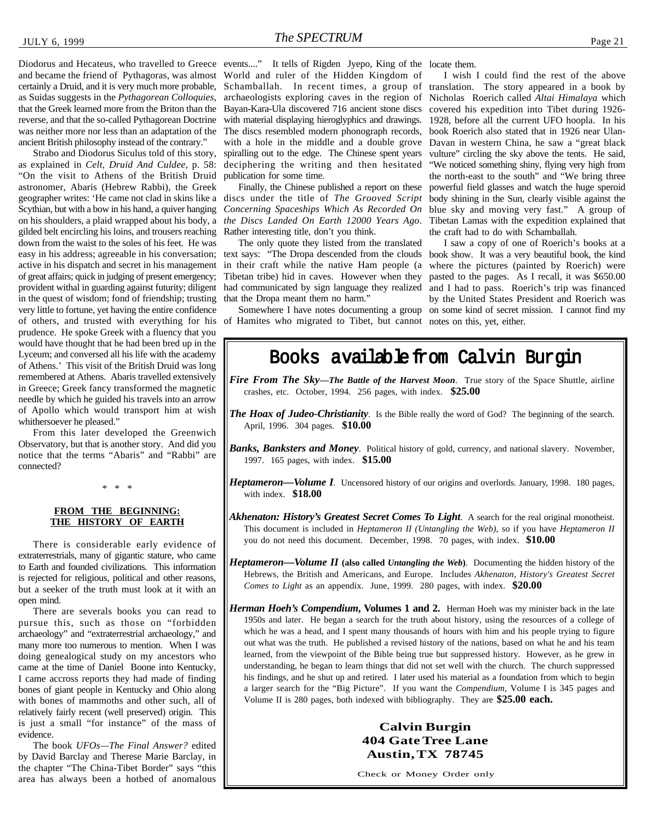Diodorus and Hecateus, who travelled to Greece events...." It tells of Rigden Jyepo, King of the locate them. and became the friend of Pythagoras, was almost World and ruler of the Hidden Kingdom of certainly a Druid, and it is very much more probable, as Suidas suggests in the *Pythagorean Colloquies*, that the Greek learned more from the Briton than the reverse, and that the so-called Pythagorean Doctrine was neither more nor less than an adaptation of the ancient British philosophy instead of the contrary."

Strabo and Diodorus Siculus told of this story, as explained in *Celt, Druid And Culdee*, p. 58: "On the visit to Athens of the British Druid astronomer, Abaris (Hebrew Rabbi), the Greek geographer writes: 'He came not clad in skins like a discs under the title of *The Grooved Script* Scythian, but with a bow in his hand, a quiver hanging *Concerning Spaceships Which As Recorded On* on his shoulders, a plaid wrapped about his body, a gilded belt encircling his loins, and trousers reaching down from the waist to the soles of his feet. He was active in his dispatch and secret in his management in their craft while the native Ham people (a of great affairs; quick in judging of present emergency; provident withal in guarding against futurity; diligent had communicated by sign language they realized in the quest of wisdom; fond of friendship; trusting very little to fortune, yet having the entire confidence of others, and trusted with everything for his of Hamites who migrated to Tibet, but cannot notes on this, yet, either. prudence. He spoke Greek with a fluency that you would have thought that he had been bred up in the Lyceum; and conversed all his life with the academy of Athens.' This visit of the British Druid was long remembered at Athens. Abaris travelled extensively in Greece; Greek fancy transformed the magnetic needle by which he guided his travels into an arrow of Apollo which would transport him at wish whithersoever he pleased."

From this later developed the Greenwich Observatory, but that is another story. And did you notice that the terms "Abaris" and "Rabbi" are connected?

\* \* \*

#### **FROM THE BEGINNING: THE HISTORY OF EARTH**

There is considerable early evidence of extraterrestrials, many of gigantic stature, who came to Earth and founded civilizations. This information is rejected for religious, political and other reasons, but a seeker of the truth must look at it with an open mind.

There are severals books you can read to pursue this, such as those on "forbidden archaeology" and "extraterrestrial archaeology," and many more too numerous to mention. When I was doing genealogical study on my ancestors who came at the time of Daniel Boone into Kentucky, I came accross reports they had made of finding bones of giant people in Kentucky and Ohio along with bones of mammoths and other such, all of relatively fairly recent (well preserved) origin. This is just a small "for instance" of the mass of evidence.

The book *UFOs—The Final Answer?* edited by David Barclay and Therese Marie Barclay, in the chapter "The China-Tibet Border" says "this area has always been a hotbed of anomalous

Schamballah. In recent times, a group of archaeologists exploring caves in the region of Bayan-Kara-Ula discovered 716 ancient stone discs with material displaying hieroglyphics and drawings. The discs resembled modern phonograph records, with a hole in the middle and a double grove spiralling out to the edge. The Chinese spent years deciphering the writing and then hesitated publication for some time.

Finally, the Chinese published a report on these *the Discs Landed On Earth 12000 Years Ago*. Rather interesting title, don't you think.

easy in his address; agreeable in his conversation; text says: "The Dropa descended from the clouds book show. It was a very beautiful book, the kind The only quote they listed from the translated Tibetan tribe) hid in caves. However when they that the Dropa meant them no harm."

I wish I could find the rest of the above translation. The story appeared in a book by Nicholas Roerich called *Altai Himalaya* which covered his expedition into Tibet during 1926- 1928, before all the current UFO hoopla. In his book Roerich also stated that in 1926 near Ulan-Davan in western China, he saw a "great black vulture" circling the sky above the tents. He said, "We noticed something shiny, flying very high from the north-east to the south" and "We bring three powerful field glasses and watch the huge speroid body shining in the Sun, clearly visible against the blue sky and moving very fast." A group of Tibetan Lamas with the expedition explained that the craft had to do with Schamballah.

Somewhere I have notes documenting a group on some kind of secret mission. I cannot find my I saw a copy of one of Roerich's books at a where the pictures (painted by Roerich) were pasted to the pages. As I recall, it was \$650.00 and I had to pass. Roerich's trip was financed by the United States President and Roerich was

### Books available from Calvin Burgin

*Fire From The Sky-The Battle of the Harvest Moon*. True story of the Space Shuttle, airline crashes, etc. October, 1994. 256 pages, with index. **\$25.00**

- **The Hoax of Judeo-Christianity**. Is the Bible really the word of God? The beginning of the search. April, 1996. 304 pages. **\$10.00**
- *Banks, Banksters and Money*. Political history of gold, currency, and national slavery. November, 1997. 165 pages, with index. **\$15.00**
- *Heptameron—Volume I.* Uncensored history of our origins and overlords. January, 1998. 180 pages, with index. **\$18.00**
- *Akhenaton: History's Greatest Secret Comes To Light*. A search for the real original monotheist. This document is included in *Heptameron II (Untangling the Web)*, so if you have *Heptameron II* you do not need this document. December, 1998. 70 pages, with index. **\$10.00**
- *Heptameron—Volume II* **(also called** *Untangling the Web***)**. Documenting the hidden history of the Hebrews, the British and Americans, and Europe. Includes *Akhenaton, History's Greatest Secret Comes to Light* as an appendix. June, 1999. 280 pages, with index. **\$20.00**
- *Herman Hoeh's Compendium*, Volumes 1 and 2. Herman Hoeh was my minister back in the late 1950s and later. He began a search for the truth about history, using the resources of a college of which he was a head, and I spent many thousands of hours with him and his people trying to figure out what was the truth. He published a revised history of the nations, based on what he and his team learned, from the viewpoint of the Bible being true but suppressed history. However, as he grew in understanding, he began to learn things that did not set well with the church. The church suppressed his findings, and he shut up and retired. I later used his material as a foundation from which to begin a larger search for the "Big Picture". If you want the *Compendium*, Volume I is 345 pages and Volume II is 280 pages, both indexed with bibliography. They are **\$25.00 each.**

#### **Calvin Burgin 404 Gate Tree Lane Austin, TX 78745**

Check or Money Order only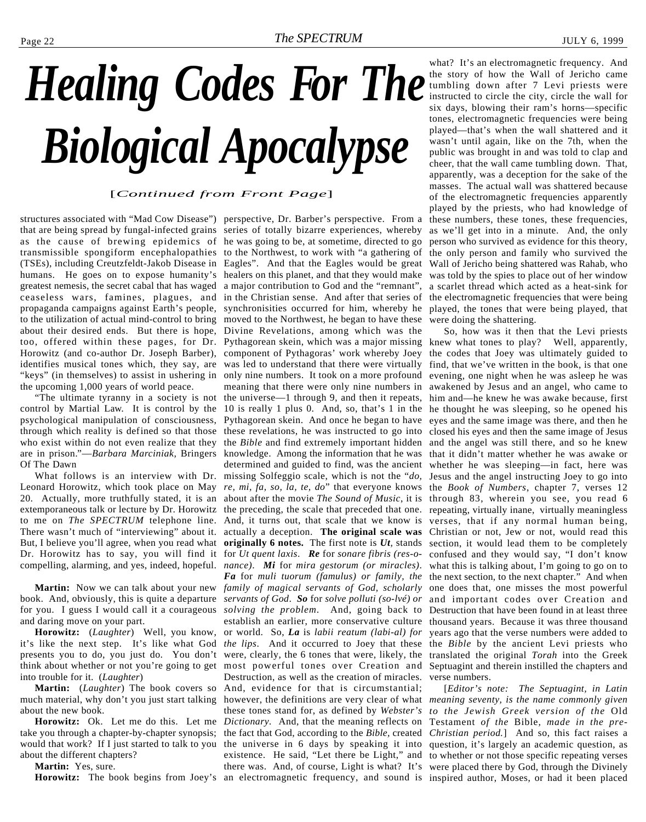# <span id="page-21-0"></span>*Healing Codes For The Biological Apocalypse*

#### [*Continued from Front Page*]

that are being spread by fungal-infected grains series of totally bizarre experiences, whereby as the cause of brewing epidemics of he was going to be, at sometime, directed to go transmissible spongiform encephalopathies to the Northwest, to work with "a gathering of (TSEs), including Creutzfeldt-Jakob Disease in Eagles". And that the Eagles would be great humans. He goes on to expose humanity's healers on this planet, and that they would make was told by the spies to place out of her window greatest nemesis, the secret cabal that has waged a major contribution to God and the "remnant", ceaseless wars, famines, plagues, and in the Christian sense. And after that series of propaganda campaigns against Earth's people, synchronisities occurred for him, whereby he to the utilization of actual mind-control to bring moved to the Northwest, he began to have these about their desired ends. But there is hope, too, offered within these pages, for Dr. Pythagorean skein, which was a major missing knew what tones to play? Well, apparently, Horowitz (and co-author Dr. Joseph Barber), component of Pythagoras' work whereby Joey identifies musical tones which, they say, are was led to understand that there were virtually "keys" (in themselves) to assist in ushering in the upcoming 1,000 years of world peace.

"The ultimate tyranny in a society is not control by Martial Law. It is control by the psychological manipulation of consciousness, through which reality is defined so that those who exist within do not even realize that they are in prison."—*Barbara Marciniak,* Bringers Of The Dawn

Leonard Horowitz, which took place on May 20. Actually, more truthfully stated, it is an extemporaneous talk or lecture by Dr. Horowitz to me on *The SPECTRUM* telephone line. There wasn't much of "interviewing" about it. But, I believe you'll agree, when you read what Dr. Horowitz has to say, you will find it compelling, alarming, and yes, indeed, hopeful. *nance)*. *Mi* for *mira gestorum (or miracles)*.

book. And, obviously, this is quite a departure *servants of God*. *So* for *solve polluti (so-lvé) or* for you. I guess I would call it a courageous *solving the problem*. And, going back to and daring move on your part.

**Horowitz:** (*Laughter*) Well, you know, it's like the next step. It's like what God presents you to do, you just do. You don't were, clearly, the 6 tones that were, likely, the think about whether or not you're going to get into trouble for it. (*Laughter*)

**Martin:** (*Laughter*) The book covers so much material, why don't you just start talking about the new book.

**Horowitz:** Ok. Let me do this. Let me take you through a chapter-by-chapter synopsis; would that work? If I just started to talk to you about the different chapters?

**Martin:** Yes, sure.

structures associated with "Mad Cow Disease") perspective, Dr. Barber's perspective. From a What follows is an interview with Dr. missing Solfeggio scale, which is not the "*do,* **Martin:** Now we can talk about your new *family of magical servants of God, scholarly* Horowitz: The book begins from Joey's an electromagnetic frequency, and sound is inspired author, Moses, or had it been placed Divine Revelations, among which was the only nine numbers. It took on a more profound evening, one night when he was asleep he was meaning that there were only nine numbers in awakened by Jesus and an angel, who came to the universe—1 through 9, and then it repeats, 10 is really 1 plus 0. And, so, that's 1 in the he thought he was sleeping, so he opened his Pythagorean skein. And once he began to have these revelations, he was instructed to go into the *Bible* and find extremely important hidden knowledge. Among the information that he was determined and guided to find, was the ancient *re, mi, fa, so, la, te, do*" that everyone knows about after the movie *The Sound of Music*, it is the preceding, the scale that preceded that one. And, it turns out, that scale that we know is actually a deception. **The original scale was originally 6 notes.** The first note is *Ut,* stands for *Ut quent laxis*. *Re* for *sonare fibris (res-o-Fa* for *muli tuorum (famulus) or family, the* establish an earlier, more conservative culture or world. So, *La* is *labii reatum (labi-al) for the lips*. And it occurred to Joey that these most powerful tones over Creation and Destruction, as well as the creation of miracles. And, evidence for that is circumstantial; however, the definitions are very clear of what *meaning seventy, is the name commonly given* these tones stand for, as defined by *Webster's to the Jewish Greek version of the* Old *Dictionary.* And, that the meaning reflects on Testament *of the* Bible*, made in the pre*the fact that God, according to the *Bible,* created *Christian period.*] And so, this fact raises a the universe in 6 days by speaking it into question, it's largely an academic question, as existence. He said, "Let there be Light," and to whether or not those specific repeating verses there was. And, of course, Light is what? It's were placed there by God, through the Divinely

what? It's an electromagnetic frequency. And the story of how the Wall of Jericho came tumbling down after 7 Levi priests were instructed to circle the city, circle the wall for six days, blowing their ram's horns—specific tones, electromagnetic frequencies were being played—that's when the wall shattered and it wasn't until again, like on the 7th, when the public was brought in and was told to clap and cheer, that the wall came tumbling down. That, apparently, was a deception for the sake of the masses. The actual wall was shattered because of the electromagnetic frequencies apparently played by the priests, who had knowledge of these numbers, these tones, these frequencies, as we'll get into in a minute. And, the only person who survived as evidence for this theory, the only person and family who survived the Wall of Jericho being shattered was Rahab, who a scarlet thread which acted as a heat-sink for the electromagnetic frequencies that were being played, the tones that were being played, that were doing the shattering.

So, how was it then that the Levi priests the codes that Joey was ultimately guided to find, that we've written in the book, is that one him and—he knew he was awake because, first eyes and the same image was there, and then he closed his eyes and then the same image of Jesus and the angel was still there, and so he knew that it didn't matter whether he was awake or whether he was sleeping—in fact, here was Jesus and the angel instructing Joey to go into the *Book of Numbers*, chapter 7, verses 12 through 83, wherein you see, you read 6 repeating, virtually inane, virtually meaningless verses, that if any normal human being, Christian or not, Jew or not, would read this section, it would lead them to be completely confused and they would say, "I don't know what this is talking about, I'm going to go on to the next section, to the next chapter." And when one does that, one misses the most powerful and important codes over Creation and Destruction that have been found in at least three thousand years. Because it was three thousand years ago that the verse numbers were added to the *Bible* by the ancient Levi priests who translated the original *Torah* into the Greek Septuagint and therein instilled the chapters and verse numbers.

[*Editor's note: The Septuagint, in Latin*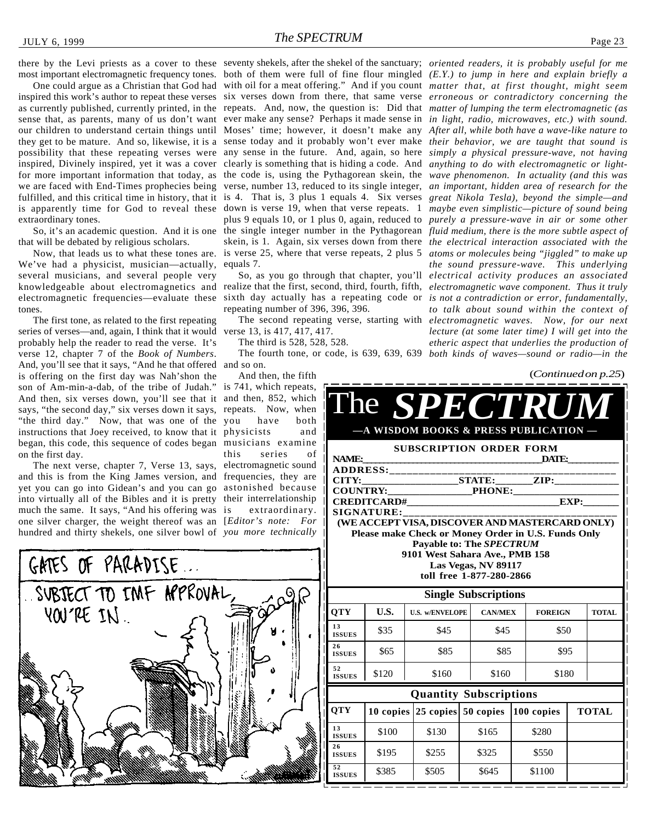inspired this work's author to repeat these verses six verses down from there, that same verse *erroneous or contradictory concerning the* as currently published, currently printed, in the repeats. And, now, the question is: Did that matter of lumping the term electromagnetic (as sense that, as parents, many of us don't want ever make any sense? Perhaps it made sense in *in light, radio, microwaves, etc.*) with sound. our children to understand certain things until Moses' time; however, it doesn't make any *After all, while both have a wave-like nature to* they get to be mature. And so, likewise, it is a sense today and it probably won't ever make *their behavior, we are taught that sound is* possibility that these repeating verses were any sense in the future. And, again, so here *simply a physical pressure-wave, not having* inspired, Divinely inspired, yet it was a cover clearly is something that is hiding a code. And *anything to do with electromagnetic or light*for more important information that today, as the code is, using the Pythagorean skein, the *wave phenomenon. In actuality (and this was* we are faced with End-Times prophecies being verse, number 13, reduced to its single integer, an important, hidden area of research for the fulfilled, and this critical time in history, that it is 4. That is, 3 plus 1 equals 4. Six verses great Nikola Tesla), beyond the simple—and is apparently time for God to reveal these down is verse 19, when that verse repeats. 1 *maybe even simplistic—picture of sound being* extraordinary tones.

that will be debated by religious scholars.

Now, that leads us to what these tones are. We've had a physicist, musician—actually, several musicians, and several people very tones.

The first tone, as related to the first repeating series of verses—and, again, I think that it would probably help the reader to read the verse. It's verse 12, chapter 7 of the *Book of Numbers*. And, you'll see that it says, "And he that offered and so on. is offering on the first day was Nah'shon the son of Am-min-a-dab, of the tribe of Judah." And then, six verses down, you'll see that it and then, 852, which says, "the second day," six verses down it says, repeats. Now, when "the third day." Now, that was one of the you instructions that Joey received, to know that it physicists and began, this code, this sequence of codes began musicians examine on the first day.

The next verse, chapter 7, Verse 13, says, electromagnetic sound and this is from the King James version, and frequencies, they are yet you can go into Gidean's and you can go astonished because into virtually all of the Bibles and it is pretty their interrelationship much the same. It says, "And his offering was one silver charger, the weight thereof was an [*Editor's note: For* hundred and thirty shekels, one silver bowl of *you more technically*

there by the Levi priests as a cover to these seventy shekels, after the shekel of the sanctuary; *oriented readers, it is probably useful for me* equals 7.

repeating number of 396, 396, 396.

verse 13, is 417, 417, 417.

The third is 528, 528, 528.

The fourth tone, or code, is 639, 639, 639 *both kinds of waves—sound or radio—in the*

And then, the fifth is 741, which repeats, have both this series of extraordinary.

most important electromagnetic frequency tones. both of them were full of fine flour mingled *(E.Y.) to jump in here and explain briefly a* One could argue as a Christian that God had with oil for a meat offering." And if you count matter that, at first thought, might seem So, it's an academic question. And it is one the single integer number in the Pythagorean *fluid medium, there is the more subtle aspect of* knowledgeable about electromagnetics and realize that the first, second, third, fourth, fifth, electromagnetic wave component. Thus it truly electromagnetic frequencies—evaluate these sixth day actually has a repeating code or *is not a contradiction or error, fundamentally*, plus 9 equals 10, or 1 plus 0, again, reduced to *purely a pressure-wave in air or some other* skein, is 1. Again, six verses down from there *the electrical interaction associated with the* is verse 25, where that verse repeats, 2 plus 5 *atoms or molecules being "jiggled" to make up* So, as you go through that chapter, you'll *electrical activity produces an associated* The second repeating verse, starting with *electromagnetic waves. Now, for our next the sound pressure-wave. This underlying to talk about sound within the context of lecture (at some later time) I will get into the etheric aspect that underlies the production of*

(*Continued on p.25*)

| The SPECTRUM<br>A WISDOM BOOKS & PRESS PUBLICATION                                                                                                                                                                                          |                               |                                                    |                 |                             |       |                        |  |              |
|---------------------------------------------------------------------------------------------------------------------------------------------------------------------------------------------------------------------------------------------|-------------------------------|----------------------------------------------------|-----------------|-----------------------------|-------|------------------------|--|--------------|
| <b>SUBSCRIPTION ORDER FORM</b><br>NAME:<br><b>DATE:</b><br>ADDRESS:______________<br><b>COUNTRY:</b><br><b>EXAMPLE PHONE:</b><br>EXP:<br><b>CREDITCARD#</b><br><u> 1989 - Johann Barbara, martxa alemaniar a</u>                            |                               |                                                    |                 |                             |       |                        |  |              |
| <b>SIGNATURE:</b><br>(WE ACCEPT VISA, DISCOVER AND MASTERCARD ONLY)<br>Please make Check or Money Order in U.S. Funds Only<br>Payable to: The SPECTRUM<br>9101 West Sahara Ave., PMB 158<br>Las Vegas, NV 89117<br>toll free 1-877-280-2866 |                               |                                                    |                 |                             |       |                        |  |              |
| <b>QTY</b>                                                                                                                                                                                                                                  | U.S.                          |                                                    |                 | <b>Single Subscriptions</b> |       |                        |  |              |
| 13<br><b>ISSUES</b>                                                                                                                                                                                                                         | \$35                          | <b>U.S. w/ENVELOPE</b><br>\$45                     |                 | <b>CAN/MEX</b><br>\$45      |       | <b>FOREIGN</b><br>\$50 |  | <b>TOTAL</b> |
| 26<br><b>ISSUES</b>                                                                                                                                                                                                                         | \$65                          | \$85                                               |                 | \$85                        |       | \$95                   |  |              |
| 52<br><b>ISSUES</b>                                                                                                                                                                                                                         | \$120                         | \$160                                              |                 | \$160                       |       | \$180                  |  |              |
|                                                                                                                                                                                                                                             | <b>Quantity Subscriptions</b> |                                                    |                 |                             |       |                        |  |              |
| <b>QTY</b>                                                                                                                                                                                                                                  |                               | 10 copies $ 25 \text{ copies}  50 \text{ copies} $ |                 |                             |       | $ 100$ copies          |  | <b>TOTAL</b> |
| 13<br><b>ISSUES</b>                                                                                                                                                                                                                         | \$100                         | \$130                                              |                 |                             | \$280 |                        |  |              |
| 26<br><b>ISSUES</b>                                                                                                                                                                                                                         | \$195                         | \$255                                              |                 | \$325                       |       | \$550                  |  |              |
| 52<br><b>ISSUES</b>                                                                                                                                                                                                                         | \$385                         | \$505                                              | \$1100<br>\$645 |                             |       |                        |  |              |

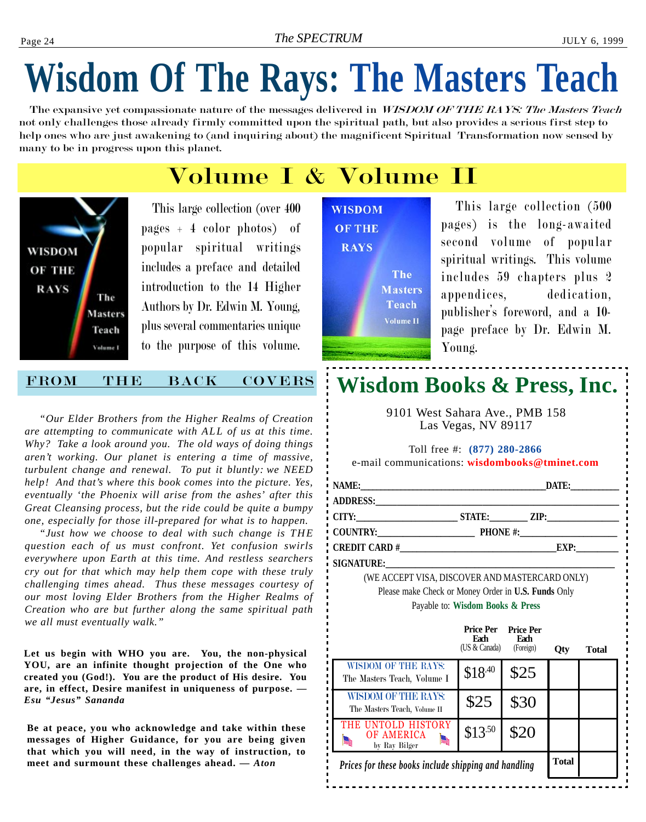## **Wisdom Of The Rays: The Masters Teach**

The expansive yet compassionate nature of the messages delivered in WISDOM OF THE RAYS: The Masters Teach not only challenges those already firmly committed upon the spiritual path, but also provides a serious first step to help ones who are just awakening to (and inquiring about) the magnificent Spiritual Transformation now sensed by many to be in progress upon this planet.

### Volume I & Volume II

**WISDOM OF THE RAYS** The **Masters** Teach Volume I

This large collection (over 400 pages + 4 color photos) of popular spiritual writings includes a preface and detailed introduction to the 14 Higher Authors by Dr. Edwin M. Young, plus several commentaries unique to the purpose of this volume.

#### FROM THE BACK COVERS

*"Our Elder Brothers from the Higher Realms of Creation are attempting to communicate with ALL of us at this time. Why? Take a look around you. The old ways of doing things aren't working. Our planet is entering a time of massive, turbulent change and renewal. To put it bluntly: we NEED help! And that's where this book comes into the picture. Yes, eventually 'the Phoenix will arise from the ashes' after this Great Cleansing process, but the ride could be quite a bumpy one, especially for those ill-prepared for what is to happen.*

*"Just how we choose to deal with such change is THE question each of us must confront. Yet confusion swirls everywhere upon Earth at this time. And restless searchers cry out for that which may help them cope with these truly challenging times ahead. Thus these messages courtesy of our most loving Elder Brothers from the Higher Realms of Creation who are but further along the same spiritual path we all must eventually walk."*

**Let us begin with WHO you are. You, the non-physical YOU, are an infinite thought projection of the One who created you (God!). You are the product of His desire. You are, in effect, Desire manifest in uniqueness of purpose.** *— Esu "Jesus" Sananda*

**Be at peace, you who acknowledge and take within these messages of Higher Guidance, for you are being given that which you will need, in the way of instruction, to meet and surmount these challenges ahead.** *— Aton*



This large collection (500 pages) is the long-awaited second volume of popular spiritual writings. This volume includes 59 chapters plus 2 appendices, dedication, publisher's foreword, and a 10page preface by Dr. Edwin M. Young.

### **Wisdom Books & Press, Inc.**

9101 West Sahara Ave., PMB 158 Las Vegas, NV 89117

|                                                                                                                                                                                                                                | Toll free #: (877) 280-2866 | e-mail communications: wisdombooks@tminet.com |
|--------------------------------------------------------------------------------------------------------------------------------------------------------------------------------------------------------------------------------|-----------------------------|-----------------------------------------------|
| NAME:                                                                                                                                                                                                                          |                             | DATE:____________                             |
| ADDRESS: ADDRESS:                                                                                                                                                                                                              |                             |                                               |
|                                                                                                                                                                                                                                |                             | CITY: STATE: ZIP:                             |
|                                                                                                                                                                                                                                |                             | COUNTRY: PHONE #:                             |
|                                                                                                                                                                                                                                |                             | EXP:                                          |
| SIGNATURE: The contract of the contract of the contract of the contract of the contract of the contract of the contract of the contract of the contract of the contract of the contract of the contract of the contract of the |                             |                                               |
| (WE ACCEPT VICAL DICCOVED AND MACTED CADD ONLY)                                                                                                                                                                                |                             |                                               |

(WE ACCEPT VISA, DISCOVER AND MASTERCARD ONLY) Please make Check or Money Order in **U.S. Funds** Only Payable to: **Wisdom Books & Press**

|                                                             | <b>Price Per</b><br><b>Fach</b><br>(US & Canada) | <b>Price Per</b><br><b>Fach</b><br>(Foreign) | <b>Qty</b> | <b>Total</b> |
|-------------------------------------------------------------|--------------------------------------------------|----------------------------------------------|------------|--------------|
| <b>WISDOM OF THE RAYS:</b><br>The Masters Teach, Volume I   | \$18.40                                          | \$25                                         |            |              |
| <b>WISDOM OF THE RAYS:</b><br>The Masters Teach, Volume II  | \$25                                             | \$30                                         |            |              |
| UNTOLD HISTORY<br>THE<br><b>OF AMERICA</b><br>by Ray Bilger | $$13^{.50}$                                      | \$20                                         |            |              |
| Prices for these books include shipping and handling        | <b>Total</b>                                     |                                              |            |              |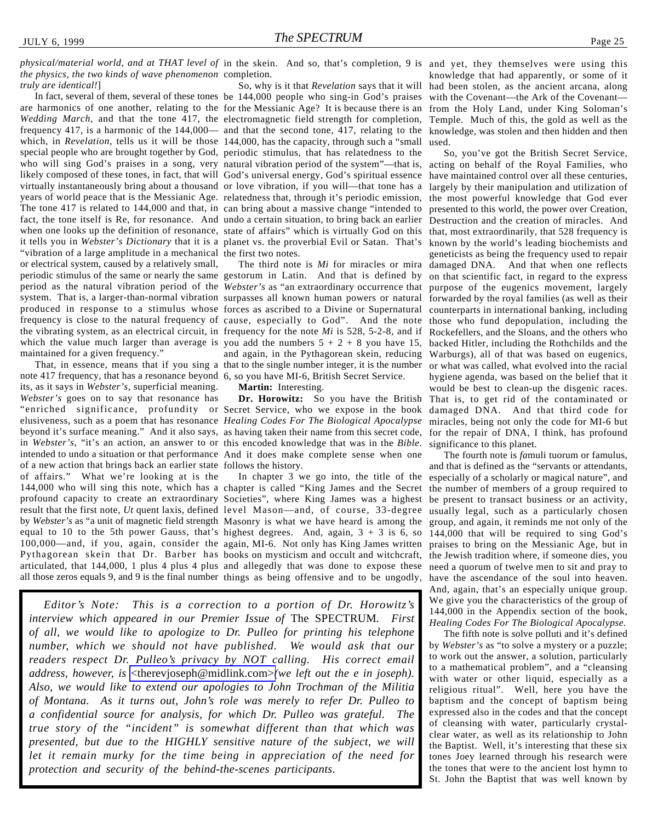physical/material world, and at THAT level of in the skein. And so, that's completion, 9 is and yet, they themselves were using this *the physics, the two kinds of wave phenomenon* completion.

*truly are identical!*] are harmonics of one another, relating to the for the Messianic Age? It is because there is an *Wedding March*, and that the tone 417, the electromagnetic field strength for completion, frequency 417, is a harmonic of the 144,000— and that the second tone, 417, relating to the which, in *Revelation*, tells us it will be those 144,000, has the capacity, through such a "small special people who are brought together by God, periodic stimulus, that has relatedness to the who will sing God's praises in a song, very natural vibration period of the system"—that is, likely composed of these tones, in fact, that will God's universal energy, God's spiritual essence virtually instantaneously bring about a thousand or love vibration, if you will—that tone has a years of world peace that is the Messianic Age. relatedness that, through it's periodic emission, The tone 417 is related to 144,000 and that, in can bring about a massive change "intended to fact, the tone itself is Re, for resonance. And undo a certain situation, to bring back an earlier Destruction and the creation of miracles. And when one looks up the definition of resonance, state of affairs" which is virtually God on this that, most extraordinarily, that 528 frequency is it tells you in *Webster's Dictionary* that it is a planet vs. the proverbial Evil or Satan. That's known by the world's leading biochemists and "vibration of a large amplitude in a mechanical the first two notes. or electrical system, caused by a relatively small, periodic stimulus of the same or nearly the same gestorum in Latin. And that is defined by on that scientific fact, in regard to the express period as the natural vibration period of the *Webster's* as "an extraordinary occurrence that purpose of the eugenics movement, largely system. That is, a larger-than-normal vibration surpasses all known human powers or natural produced in response to a stimulus whose forces as ascribed to a Divine or Supernatural counterparts in international banking, including frequency is close to the natural frequency of cause, especially to God". And the note those who fund depopulation, including the the vibrating system, as an electrical circuit, in frequency for the note *Mi* is 528, 5-2-8, and if which the value much larger than average is you add the numbers  $5 + 2 + 8$  you have 15, maintained for a given frequency."

note 417 frequency, that has a resonance beyond 6, so you have MI-6, British Secret Service. its, as it says in *Webster's*, superficial meaning. *Webster's* goes on to say that resonance has "enriched significance, profundity or Secret Service, who we expose in the book elusiveness, such as a poem that has resonance *Healing Codes For The Biological Apocalypse* beyond it's surface meaning." And it also says, as having taken their name from this secret code, in *Webster's*, "it's an action, an answer to or this encoded knowledge that was in the *Bible*. intended to undo a situation or that performance And it does make complete sense when one of a new action that brings back an earlier state follows the history. of affairs." What we're looking at is the 144,000 who will sing this note, which has a chapter is called "King James and the Secret profound capacity to create an extraordinary Societies", where King James was a highest result that the first note, Ut quent laxis, defined level Mason—and, of course, 33-degree usually legal, such as a particularly chosen by *Webster's* as "a unit of magnetic field strength Masonry is what we have heard is among the equal to 10 to the 5th power Gauss, that's highest degrees. And, again, 3 + 3 is 6, so 100,000—and, if you, again, consider the again, MI-6. Not only has King James written Pythagorean skein that Dr. Barber has books on mysticism and occult and witchcraft, articulated, that 144,000, 1 plus 4 plus 4 plus and allegedly that was done to expose these

In fact, several of them, several of these tones be 144,000 people who sing-in God's praises So, why is it that *Revelation* says that it will

That, in essence, means that if you sing a that to the single number integer, it is the number and again, in the Pythagorean skein, reducing

**Martin:** Interesting.

all those zeros equals 9, and 9 is the final number things as being offensive and to be ungodly, In chapter 3 we go into, the title of the

*Editor's Note: This is a correction to a portion of Dr. Horowitz's interview which appeared in our Premier Issue of* The SPECTRUM*. First of all, we would like to apologize to Dr. Pulleo for printing his telephone number, which we should not have published. We would ask that our readers respect Dr. Pulleo's privacy by NOT calling. His correct email address, however, is* [<therevjoseph@midlink.com>](mailto:therevjoseph@midlink.com)*(we left out the e in joseph). Also, we would like to extend our apologies to John Trochman of the Militia of Montana. As it turns out, John's role was merely to refer Dr. Pulleo to a confidential source for analysis, for which Dr. Pulleo was grateful. The true story of the "incident" is somewhat different than that which was presented, but due to the HIGHLY sensitive nature of the subject, we will let it remain murky for the time being in appreciation of the need for protection and security of the behind-the-scenes participants.*

knowledge that had apparently, or some of it had been stolen, as the ancient arcana, along with the Covenant—the Ark of the Covenant from the Holy Land, under King Soloman's Temple. Much of this, the gold as well as the knowledge, was stolen and then hidden and then used.

The third note is *Mi* for miracles or mira damaged DNA. And that when one reflects **Dr. Horowitz:** So you have the British That is, to get rid of the contaminated or So, you've got the British Secret Service, acting on behalf of the Royal Families, who have maintained control over all these centuries, largely by their manipulation and utilization of the most powerful knowledge that God ever presented to this world, the power over Creation, geneticists as being the frequency used to repair forwarded by the royal families (as well as their Rockefellers, and the Sloans, and the others who backed Hitler, including the Rothchilds and the Warburgs), all of that was based on eugenics, or what was called, what evolved into the racial hygiene agenda, was based on the belief that it would be best to clean-up the disgenic races. damaged DNA. And that third code for miracles, being not only the code for MI-6 but for the repair of DNA, I think, has profound significance to this planet.

> The fourth note is *fa*muli tuorum or famulus, and that is defined as the "servants or attendants, especially of a scholarly or magical nature", and the number of members of a group required to be present to transact business or an activity, group, and again, it reminds me not only of the 144,000 that will be required to sing God's praises to bring on the Messianic Age, but in the Jewish tradition where, if someone dies, you need a quorum of twelve men to sit and pray to have the ascendance of the soul into heaven. And, again, that's an especially unique group. We give you the characteristics of the group of 144,000 in the Appendix section of the book, *Healing Codes For The Biological Apocalypse.*

> The fifth note is *so*lve polluti and it's defined by *Webster's* as "to solve a mystery or a puzzle; to work out the answer, a solution, particularly to a mathematical problem", and a "cleansing with water or other liquid, especially as a religious ritual". Well, here you have the baptism and the concept of baptism being expressed also in the codes and that the concept of cleansing with water, particularly crystalclear water, as well as its relationship to John the Baptist. Well, it's interesting that these six tones Joey learned through his research were the tones that were to the ancient lost hymn to St. John the Baptist that was well known by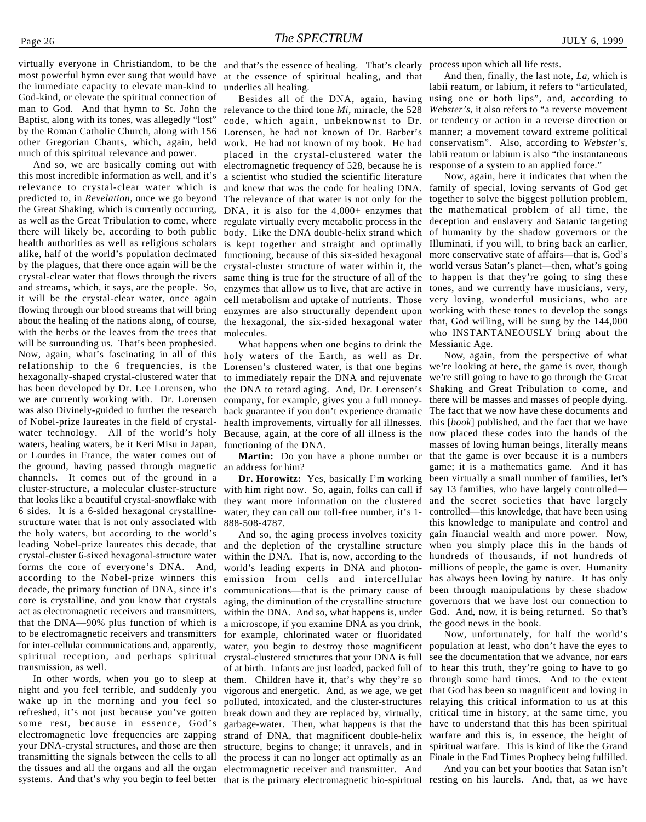most powerful hymn ever sung that would have the immediate capacity to elevate man-kind to God-kind, or elevate the spiritual connection of man to God. And that hymn to St. John the Baptist, along with its tones, was allegedly "lost" by the Roman Catholic Church, along with 156 other Gregorian Chants, which, again, held much of this spiritual relevance and power.

the Great Shaking, which is currently occurring, DNA, it is also for the 4,000+ enzymes that the mathematical problem of all time, the crystal-clear water that flows through the rivers same thing is true for the structure of all of the to happen is that they're going to sing these and streams, which, it says, are the people. So, enzymes that allow us to live, that are active in tones, and we currently have musicians, very, it will be the crystal-clear water, once again cell metabolism and uptake of nutrients. Those very loving, wonderful musicians, who are flowing through our blood streams that will bring enzymes are also structurally dependent upon working with these tones to develop the songs And so, we are basically coming out with this most incredible information as well, and it's relevance to crystal-clear water which is predicted to, in *Revelation*, once we go beyond as well as the Great Tribulation to come, where there will likely be, according to both public health authorities as well as religious scholars alike, half of the world's population decimated functioning, because of this six-sided hexagonal by the plagues, that there once again will be the crystal-cluster structure of water within it, the about the healing of the nations along, of course, with the herbs or the leaves from the trees that will be surrounding us. That's been prophesied. Now, again, what's fascinating in all of this holy waters of the Earth, as well as Dr. relationship to the 6 frequencies, is the hexagonally-shaped crystal-clustered water that has been developed by Dr. Lee Lorensen, who we are currently working with. Dr. Lorensen was also Divinely-guided to further the research of Nobel-prize laureates in the field of crystalwater technology. All of the world's holy waters, healing waters, be it Keri Misu in Japan, or Lourdes in France, the water comes out of the ground, having passed through magnetic an address for him? channels. It comes out of the ground in a cluster-structure, a molecular cluster-structure that looks like a beautiful crystal-snowflake with 6 sides. It is a 6-sided hexagonal crystallinestructure water that is not only associated with the holy waters, but according to the world's leading Nobel-prize laureates this decade, that crystal-cluster 6-sixed hexagonal-structure water forms the core of everyone's DNA. And, according to the Nobel-prize winners this decade, the primary function of DNA, since it's core is crystalline, and you know that crystals act as electromagnetic receivers and transmitters, that the DNA—90% plus function of which is to be electromagnetic receivers and transmitters for inter-cellular communications and, apparently, spiritual reception, and perhaps spiritual transmission, as well.

In other words, when you go to sleep at night and you feel terrible, and suddenly you wake up in the morning and you feel so refreshed, it's not just because you've gotten some rest, because in essence, God's electromagnetic love frequencies are zapping your DNA-crystal structures, and those are then transmitting the signals between the cells to all the tissues and all the organs and all the organ

virtually everyone in Christiandom, to be the and that's the essence of healing. That's clearly process upon which all life rests. at the essence of spiritual healing, and that underlies all healing.

> work. He had not known of my book. He had conservatism". Also, according to Webster's, placed in the crystal-clustered water the labii reatum or labium is also "the instantaneous and knew that was the code for healing DNA. family of special, loving servants of God get The relevance of that water is not only for the together to solve the biggest pollution problem, the hexagonal, the six-sided hexagonal water that, God willing, will be sung by the 144,000 Besides all of the DNA, again, having relevance to the third tone *Mi,* miracle, the 528 code, which again, unbeknownst to Dr. Lorensen, he had not known of Dr. Barber's electromagnetic frequency of 528, because he is a scientist who studied the scientific literature regulate virtually every metabolic process in the body. Like the DNA double-helix strand which is kept together and straight and optimally molecules.

What happens when one begins to drink the Lorensen's clustered water, is that one begins to immediately repair the DNA and rejuvenate the DNA to retard aging. And, Dr. Lorensen's company, for example, gives you a full moneyback guarantee if you don't experience dramatic health improvements, virtually for all illnesses. Because, again, at the core of all illness is the functioning of the DNA.

they want more information on the clustered and the secret societies that have largely **Dr. Horowitz:** Yes, basically I'm working with him right now. So, again, folks can call if water, they can call our toll-free number, it's 1-888-508-4787.

of at birth. Infants are just loaded, packed full of to hear this truth, they're going to have to go them. Children have it, that's why they're so through some hard times. And to the extent vigorous and energetic. And, as we age, we get that God has been so magnificent and loving in polluted, intoxicated, and the cluster-structures relaying this critical information to us at this break down and they are replaced by, virtually, critical time in history, at the same time, you garbage-water. Then, what happens is that the have to understand that this has been spiritual strand of DNA, that magnificent double-helix warfare and this is, in essence, the height of structure, begins to change; it unravels, and in spiritual warfare. This is kind of like the Grand the process it can no longer act optimally as an Finale in the End Times Prophecy being fulfilled. And so, the aging process involves toxicity and the depletion of the crystalline structure within the DNA. That is, now, according to the world's leading experts in DNA and photonemission from cells and intercellular communications—that is the primary cause of aging, the diminution of the crystalline structure within the DNA. And so, what happens is, under a microscope, if you examine DNA as you drink, for example, chlorinated water or fluoridated water, you begin to destroy those magnificent crystal-clustered structures that your DNA is full electromagnetic receiver and transmitter. And

And then, finally, the last note, *La,* which is labii reatum, or labium*,* it refers to "articulated, using one or both lips", and, according to *Webster's*, it also refers to "a reverse movement or tendency or action in a reverse direction or manner; a movement toward extreme political response of a system to an applied force."

Now, again, here it indicates that when the deception and enslavery and Satanic targeting of humanity by the shadow governors or the Illuminati, if you will, to bring back an earlier, more conservative state of affairs—that is, God's world versus Satan's planet—then, what's going who INSTANTANEOUSLY bring about the Messianic Age.

Now, again, from the perspective of what we're looking at here, the game is over, though we're still going to have to go through the Great Shaking and Great Tribulation to come, and there will be masses and masses of people dying. The fact that we now have these documents and this [*book*] published, and the fact that we have now placed these codes into the hands of the masses of loving human beings, literally means **Martin:** Do you have a phone number or that the game is over because it is a numbers game; it is a mathematics game. And it has been virtually a small number of families, let's say 13 families, who have largely controlled controlled—this knowledge, that have been using this knowledge to manipulate and control and gain financial wealth and more power. Now, when you simply place this in the hands of hundreds of thousands, if not hundreds of millions of people, the game is over. Humanity has always been loving by nature. It has only been through manipulations by these shadow governors that we have lost our connection to God. And, now, it is being returned. So that's the good news in the book.

> Now, unfortunately, for half the world's population at least, who don't have the eyes to see the documentation that we advance, nor ears

And you can bet your booties that Satan isn't systems. And that's why you begin to feel better that is the primary electromagnetic bio-spiritual resting on his laurels. And, that, as we have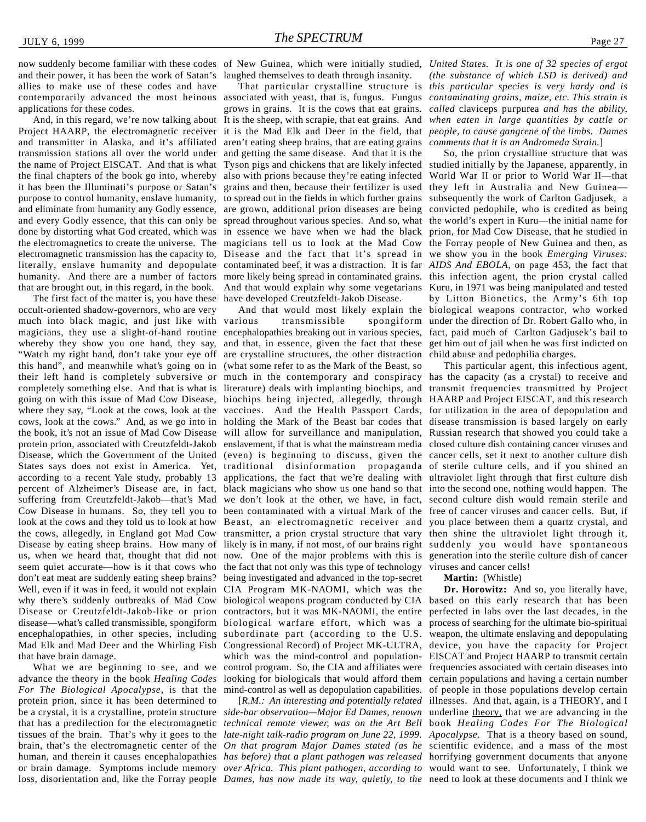and their power, it has been the work of Satan's laughed themselves to death through insanity. allies to make use of these codes and have contemporarily advanced the most heinous applications for these codes.

And, in this regard, we're now talking about Project HAARP, the electromagnetic receiver it is the Mad Elk and Deer in the field, that *people, to cause gangrene of the limbs. Dames* and transmitter in Alaska, and it's affiliated transmission stations all over the world under and getting the same disease. And that it is the the name of Project EISCAT. And that is what Tyson pigs and chickens that are likely infected studied initially by the Japanese, apparently, in the final chapters of the book go into, whereby also with prions because they're eating infected World War II or prior to World War II—that it has been the Illuminati's purpose or Satan's grains and then, because their fertilizer is used they left in Australia and New Guinea purpose to control humanity, enslave humanity, to spread out in the fields in which further grains subsequently the work of Carlton Gadjusek, a and eliminate from humanity any Godly essence, are grown, additional prion diseases are being convicted pedophile, who is credited as being and every Godly essence, that this can only be spread throughout various species. And so, what the world's expert in Kuru—the initial name for done by distorting what God created, which was in essence we have when we had the black prion, for Mad Cow Disease, that he studied in the electromagnetics to create the universe. The magicians tell us to look at the Mad Cow the Forray people of New Guinea and then, as electromagnetic transmission has the capacity to, Disease and the fact that it's spread in we show you in the book *Emerging Viruses:* literally, enslave humanity and depopulate contaminated beef, it was a distraction. It is far AIDS And EBOLA, on page 453, the fact that humanity. And there are a number of factors more likely being spread in contaminated grains. this infection agent, the prion crystal called that are brought out, in this regard, in the book.

The first fact of the matter is, you have these have developed Creutzfeldt-Jakob Disease. occult-oriented shadow-governors, who are very much into black magic, and just like with various magicians, they use a slight-of-hand routine encephalopathies breaking out in various species, fact, paid much of Carlton Gadjusek's bail to whereby they show you one hand, they say, "Watch my right hand, don't take your eye off this hand", and meanwhile what's going on in their left hand is completely subversive or much in the contemporary and conspiracy has the capacity (as a crystal) to receive and completely something else. And that is what is going on with this issue of Mad Cow Disease, where they say, "Look at the cows, look at the cows, look at the cows." And, as we go into in the book, it's not an issue of Mad Cow Disease protein prion, associated with Creutzfeldt-Jakob Disease, which the Government of the United States says does not exist in America. Yet, according to a recent Yale study, probably 13 percent of Alzheimer's Disease are, in fact, suffering from Creutzfeldt-Jakob—that's Mad Cow Disease in humans. So, they tell you to look at the cows and they told us to look at how the cows, allegedly, in England got Mad Cow Disease by eating sheep brains. How many of us, when we heard that, thought that did not seem quiet accurate—how is it that cows who don't eat meat are suddenly eating sheep brains? Well, even if it was in feed, it would not explain why there's suddenly outbreaks of Mad Cow Disease or Creutzfeldt-Jakob-like or prion disease—what's called transmissible, spongiform encephalopathies, in other species, including Mad Elk and Mad Deer and the Whirling Fish that have brain damage.

What we are beginning to see, and we advance the theory in the book *Healing Codes For The Biological Apocalypse*, is that the protein prion, since it has been determined to be a crystal, it is a crystalline, protein structure *side-bar observation—Major Ed Dames, renown* underline theory, that we are advancing in the that has a predilection for the electromagnetic *technical remote viewer, was on the Art Bell* book *Healing Codes For The Biological* tissues of the brain. That's why it goes to the *late-night talk-radio program on June 22, 1999. Apocalypse*. That is a theory based on sound, brain, that's the electromagnetic center of the *On that program Major Dames stated (as he* scientific evidence, and a mass of the most human, and therein it causes encephalopathies *has before) that a plant pathogen was released* horrifying government documents that anyone or brain damage. Symptoms include memory *over Africa. This plant pathogen, according to* would want to see. Unfortunately, I think we

associated with yeast, that is, fungus. Fungus *contaminating grains, maize, etc. This strain is* grows in grains. It is the cows that eat grains. It is the sheep, with scrapie, that eat grains. And aren't eating sheep brains, that are eating grains

transmissible are crystalline structures, the other distraction (what some refer to as the Mark of the Beast, so literature) deals with implanting biochips, and biochips being injected, allegedly, through vaccines. And the Health Passport Cards, will allow for surveillance and manipulation, the fact that not only was this type of technology being investigated and advanced in the top-secret CIA Program MK-NAOMI, which was the

loss, disorientation and, like the Forray people *Dames, has now made its way, quietly, to the* need to look at these documents and I think we

now suddenly become familiar with these codes of New Guinea, which were initially studied, United States. It is one of 32 species of ergot That particular crystalline structure is *this particular species is very hardy and is (the substance of which LSD is derived) and called* claviceps purpurea *and has the ability, when eaten in large quantities by cattle or comments that it is an Andromeda Strain.*]

> And that would explain why some vegetarians Kuru, in 1971 was being manipulated and tested And that would most likely explain the biological weapons contractor, who worked and that, in essence, given the fact that these get him out of jail when he was first indicted on So, the prion crystalline structure that was by Litton Bionetics, the Army's 6th top spongiform under the direction of Dr. Robert Gallo who, in child abuse and pedophilia charges.

> holding the Mark of the Beast bar codes that disease transmission is based largely on early enslavement, if that is what the mainstream media closed culture dish containing cancer viruses and (even) is beginning to discuss, given the cancer cells, set it next to another culture dish traditional disinformation propaganda of sterile culture cells, and if you shined an applications, the fact that we're dealing with ultraviolet light through that first culture dish black magicians who show us one hand so that into the second one, nothing would happen. The we don't look at the other, we have, in fact, second culture dish would remain sterile and been contaminated with a virtual Mark of the free of cancer viruses and cancer cells. But, if Beast, an electromagnetic receiver and you place between them a quartz crystal, and transmitter, a prion crystal structure that vary then shine the ultraviolet light through it, likely is in many, if not most, of our brains right suddenly you would have spontaneous now. One of the major problems with this is generation into the sterile culture dish of cancer This particular agent, this infectious agent, transmit frequencies transmitted by Project HAARP and Project EISCAT, and this research for utilization in the area of depopulation and Russian research that showed you could take a viruses and cancer cells!

#### **Martin:** (Whistle)

biological weapons program conducted by CIA based on this early research that has been contractors, but it was MK-NAOMI, the entire perfected in labs over the last decades, in the biological warfare effort, which was a process of searching for the ultimate bio-spiritual subordinate part (according to the U.S. weapon, the ultimate enslaving and depopulating Congressional Record) of Project MK-ULTRA, device, you have the capacity for Project which was the mind-control and population-EISCAT and Project HAARP to transmit certain control program. So, the CIA and affiliates were frequencies associated with certain diseases into looking for biologicals that would afford them certain populations and having a certain number mind-control as well as depopulation capabilities. of people in those populations develop certain [*R.M.: An interesting and potentially related* illnesses. And that, again, is a THEORY, and I **Dr. Horowitz:** And so, you literally have,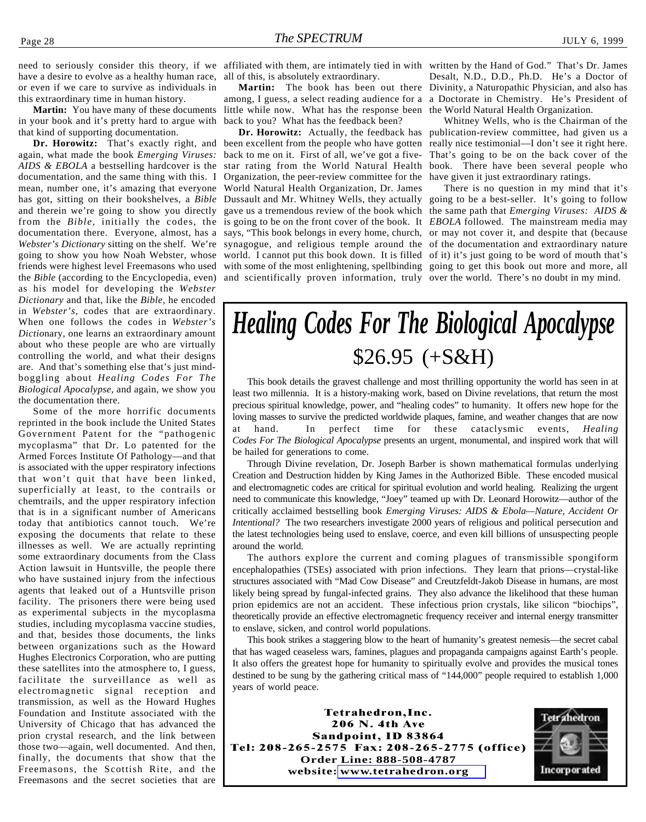have a desire to evolve as a healthy human race, all of this, is absolutely extraordinary. or even if we care to survive as individuals in this extraordinary time in human history.

**Martin:** You have many of these documents in your book and it's pretty hard to argue with that kind of supporting documentation.

again, what made the book *Emerging Viruses: AIDS & EBOLA* a bestselling hardcover is the documentation, and the same thing with this. I mean, number one, it's amazing that everyone has got, sitting on their bookshelves, a *Bible* and therein we're going to show you directly from the *Bible*, initially the codes, the is going to be on the front cover of the book. It *EBOLA* followed. The mainstream media may documentation there. Everyone, almost, has a Webster's Dictionary sitting on the shelf. We're synagogue, and religious temple around the of the documentation and extraordinary nature going to show you how Noah Webster, whose friends were highest level Freemasons who used the *Bible* (according to the Encyclopedia, even) as his model for developing the *Webster Dictionary* and that, like the *Bible,* he encoded in *Webster's*, codes that are extraordinary. When one follows the codes in *Webster's Dictio*nary, one learns an extraordinary amount about who these people are who are virtually controlling the world, and what their designs are. And that's something else that's just mindboggling about *Healing Codes For The Biological Apocalypse*, and again, we show you the documentation there.

Some of the more horrific documents reprinted in the book include the United States Government Patent for the "pathogenic mycoplasma" that Dr. Lo patented for the Armed Forces Institute Of Pathology—and that is associated with the upper respiratory infections that won't quit that have been linked, superficially at least, to the contrails or chemtrails, and the upper respiratory infection that is in a significant number of Americans today that antibiotics cannot touch. We're exposing the documents that relate to these illnesses as well. We are actually reprinting some extraordinary documents from the Class Action lawsuit in Huntsville, the people there who have sustained injury from the infectious agents that leaked out of a Huntsville prison facility. The prisoners there were being used as experimental subjects in the mycoplasma studies, including mycoplasma vaccine studies, and that, besides those documents, the links between organizations such as the Howard Hughes Electronics Corporation, who are putting these satellites into the atmosphere to, I guess, facilitate the surveillance as well as electromagnetic signal reception and transmission, as well as the Howard Hughes Foundation and Institute associated with the University of Chicago that has advanced the prion crystal research, and the link between those two—again, well documented. And then, finally, the documents that show that the Freemasons, the Scottish Rite, and the Freemasons and the secret societies that are

need to seriously consider this theory, if we affiliated with them, are intimately tied in with written by the Hand of God." That's Dr. James

**Martin:** The book has been out there among, I guess, a select reading audience for a a Doctorate in Chemistry. He's President of little while now. What has the response been back to you? What has the feedback been?

Organization, the peer-review committee for the World Natural Health Organization, Dr. James and scientifically proven information, truly over the world. There's no doubt in my mind.

Desalt, N.D., D.D., Ph.D. He's a Doctor of Divinity, a Naturopathic Physician, and also has the World Natural Health Organization.

Dr. Horowitz: That's exactly right, and been excellent from the people who have gotten really nice testimonial—I don't see it right here. **Dr. Horowitz:** Actually, the feedback has publication-review committee, had given us a back to me on it. First of all, we've got a five-That's going to be on the back cover of the star rating from the World Natural Health book. There have been several people who Whitney Wells, who is the Chairman of the have given it just extraordinary ratings.

> Dussault and Mr. Whitney Wells, they actually going to be a best-seller. It's going to follow gave us a tremendous review of the book which the same path that *Emerging Viruses: AIDS &* says, "This book belongs in every home, church, or may not cover it, and despite that (because world. I cannot put this book down. It is filled of it) it's just going to be word of mouth that's with some of the most enlightening, spellbinding going to get this book out more and more, all There is no question in my mind that it's

### *Healing Codes For The Biological Apocalypse* \$26.95 (+S&H)

This book details the gravest challenge and most thrilling opportunity the world has seen in at least two millennia. It is a history-making work, based on Divine revelations, that return the most precious spiritual knowledge, power, and "healing codes" to humanity. It offers new hope for the loving masses to survive the predicted worldwide plaques, famine, and weather changes that are now at hand. In perfect time for these cataclysmic events, *Healing Codes For The Biological Apocalypse* presents an urgent, monumental, and inspired work that will be hailed for generations to come.

Through Divine revelation, Dr. Joseph Barber is shown mathematical formulas underlying Creation and Destruction hidden by King James in the Authorized Bible. These encoded musical and electromagnetic codes are critical for spiritual evolution and world healing. Realizing the urgent need to communicate this knowledge, "Joey" teamed up with Dr. Leonard Horowitz—author of the critically acclaimed bestselling book *Emerging Viruses: AIDS & Ebola—Nature, Accident Or Intentional?* The two researchers investigate 2000 years of religious and political persecution and the latest technologies being used to enslave, coerce, and even kill billions of unsuspecting people around the world.

The authors explore the current and coming plagues of transmissible spongiform encephalopathies (TSEs) associated with prion infections. They learn that prions—crystal-like structures associated with "Mad Cow Disease" and Creutzfeldt-Jakob Disease in humans, are most likely being spread by fungal-infected grains. They also advance the likelihood that these human prion epidemics are not an accident. These infectious prion crystals, like silicon "biochips", theoretically provide an effective electromagnetic frequency receiver and internal energy transmitter to enslave, sicken, and control world populations.

This book strikes a staggering blow to the heart of humanity's greatest nemesis—the secret cabal that has waged ceaseless wars, famines, plagues and propaganda campaigns against Earth's people. It also offers the greatest hope for humanity to spiritually evolve and provides the musical tones destined to be sung by the gathering critical mass of "144,000" people required to establish 1,000 years of world peace.

Tetrahedron,Inc. 206 N. 4th Ave Sandpoint, ID 83864 Tel: 208-265-2575 Fax: 208-265-2775 (office) **Order Line: 888-508-4787 website: [www.tetrahedron.org](http://www.tetrahedron.org)**

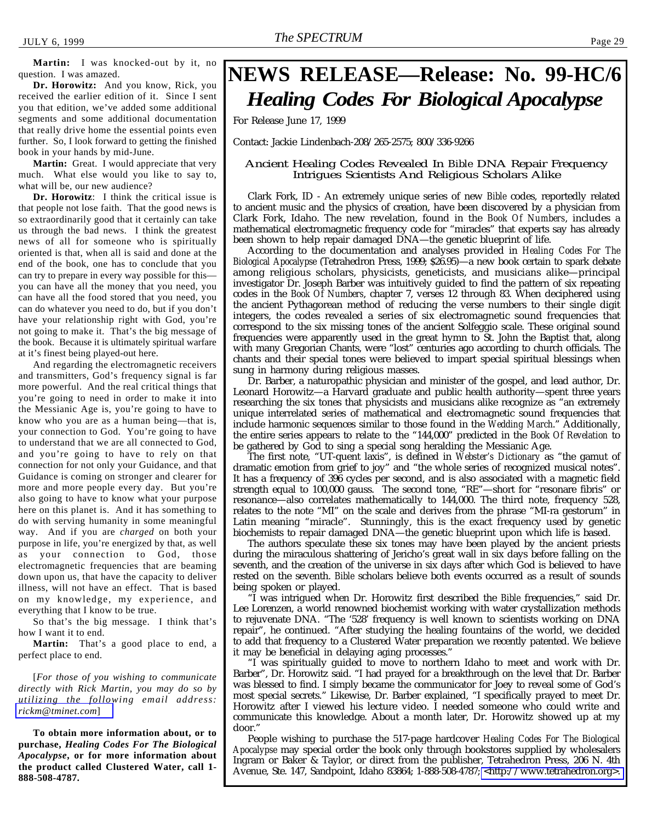**Martin:** I was knocked-out by it, no question. I was amazed.

**Dr. Horowitz:** And you know, Rick, you received the earlier edition of it. Since I sent you that edition, we've added some additional segments and some additional documentation that really drive home the essential points even further. So, I look forward to getting the finished book in your hands by mid-June.

**Martin:** Great. I would appreciate that very much. What else would you like to say to, what will be, our new audience?

**Dr. Horowitz**: I think the critical issue is that people not lose faith. That the good news is so extraordinarily good that it certainly can take us through the bad news. I think the greatest news of all for someone who is spiritually oriented is that, when all is said and done at the end of the book, one has to conclude that you can try to prepare in every way possible for this you can have all the money that you need, you can have all the food stored that you need, you can do whatever you need to do, but if you don't have your relationship right with God, you're not going to make it. That's the big message of the book. Because it is ultimately spiritual warfare at it's finest being played-out here.

And regarding the electromagnetic receivers and transmitters, God's frequency signal is far more powerful. And the real critical things that you're going to need in order to make it into the Messianic Age is, you're going to have to know who you are as a human being—that is, your connection to God. You're going to have to understand that we are all connected to God, and you're going to have to rely on that connection for not only your Guidance, and that Guidance is coming on stronger and clearer for more and more people every day. But you're also going to have to know what your purpose here on this planet is. And it has something to do with serving humanity in some meaningful way. And if you are *charged* on both your purpose in life, you're energized by that, as well as your connection to God, those electromagnetic frequencies that are beaming down upon us, that have the capacity to deliver illness, will not have an effect. That is based on my knowledge, my experience, and everything that I know to be true.

So that's the big message. I think that's how I want it to end.

**Martin:** That's a good place to end, a perfect place to end.

[*For those of you wishing to communicate directly with Rick Martin, you may do so by utilizing the following email address: [rickm@tminet.com](mailto:rickm@tminet.com)*]

**To obtain more information about, or to purchase,** *Healing Codes For The Biological Apocalypse***, or for more information about the product called Clustered Water, call 1- 888-508-4787.**

### **NEWS RELEASE—Release: No. 99-HC/6** *Healing Codes For Biological Apocalypse*

For Release June 17, 1999

Contact: Jackie Lindenbach-208/265-2575; 800/336-9266

#### Ancient Healing Codes Revealed In *Bible* DNA Repair Frequency Intrigues Scientists And Religious Scholars Alike

Clark Fork, ID - An extremely unique series of new *Bible* codes, reportedly related to ancient music and the physics of creation, have been discovered by a physician from Clark Fork, Idaho. The new revelation, found in the *Book Of Numbers*, includes a mathematical electromagnetic frequency code for "miracles" that experts say has already been shown to help repair damaged DNA—the genetic blueprint of life.

According to the documentation and analyses provided in *Healing Codes For The Biological Apocalypse* (Tetrahedron Press, 1999; \$26.95)—a new book certain to spark debate among religious scholars, physicists, geneticists, and musicians alike—principal investigator Dr. Joseph Barber was intuitively guided to find the pattern of six repeating codes in the *Book Of Numbers*, chapter 7, verses 12 through 83. When deciphered using the ancient Pythagorean method of reducing the verse numbers to their single digit integers, the codes revealed a series of six electromagnetic sound frequencies that correspond to the six missing tones of the ancient Solfeggio scale. These original sound frequencies were apparently used in the great hymn to St. John the Baptist that, along with many Gregorian Chants, were "lost" centuries ago according to church officials. The chants and their special tones were believed to impart special spiritual blessings when sung in harmony during religious masses.

Dr. Barber, a naturopathic physician and minister of the gospel, and lead author, Dr. Leonard Horowitz—a Harvard graduate and public health authority—spent three years researching the six tones that physicists and musicians alike recognize as "an extremely unique interrelated series of mathematical and electromagnetic sound frequencies that include harmonic sequences similar to those found in the *Wedding March*." Additionally, the entire series appears to relate to the "144,000" predicted in the *Book Of Revelation* to be gathered by God to sing a special song heralding the Messianic Age.

The first note, "UT-quent laxis", is defined in *Webster's Dictionary* as "the gamut of dramatic emotion from grief to joy" and "the whole series of recognized musical notes". It has a frequency of 396 cycles per second, and is also associated with a magnetic field strength equal to 100,000 gauss. The second tone, "RE"—short for "resonare fibris" or resonance—also correlates mathematically to 144,000. The third note, frequency 528, relates to the note "MI" on the scale and derives from the phrase "MI-ra gestorum" in Latin meaning "miracle". Stunningly, this is the exact frequency used by genetic biochemists to repair damaged DNA—the genetic blueprint upon which life is based.

The authors speculate these six tones may have been played by the ancient priests during the miraculous shattering of Jericho's great wall in six days before falling on the seventh, and the creation of the universe in six days after which God is believed to have rested on the seventh. *Bible* scholars believe both events occurred as a result of sounds being spoken or played.

"I was intrigued when Dr. Horowitz first described the *Bible* frequencies," said Dr. Lee Lorenzen, a world renowned biochemist working with water crystallization methods to rejuvenate DNA. "The '528' frequency is well known to scientists working on DNA repair", he continued. "After studying the healing fountains of the world, we decided to add that frequency to a Clustered Water preparation we recently patented. We believe it may be beneficial in delaying aging processes."

"I was spiritually guided to move to northern Idaho to meet and work with Dr. Barber", Dr. Horowitz said. "I had prayed for a breakthrough on the level that Dr. Barber was blessed to find. I simply became the communicator for Joey to reveal some of God's most special secrets." Likewise, Dr. Barber explained, "I specifically prayed to meet Dr. Horowitz after I viewed his lecture video. I needed someone who could write and communicate this knowledge. About a month later, Dr. Horowitz showed up at my door."

People wishing to purchase the 517-page hardcover *Healing Codes For The Biological Apocalypse* may special order the book only through bookstores supplied by wholesalers Ingram or Baker & Taylor, or direct from the publisher, Tetrahedron Press, 206 N. 4th Avenue, Ste. 147, Sandpoint, Idaho 83864; 1-888-508-4787; [<http://www.tetrahedron.org>.](http://www.tetrahedron.org)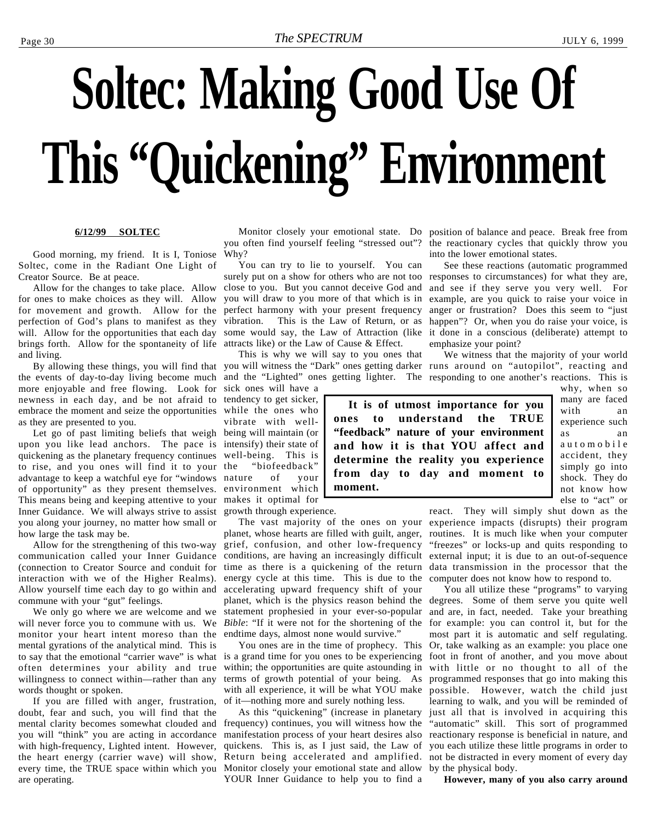# <span id="page-29-0"></span>**Soltec: Making Good Use Of This "Quickening" Environment**

#### **6/12/99 SOLTEC**

Good morning, my friend. It is I, Toniose Soltec, come in the Radiant One Light of Creator Source. Be at peace.

Allow for the changes to take place. Allow for ones to make choices as they will. Allow for movement and growth. Allow for the perfection of God's plans to manifest as they will. Allow for the opportunities that each day brings forth. Allow for the spontaneity of life and living.

the events of day-to-day living become much more enjoyable and free flowing. Look for sick ones will have a newness in each day, and be not afraid to embrace the moment and seize the opportunities while the ones who as they are presented to you.

Let go of past limiting beliefs that weigh being will maintain (or upon you like lead anchors. The pace is quickening as the planetary frequency continues to rise, and you ones will find it to your advantage to keep a watchful eye for "windows nature of your of opportunity" as they present themselves. This means being and keeping attentive to your makes it optimal for Inner Guidance. We will always strive to assist you along your journey, no matter how small or how large the task may be.

Allow for the strengthening of this two-way communication called your Inner Guidance (connection to Creator Source and conduit for interaction with we of the Higher Realms). Allow yourself time each day to go within and commune with your "gut" feelings.

We only go where we are welcome and we will never force you to commune with us. We monitor your heart intent moreso than the mental gyrations of the analytical mind. This is to say that the emotional "carrier wave" is what often determines your ability and true willingness to connect within—rather than any words thought or spoken.

If you are filled with anger, frustration, doubt, fear and such, you will find that the mental clarity becomes somewhat clouded and frequency) continues, you will witness how the you will "think" you are acting in accordance with high-frequency, Lighted intent. However, the heart energy (carrier wave) will show, Return being accelerated and amplified. not be distracted in every moment of every day every time, the TRUE space within which you Monitor closely your emotional state and allow by the physical body. are operating.

you often find yourself feeling "stressed out"? Why?

You can try to lie to yourself. You can surely put on a show for others who are not too responses to circumstances) for what they are, close to you. But you cannot deceive God and you will draw to you more of that which is in example, are you quick to raise your voice in perfect harmony with your present frequency anger or frustration? Does this seem to "just vibration. This is the Law of Return, or as happen"? Or, when you do raise your voice, is some would say, the Law of Attraction (like it done in a conscious (deliberate) attempt to attracts like) or the Law of Cause & Effect.

This is why we will say to you ones that and the "Lighted" ones getting lighter. The responding to one another's reactions. This is

tendency to get sicker, vibrate with wellintensify) their state of well-being. This is "biofeedback" environment which growth through experience.

planet, whose hearts are filled with guilt, anger, routines. It is much like when your computer grief, confusion, and other low-frequency conditions, are having an increasingly difficult external input; it is due to an out-of-sequence time as there is a quickening of the return data transmission in the processor that the energy cycle at this time. This is due to the accelerating upward frequency shift of your planet, which is the physics reason behind the statement prophesied in your ever-so-popular *Bible*: "If it were not for the shortening of the endtime days, almost none would survive."

You ones are in the time of prophecy. This is a grand time for you ones to be experiencing within; the opportunities are quite astounding in terms of growth potential of your being. As with all experience, it will be what YOU make of it—nothing more and surely nothing less.

As this "quickening" (increase in planetary manifestation process of your heart desires also quickens. This is, as I just said, the Law of YOUR Inner Guidance to help you to find a

Monitor closely your emotional state. Do position of balance and peace. Break free from the reactionary cycles that quickly throw you into the lower emotional states.

> See these reactions (automatic programmed and see if they serve you very well. For emphasize your point?

By allowing these things, you will find that you will witness the "Dark" ones getting darker runs around on "autopilot", reacting and We witness that the majority of your world

> **It is of utmost importance for you ones to understand the TRUE "feedback" nature of your environment and how it is that YOU affect and determine the reality you experience from day to day and moment to**

why, when so many are faced with an experience such as an automobile accident, they simply go into shock. They do not know how else to "act" or

The vast majority of the ones on your experience impacts (disrupts) their program react. They will simply shut down as the "freezes" or locks-up and quits responding to computer does not know how to respond to.

> You all utilize these "programs" to varying degrees. Some of them serve you quite well and are, in fact, needed. Take your breathing for example: you can control it, but for the most part it is automatic and self regulating. Or, take walking as an example: you place one foot in front of another, and you move about with little or no thought to all of the programmed responses that go into making this possible. However, watch the child just learning to walk, and you will be reminded of just all that is involved in acquiring this "automatic" skill. This sort of programmed reactionary response is beneficial in nature, and you each utilize these little programs in order to

**However, many of you also carry around**

**moment.**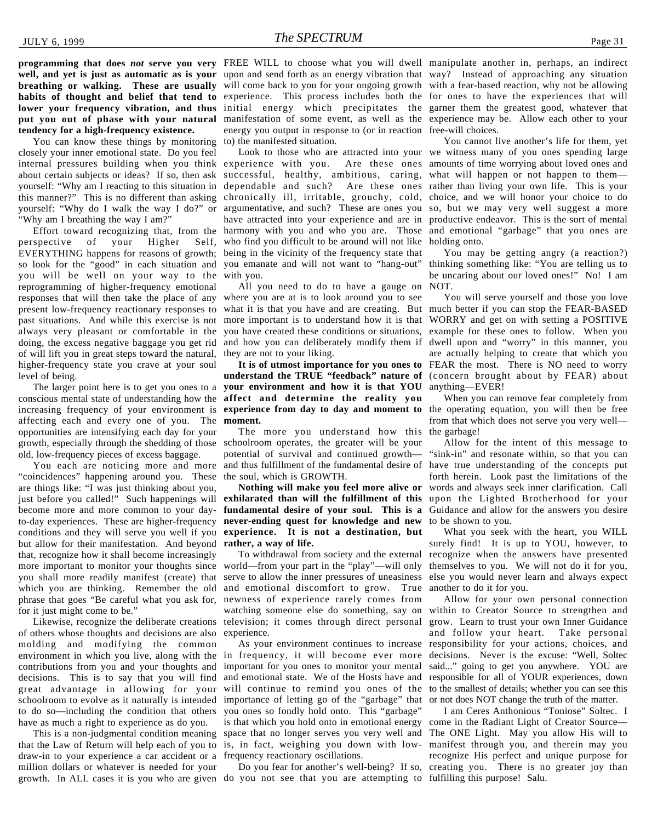**well, and yet is just as automatic as is your** upon and send forth as an energy vibration that way? Instead of approaching any situation **breathing or walking. These are usually** will come back to you for your ongoing growth with a fear-based reaction, why not be allowing habits of thought and belief that tend to experience. This process includes both the for ones to have the experiences that will lower your frequency vibration, and thus initial energy which precipitates the garner them the greatest good, whatever that **put you out of phase with your natural** manifestation of some event, as well as the experience may be. Allow each other to your **tendency for a high-frequency existence.**

You can know these things by monitoring closely your inner emotional state. Do you feel internal pressures building when you think experience with you. Are these ones amounts of time worrying about loved ones and about certain subjects or ideas? If so, then ask successful, healthy, ambitious, caring, what will happen or not happen to them yourself: "Why am I reacting to this situation in dependable and such? Are these ones rather than living your own life. This is your this manner?" This is no different than asking chronically ill, irritable, grouchy, cold, choice, and we will honor your choice to do yourself: "Why do I walk the way I do?" or "Why am I breathing the way I am?"

Effort toward recognizing that, from the perspective of your Higher EVERYTHING happens for reasons of growth; being in the vicinity of the frequency state that so look for the "good" in each situation and you emanate and will not want to "hang-out" you will be well on your way to the with you. reprogramming of higher-frequency emotional responses that will then take the place of any where you are at is to look around you to see present low-frequency reactionary responses to what it is that you have and are creating. But much better if you can stop the FEAR-BASED past situations. And while this exercise is not more important is to understand how it is that always very pleasant or comfortable in the you have created these conditions or situations, doing, the excess negative baggage you get rid and how you can deliberately modify them if dwell upon and "worry" in this manner, you of will lift you in great steps toward the natural, higher-frequency state you crave at your soul level of being.

conscious mental state of understanding how the **affect and determine the reality you** increasing frequency of your environment is **experience from day to day and moment to** the operating equation, you will then be free affecting each and every one of you. The **moment.** opportunities are intensifying each day for your growth, especially through the shedding of those schoolroom operates, the greater will be your old, low-frequency pieces of excess baggage.

You each are noticing more and more "coincidences" happening around you. These are things like: "I was just thinking about you, just before you called!" Such happenings will become more and more common to your dayto-day experiences. These are higher-frequency conditions and they will serve you well if you **experience. It is not a destination, but** but allow for their manifestation. And beyond **rather, a way of life.** that, recognize how it shall become increasingly more important to monitor your thoughts since you shall more readily manifest (create) that which you are thinking. Remember the old phrase that goes "Be careful what you ask for, for it just might come to be."

Likewise, recognize the deliberate creations of others whose thoughts and decisions are also molding and modifying the common environment in which you live, along with the contributions from you and your thoughts and decisions. This is to say that you will find great advantage in allowing for your schoolroom to evolve as it naturally is intended to do so—including the condition that others have as much a right to experience as do you.

This is a non-judgmental condition meaning that the Law of Return will help each of you to is, in fact, weighing you down with lowdraw-in to your experience a car accident or a frequency reactionary oscillations. million dollars or whatever is needed for your growth. In ALL cases it is you who are given do you not see that you are attempting to fulfilling this purpose! Salu.

**programming that does** *not* **serve you very** FREE WILL to choose what you will dwell manipulate another in, perhaps, an indirect energy you output in response to (or in reaction free-will choices. to) the manifested situation.

> argumentative, and such? These are ones you so, but we may very well suggest a more have attracted into your experience and are in productive endeavor. This is the sort of mental harmony with you and who you are. Those and emotional "garbage" that you ones are who find you difficult to be around will not like holding onto.

All you need to do to have a gauge on they are not to your liking.

The larger point here is to get you ones to a **your environment and how it is that YOU understand the TRUE "feedback" nature of** (concern brought about by FEAR) about

> The more you understand how this the garbage! potential of survival and continued growth and thus fulfillment of the fundamental desire of the soul, which is GROWTH.

**Nothing will make you feel more alive or exhilarated than will the fulfillment of this** upon the Lighted Brotherhood for your **fundamental desire of your soul. This is a** Guidance and allow for the answers you desire **never-ending quest for knowledge and new** to be shown to you.

To withdrawal from society and the external world—from your part in the "play"—will only serve to allow the inner pressures of uneasiness else you would never learn and always expect and emotional discomfort to grow. True newness of experience rarely comes from watching someone else do something, say on television; it comes through direct personal experience.

As your environment continues to increase in frequency, it will become ever more important for you ones to monitor your mental and emotional state. We of the Hosts have and will continue to remind you ones of the importance of letting go of the "garbage" that you ones so fondly hold onto. This "garbage" is that which you hold onto in emotional energy space that no longer serves you very well and

Look to those who are attracted into your we witness many of you ones spending large You cannot live another's life for them, yet

> You may be getting angry (a reaction?) thinking something like: "You are telling us to be uncaring about our loved ones!" No! I am NOT.

**It is of utmost importance for you ones to** FEAR the most. There is NO need to worry You will serve yourself and those you love WORRY and get on with setting a POSITIVE example for these ones to follow. When you are actually helping to create that which you anything—EVER!

> When you can remove fear completely from from that which does not serve you very well—

> Allow for the intent of this message to "sink-in" and resonate within, so that you can have true understanding of the concepts put forth herein. Look past the limitations of the words and always seek inner clarification. Call

> What you seek with the heart, you WILL surely find! It is up to YOU, however, to recognize when the answers have presented themselves to you. We will not do it for you, another to do it for you.

> Allow for your own personal connection within to Creator Source to strengthen and grow. Learn to trust your own Inner Guidance and follow your heart. Take personal responsibility for your actions, choices, and decisions. Never is the excuse: "Well, Soltec said..." going to get you anywhere. YOU are responsible for all of YOUR experiences, down to the smallest of details; whether you can see this or not does NOT change the truth of the matter.

Do you fear for another's well-being? If so, creating you. There is no greater joy than I am Ceres Anthonious "Toniose" Soltec. I come in the Radiant Light of Creator Source— The ONE Light. May you allow His will to manifest through you, and therein may you recognize His perfect and unique purpose for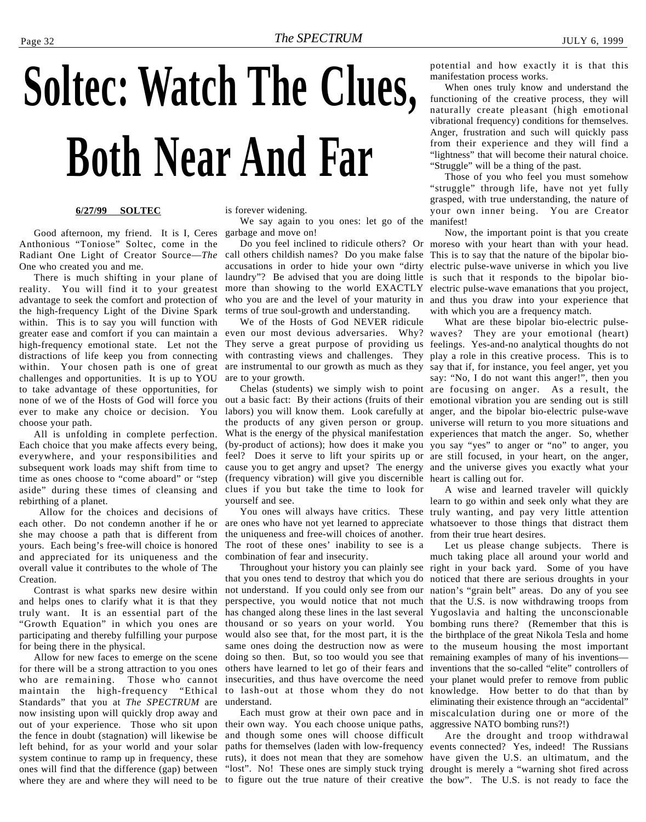# <span id="page-31-0"></span>**Soltec: Watch The Clues, Both Near And Far**

#### **6/27/99 SOLTEC**

Good afternoon, my friend. It is I, Ceres garbage and move on! Anthonious "Toniose" Soltec, come in the Radiant One Light of Creator Source—*The* One who created you and me.

reality. You will find it to your greatest advantage to seek the comfort and protection of the high-frequency Light of the Divine Spark within. This is to say you will function with greater ease and comfort if you can maintain a high-frequency emotional state. Let not the distractions of life keep you from connecting within. Your chosen path is one of great challenges and opportunities. It is up to YOU to take advantage of these opportunities, for none of we of the Hosts of God will force you out a basic fact: By their actions (fruits of their ever to make any choice or decision. You labors) you will know them. Look carefully at choose your path.

All is unfolding in complete perfection. Each choice that you make affects every being, everywhere, and your responsibilities and subsequent work loads may shift from time to time as ones choose to "come aboard" or "step aside" during these times of cleansing and clues if you but take the time to look for rebirthing of a planet.

 Allow for the choices and decisions of each other. Do not condemn another if he or she may choose a path that is different from yours. Each being's free-will choice is honored and appreciated for its uniqueness and the overall value it contributes to the whole of The Creation.

Contrast is what sparks new desire within and helps ones to clarify what it is that they truly want. It is an essential part of the "Growth Equation" in which you ones are participating and thereby fulfilling your purpose for being there in the physical.

Allow for new faces to emerge on the scene for there will be a strong attraction to you ones who are remaining. Those who cannot maintain the high-frequency "Ethical Standards" that you at *The SPECTRUM* are now insisting upon will quickly drop away and out of your experience. Those who sit upon their own way. You each choose unique paths, the fence in doubt (stagnation) will likewise be and though some ones will choose difficult left behind, for as your world and your solar system continue to ramp up in frequency, these ruts), it does not mean that they are somehow have given the U.S. an ultimatum, and the ones will find that the difference (gap) between "lost". No! These ones are simply stuck trying drought is merely a "warning shot fired across where they are and where they will need to be to figure out the true nature of their creative the bow". The U.S. is not ready to face the

is forever widening.

We say again to you ones: let go of the

There is much shifting in your plane of laundry"? Be advised that you are doing little is such that it responds to the bipolar bioterms of true soul-growth and understanding.

> We of the Hosts of God NEVER ridicule even our most devious adversaries. Why? They serve a great purpose of providing us with contrasting views and challenges. They are instrumental to our growth as much as they are to your growth.

Chelas (students) we simply wish to point the products of any given person or group. What is the energy of the physical manifestation (by-product of actions); how does it make you feel? Does it serve to lift your spirits up or are still focused, in your heart, on the anger, cause you to get angry and upset? The energy (frequency vibration) will give you discernible heart is calling out for. yourself and see.

are ones who have not yet learned to appreciate whatsoever to those things that distract them the uniqueness and free-will choices of another. from their true heart desires. The root of these ones' inability to see is a combination of fear and insecurity.

that you ones tend to destroy that which you do noticed that there are serious droughts in your not understand. If you could only see from our nation's "grain belt" areas. Do any of you see perspective, you would notice that not much has changed along these lines in the last several Yugoslavia and halting the unconscionable thousand or so years on your world. You would also see that, for the most part, it is the same ones doing the destruction now as were doing so then. But, so too would you see that others have learned to let go of their fears and insecurities, and thus have overcome the need to lash-out at those whom they do not understand.

Each must grow at their own pace and in

potential and how exactly it is that this manifestation process works.

When ones truly know and understand the functioning of the creative process, they will naturally create pleasant (high emotional vibrational frequency) conditions for themselves. Anger, frustration and such will quickly pass from their experience and they will find a "lightness" that will become their natural choice. "Struggle" will be a thing of the past.

Those of you who feel you must somehow "struggle" through life, have not yet fully grasped, with true understanding, the nature of your own inner being. You are Creator manifest!

Do you feel inclined to ridicule others? Or moreso with your heart than with your head. call others childish names? Do you make false This is to say that the nature of the bipolar bioaccusations in order to hide your own "dirty electric pulse-wave universe in which you live more than showing to the world EXACTLY electric pulse-wave emanations that you project, who you are and the level of your maturity in and thus you draw into your experience that Now, the important point is that you create with which you are a frequency match.

> What are these bipolar bio-electric pulsewaves? They are your emotional (heart) feelings. Yes-and-no analytical thoughts do not play a role in this creative process. This is to say that if, for instance, you feel anger, yet you say: "No, I do not want this anger!", then you are focusing on anger. As a result, the emotional vibration you are sending out is still anger, and the bipolar bio-electric pulse-wave universe will return to you more situations and experiences that match the anger. So, whether you say "yes" to anger or "no" to anger, you and the universe gives you exactly what your

You ones will always have critics. These truly wanting, and pay very little attention A wise and learned traveler will quickly learn to go within and seek only what they are

Throughout your history you can plainly see right in your back yard. Some of you have Let us please change subjects. There is much taking place all around your world and that the U.S. is now withdrawing troops from bombing runs there? (Remember that this is the birthplace of the great Nikola Tesla and home to the museum housing the most important remaining examples of many of his inventions inventions that the so-called "elite" controllers of your planet would prefer to remove from public knowledge. How better to do that than by eliminating their existence through an "accidental" miscalculation during one or more of the aggressive NATO bombing runs?!)

paths for themselves (laden with low-frequency events connected? Yes, indeed! The Russians Are the drought and troop withdrawal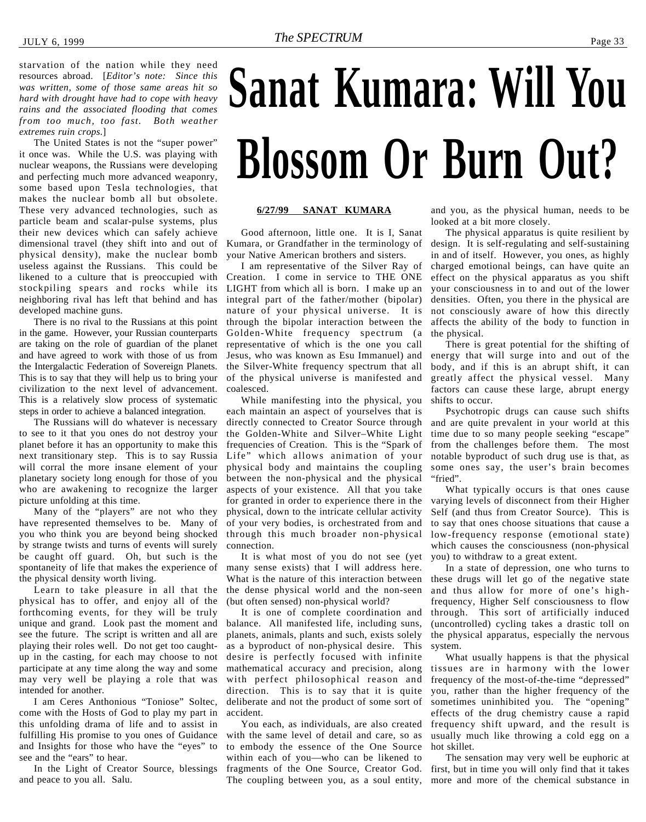<span id="page-32-0"></span>starvation of the nation while they need resources abroad. [*Editor's note: Since this was written, some of those same areas hit so hard with drought have had to cope with heavy rains and the associated flooding that comes from too much, too fast. Both weather extremes ruin crops.*]

The United States is not the "super power" it once was. While the U.S. was playing with nuclear weapons, the Russians were developing and perfecting much more advanced weaponry, some based upon Tesla technologies, that makes the nuclear bomb all but obsolete. These very advanced technologies, such as particle beam and scalar-pulse systems, plus their new devices which can safely achieve dimensional travel (they shift into and out of physical density), make the nuclear bomb useless against the Russians. This could be likened to a culture that is preoccupied with stockpiling spears and rocks while its neighboring rival has left that behind and has developed machine guns.

There is no rival to the Russians at this point in the game. However, your Russian counterparts are taking on the role of guardian of the planet and have agreed to work with those of us from the Intergalactic Federation of Sovereign Planets. This is to say that they will help us to bring your civilization to the next level of advancement. This is a relatively slow process of systematic steps in order to achieve a balanced integration.

The Russians will do whatever is necessary to see to it that you ones do not destroy your planet before it has an opportunity to make this next transitionary step. This is to say Russia will corral the more insane element of your planetary society long enough for those of you who are awakening to recognize the larger picture unfolding at this time.

Many of the "players" are not who they have represented themselves to be. Many of you who think you are beyond being shocked by strange twists and turns of events will surely be caught off guard. Oh, but such is the spontaneity of life that makes the experience of the physical density worth living.

Learn to take pleasure in all that the physical has to offer, and enjoy all of the forthcoming events, for they will be truly unique and grand. Look past the moment and see the future. The script is written and all are playing their roles well. Do not get too caughtup in the casting, for each may choose to not participate at any time along the way and some may very well be playing a role that was intended for another.

I am Ceres Anthonious "Toniose" Soltec, come with the Hosts of God to play my part in this unfolding drama of life and to assist in fulfilling His promise to you ones of Guidance and Insights for those who have the "eyes" to see and the "ears" to hear.

In the Light of Creator Source, blessings and peace to you all. Salu.

# **Sanat Kumara: Will You Blossom Or Burn Out?**

#### **6/27/99 SANAT KUMARA**

Good afternoon, little one. It is I, Sanat Kumara, or Grandfather in the terminology of your Native American brothers and sisters.

I am representative of the Silver Ray of Creation. I come in service to THE ONE LIGHT from which all is born. I make up an integral part of the father/mother (bipolar) nature of your physical universe. It is through the bipolar interaction between the Golden-White frequency spectrum (a representative of which is the one you call Jesus, who was known as Esu Immanuel) and the Silver-White frequency spectrum that all of the physical universe is manifested and coalesced.

While manifesting into the physical, you each maintain an aspect of yourselves that is directly connected to Creator Source through the Golden-White and Silver–White Light frequencies of Creation. This is the "Spark of Life" which allows animation of your physical body and maintains the coupling between the non-physical and the physical aspects of your existence. All that you take for granted in order to experience there in the physical, down to the intricate cellular activity of your very bodies, is orchestrated from and through this much broader non-physical connection.

It is what most of you do not see (yet many sense exists) that I will address here. What is the nature of this interaction between the dense physical world and the non-seen (but often sensed) non-physical world?

It is one of complete coordination and balance. All manifested life, including suns, planets, animals, plants and such, exists solely as a byproduct of non-physical desire. This desire is perfectly focused with infinite mathematical accuracy and precision, along with perfect philosophical reason and direction. This is to say that it is quite deliberate and not the product of some sort of accident.

You each, as individuals, are also created with the same level of detail and care, so as to embody the essence of the One Source within each of you—who can be likened to

and you, as the physical human, needs to be looked at a bit more closely.

The physical apparatus is quite resilient by design. It is self-regulating and self-sustaining in and of itself. However, you ones, as highly charged emotional beings, can have quite an effect on the physical apparatus as you shift your consciousness in to and out of the lower densities. Often, you there in the physical are not consciously aware of how this directly affects the ability of the body to function in the physical.

There is great potential for the shifting of energy that will surge into and out of the body, and if this is an abrupt shift, it can greatly affect the physical vessel. Many factors can cause these large, abrupt energy shifts to occur.

Psychotropic drugs can cause such shifts and are quite prevalent in your world at this time due to so many people seeking "escape" from the challenges before them. The most notable byproduct of such drug use is that, as some ones say, the user's brain becomes "fried".

What typically occurs is that ones cause varying levels of disconnect from their Higher Self (and thus from Creator Source). This is to say that ones choose situations that cause a low-frequency response (emotional state) which causes the consciousness (non-physical you) to withdraw to a great extent.

In a state of depression, one who turns to these drugs will let go of the negative state and thus allow for more of one's highfrequency, Higher Self consciousness to flow through. This sort of artificially induced (uncontrolled) cycling takes a drastic toll on the physical apparatus, especially the nervous system.

What usually happens is that the physical tissues are in harmony with the lower frequency of the most-of-the-time "depressed" you, rather than the higher frequency of the sometimes uninhibited you. The "opening" effects of the drug chemistry cause a rapid frequency shift upward, and the result is usually much like throwing a cold egg on a hot skillet.

fragments of the One Source, Creator God. first, but in time you will only find that it takes The coupling between you, as a soul entity, more and more of the chemical substance in The sensation may very well be euphoric at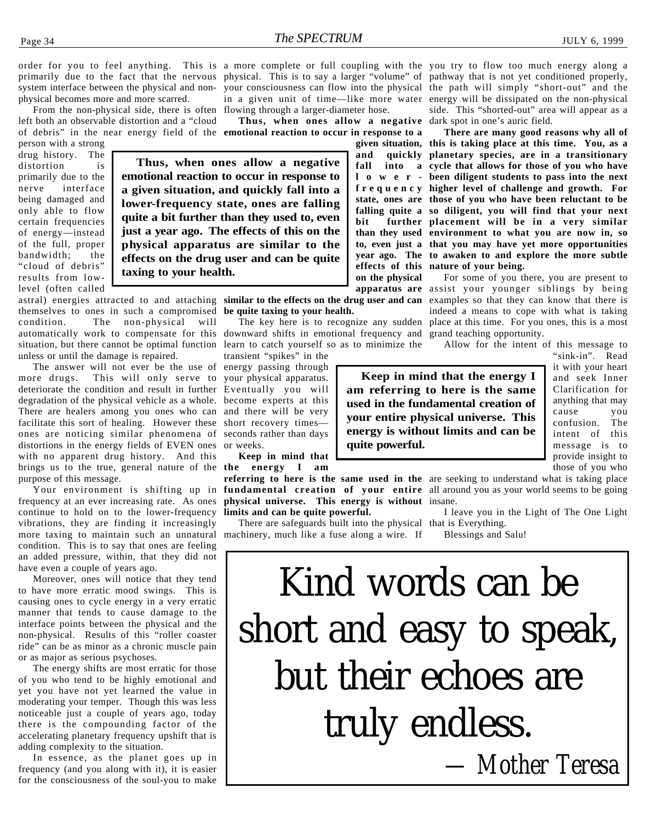order for you to feel anything. This is a more complete or full coupling with the you try to flow too much energy along a primarily due to the fact that the nervous physical. This is to say a larger "volume" of pathway that is not yet conditioned properly, system interface between the physical and non-your consciousness can flow into the physical the path will simply "short-out" and the physical becomes more and more scarred.

From the non-physical side, there is often flowing through a larger-diameter hose. left both an observable distortion and a "cloud

person with a strong drug history. The distortion is primarily due to the nerve interface being damaged and only able to flow certain frequencies of energy—instead of the full, proper bandwidth; the "cloud of debris" results from lowlevel (often called

of debris" in the near energy field of the **emotional reaction to occur in response to a Thus, when ones allow a negative emotional reaction to occur in response to a given situation, and quickly fall into a lower-frequency state, ones are falling quite a bit further than they used to, even just a year ago. The effects of this on the physical apparatus are similar to the**

themselves to ones in such a compromised **be quite taxing to your health.** condition. The non-physical will automatically work to compensate for this downward shifts in emotional frequency and grand teaching opportunity. situation, but there cannot be optimal function learn to catch yourself so as to minimize the unless or until the damage is repaired.

**taxing to your health.**

The answer will not ever be the use of energy passing through more drugs. This will only serve to deteriorate the condition and result in further Eventually you will degradation of the physical vehicle as a whole. become experts at this There are healers among you ones who can facilitate this sort of healing. However these ones are noticing similar phenomena of distortions in the energy fields of EVEN ones with no apparent drug history. And this brings us to the true, general nature of the **the energy I am** purpose of this message.

frequency at an ever increasing rate. As ones **physical universe. This energy is without** insane. continue to hold on to the lower-frequency vibrations, they are finding it increasingly more taxing to maintain such an unnatural machinery, much like a fuse along a wire. If condition. This is to say that ones are feeling an added pressure, within, that they did not have even a couple of years ago.

Moreover, ones will notice that they tend to have more erratic mood swings. This is causing ones to cycle energy in a very erratic manner that tends to cause damage to the interface points between the physical and the non-physical. Results of this "roller coaster ride" can be as minor as a chronic muscle pain or as major as serious psychoses.

The energy shifts are most erratic for those of you who tend to be highly emotional and yet you have not yet learned the value in moderating your temper. Though this was less noticeable just a couple of years ago, today there is the compounding factor of the accelerating planetary frequency upshift that is adding complexity to the situation.

In essence, as the planet goes up in frequency (and you along with it), it is easier for the consciousness of the soul-you to make

in a given unit of time—like more water energy will be dissipated on the non-physical **Thus, when ones allow a negative** dark spot in one's auric field. side. This "shorted-out" area will appear as a

> **given situation, this is taking place at this time. You, as a and quickly planetary species, are in a transitionary fall into a cycle that allows for those of you who have lower-been diligent students to pass into the next frequency higher level of challenge and growth. For state, ones are those of you who have been reluctant to be falling quite a so diligent, you will find that your next bit further placement will be in a very similar than they used environment to what you are now in, so to, even just a that you may have yet more opportunities year ago. The to awaken to and explore the more subtle effects of this nature of your being. There are many good reasons why all of**

astral) energies attracted to and attaching **similar to the effects on the drug user and can** examples so that they can know that there is apparatus are assist your younger siblings by being The key here is to recognize any sudden place at this time. For you ones, this is a most For some of you there, you are present to indeed a means to cope with what is taking

Allow for the intent of this message to

**Keep in mind that the energy I am referring to here is the same used in the fundamental creation of your entire physical universe. This energy is without limits and can be quite powerful.**

"sink-in". Read it with your heart and seek Inner Clarification for anything that may cause you confusion. The intent of this message is to provide insight to those of you who

Your environment is shifting up in **fundamental creation of your entire** all around you as your world seems to be going **referring to here is the same used in the** are seeking to understand what is taking place

I leave you in the Light of The One Light

There are safeguards built into the physical that is Everything. Blessings and Salu! Kind words can be short and easy to speak,

but their echoes are truly endless.

*— Mother Teresa*

**on the physical effects on the drug user and can be quite**

transient "spikes" in the your physical apparatus. and there will be very short recovery times seconds rather than days or weeks.

**Keep in mind that**

**limits and can be quite powerful.**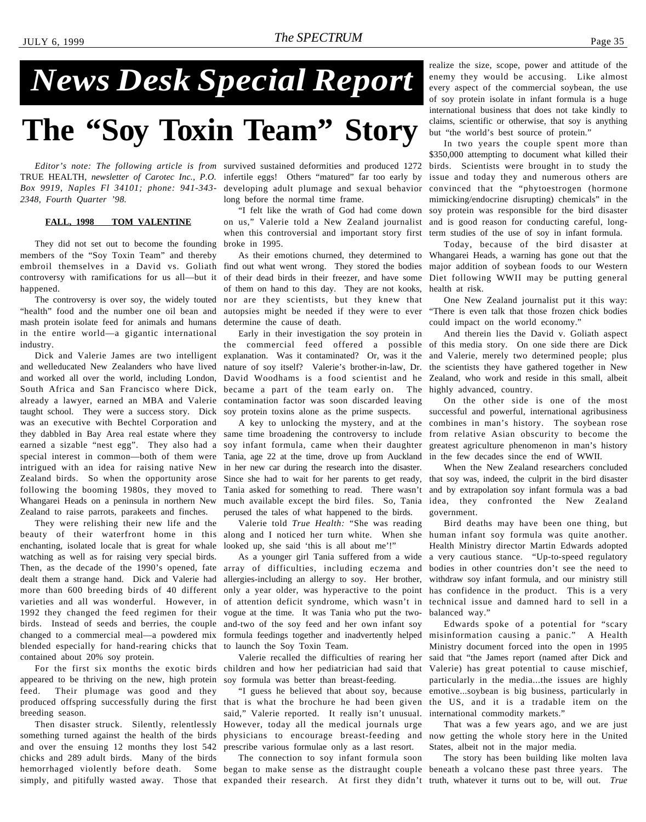## <span id="page-34-0"></span>*News Desk Special Report*

### **The "Soy Toxin Team" Story**

*Editor's note: The following article is from* survived sustained deformities and produced 1272 TRUE HEALTH, *newsletter of Carotec Inc., P.O.* infertile eggs! Others "matured" far too early by *Box 9919, Naples Fl 34101; phone: 941-343- 2348, Fourth Quarter '98.*

#### **FALL, 1998 TOM VALENTINE**

They did not set out to become the founding members of the "Soy Toxin Team" and thereby happened.

"health" food and the number one oil bean and mash protein isolate feed for animals and humans in the entire world—a gigantic international industry.

Dick and Valerie James are two intelligent and welleducated New Zealanders who have lived and worked all over the world, including London, South Africa and San Francisco where Dick, already a lawyer, earned an MBA and Valerie taught school. They were a success story. Dick was an executive with Bechtel Corporation and they dabbled in Bay Area real estate where they earned a sizable "nest egg". They also had a special interest in common—both of them were intrigued with an idea for raising native New Zealand birds. So when the opportunity arose following the booming 1980s, they moved to Whangarei Heads on a peninsula in northern New Zealand to raise parrots, parakeets and finches.

They were relishing their new life and the beauty of their waterfront home in this enchanting, isolated locale that is great for whale watching as well as for raising very special birds. Then, as the decade of the 1990's opened, fate dealt them a strange hand. Dick and Valerie had more than 600 breeding birds of 40 different varieties and all was wonderful. However, in 1992 they changed the feed regimen for their birds. Instead of seeds and berries, the couple changed to a commercial meal—a powdered mix blended especially for hand-rearing chicks that contained about 20% soy protein.

For the first six months the exotic birds appeared to be thriving on the new, high protein feed. Their plumage was good and they produced offspring successfully during the first breeding season.

Then disaster struck. Silently, relentlessly something turned against the health of the birds and over the ensuing 12 months they lost 542 chicks and 289 adult birds. Many of the birds

developing adult plumage and sexual behavior long before the normal time frame.

"I felt like the wrath of God had come down on us," Valerie told a New Zealand journalist and is good reason for conducting careful, longwhen this controversial and important story first term studies of the use of soy in infant formula. broke in 1995.

embroil themselves in a David vs. Goliath find out what went wrong. They stored the bodies controversy with ramifications for us all—but it of their dead birds in their freezer, and have some The controversy is over soy, the widely touted nor are they scientists, but they knew that of them on hand to this day. They are not kooks, autopsies might be needed if they were to ever "There is even talk that those frozen chick bodies determine the cause of death.

> Early in their investigation the soy protein in the commercial feed offered a possible of this media story. On one side there are Dick explanation. Was it contaminated? Or, was it the nature of soy itself? Valerie's brother-in-law, Dr. David Woodhams is a food scientist and he became a part of the team early on. The highly advanced, country. contamination factor was soon discarded leaving soy protein toxins alone as the prime suspects.

> A key to unlocking the mystery, and at the same time broadening the controversy to include soy infant formula, came when their daughter Tania, age 22 at the time, drove up from Auckland in her new car during the research into the disaster. Since she had to wait for her parents to get ready, Tania asked for something to read. There wasn't much available except the bird files. So, Tania idea, they confronted the New Zealand perused the tales of what happened to the birds.

Valerie told *True Health:* "She was reading along and I noticed her turn white. When she looked up, she said 'this is all about me'!"

As a younger girl Tania suffered from a wide array of difficulties, including eczema and allergies-including an allergy to soy. Her brother, only a year older, was hyperactive to the point of attention deficit syndrome, which wasn't in vogue at the time. It was Tania who put the twoand-two of the soy feed and her own infant soy formula feedings together and inadvertently helped to launch the Soy Toxin Team.

Valerie recalled the difficulties of rearing her children and how her pediatrician had said that soy formula was better than breast-feeding.

"I guess he believed that about soy, because that is what the brochure he had been given said," Valerie reported. It really isn't unusual. However, today all the medical journals urge physicians to encourage breast-feeding and prescribe various formulae only as a last resort.

hemorrhaged violently before death. Some began to make sense as the distraught couple beneath a volcano these past three years. The simply, and pitifully wasted away. Those that expanded their research. At first they didn't truth, whatever it turns out to be, will out. *True* The connection to soy infant formula soon

realize the size, scope, power and attitude of the enemy they would be accusing. Like almost every aspect of the commercial soybean, the use of soy protein isolate in infant formula is a huge international business that does not take kindly to claims, scientific or otherwise, that soy is anything but "the world's best source of protein."

In two years the couple spent more than \$350,000 attempting to document what killed their birds. Scientists were brought in to study the issue and today they and numerous others are convinced that the "phytoestrogen (hormone mimicking/endocrine disrupting) chemicals" in the soy protein was responsible for the bird disaster

As their emotions churned, they determined to Whangarei Heads, a warning has gone out that the Today, because of the bird disaster at major addition of soybean foods to our Western Diet following WWII may be putting general health at risk.

> One New Zealand journalist put it this way: could impact on the world economy."

> And therein lies the David v. Goliath aspect and Valerie, merely two determined people; plus the scientists they have gathered together in New Zealand, who work and reside in this small, albeit

> On the other side is one of the most successful and powerful, international agribusiness combines in man's history. The soybean rose from relative Asian obscurity to become the greatest agriculture phenomenon in man's history in the few decades since the end of WWII.

> When the New Zealand researchers concluded that soy was, indeed, the culprit in the bird disaster and by extrapolation soy infant formula was a bad government.

> Bird deaths may have been one thing, but human infant soy formula was quite another. Health Ministry director Martin Edwards adopted a very cautious stance. "Up-to-speed regulatory bodies in other countries don't see the need to withdraw soy infant formula, and our ministry still has confidence in the product. This is a very technical issue and damned hard to sell in a balanced way."

> Edwards spoke of a potential for "scary misinformation causing a panic." A Health Ministry document forced into the open in 1995 said that "the James report (named after Dick and Valerie) has great potential to cause mischief, particularly in the media...the issues are highly emotive...soybean is big business, particularly in the US, and it is a tradable item on the international commodity markets."

> That was a few years ago, and we are just now getting the whole story here in the United States, albeit not in the major media.

> The story has been building like molten lava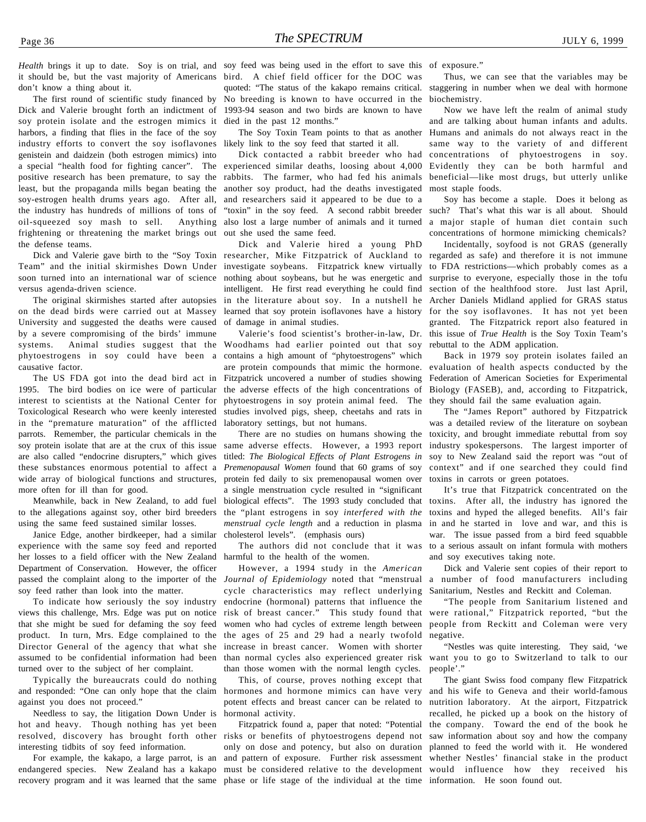don't know a thing about it.

The first round of scientific study financed by Dick and Valerie brought forth an indictment of 1993-94 season and two birds are known to have soy protein isolate and the estrogen mimics it died in the past 12 months." harbors, a finding that flies in the face of the soy industry efforts to convert the soy isoflavones likely link to the soy feed that started it all. genistein and daidzein (both estrogen mimics) into a special "health food for fighting cancer". The experienced similar deaths, loosing about 4,000 positive research has been premature, to say the rabbits. The farmer, who had fed his animals least, but the propaganda mills began beating the soy-estrogen health drums years ago. After all, the industry has hundreds of millions of tons of oil-squeezed soy mash to sell. frightening or threatening the market brings out the defense teams.

versus agenda-driven science.

on the dead birds were carried out at Massey University and suggested the deaths were caused by a severe compromising of the birds' immune systems. Animal studies suggest that the Woodhams had earlier pointed out that soy phytoestrogens in soy could have been a causative factor.

The US FDA got into the dead bird act in 1995. The bird bodies on ice were of particular interest to scientists at the National Center for Toxicological Research who were keenly interested in the "premature maturation" of the afflicted parrots. Remember, the particular chemicals in the soy protein isolate that are at the crux of this issue are also called "endocrine disrupters," which gives these substances enormous potential to affect a wide array of biological functions and structures, more often for ill than for good.

Meanwhile, back in New Zealand, to add fuel to the allegations against soy, other bird breeders using the same feed sustained similar losses.

Janice Edge, another birdkeeper, had a similar experience with the same soy feed and reported her losses to a field officer with the New Zealand Department of Conservation. However, the officer passed the complaint along to the importer of the soy feed rather than look into the matter.

To indicate how seriously the soy industry views this challenge, Mrs. Edge was put on notice that she might be sued for defaming the soy feed product. In turn, Mrs. Edge complained to the Director General of the agency that what she assumed to be confidential information had been turned over to the subject of her complaint.

Typically the bureaucrats could do nothing and responded: "One can only hope that the claim against you does not proceed."

Needless to say, the litigation Down Under is hot and heavy. Though nothing has yet been resolved, discovery has brought forth other risks or benefits of phytoestrogens depend not interesting tidbits of soy feed information.

endangered species. New Zealand has a kakapo must be considered relative to the development would influence how they received his

Health brings it up to date. Soy is on trial, and soy feed was being used in the effort to save this of exposure." it should be, but the vast majority of Americans bird. A chief field officer for the DOC was quoted: "The status of the kakapo remains critical. No breeding is known to have occurred in the

The Soy Toxin Team points to that as another

Dick contacted a rabbit breeder who had another soy product, had the deaths investigated and researchers said it appeared to be due to a "toxin" in the soy feed. A second rabbit breeder such? That's what this war is all about. Should also lost a large number of animals and it turned a major staple of human diet contain such out she used the same feed.

Dick and Valerie gave birth to the "Soy Toxin researcher, Mike Fitzpatrick of Auckland to regarded as safe) and therefore it is not immune Team" and the initial skirmishes Down Under investigate soybeans. Fitzpatrick knew virtually to FDA restrictions—which probably comes as a soon turned into an international war of science nothing about soybeans, but he was energetic and surprise to everyone, especially those in the tofu The original skirmishes started after autopsies in the literature about soy. In a nutshell he Archer Daniels Midland applied for GRAS status Dick and Valerie hired a young PhD intelligent. He first read everything he could find learned that soy protein isoflavones have a history of damage in animal studies.

> Valerie's food scientist's brother-in-law, Dr. contains a high amount of "phytoestrogens" which are protein compounds that mimic the hormone. Fitzpatrick uncovered a number of studies showing the adverse effects of the high concentrations of phytoestrogens in soy protein animal feed. The studies involved pigs, sheep, cheetahs and rats in laboratory settings, but not humans.

> There are no studies on humans showing the same adverse effects. However, a 1993 report titled: *The Biological Effects of Plant Estrogens in Premenopausal Women* found that 60 grams of soy protein fed daily to six premenopausal women over a single menstruation cycle resulted in "significant biological effects". The 1993 study concluded that the "plant estrogens in soy *interfered with the menstrual cycle length* and a reduction in plasma cholesterol levels". (emphasis ours)

> The authors did not conclude that it was harmful to the health of the women.

> However, a 1994 study in the *American Journal of Epidemiology* noted that "menstrual cycle characteristics may reflect underlying endocrine (hormonal) patterns that influence the risk of breast cancer." This study found that women who had cycles of extreme length between the ages of 25 and 29 had a nearly twofold increase in breast cancer. Women with shorter than normal cycles also experienced greater risk than those women with the normal length cycles.

> This, of course, proves nothing except that hormones and hormone mimics can have very potent effects and breast cancer can be related to hormonal activity.

For example, the kakapo, a large parrot, is an and pattern of exposure. Further risk assessment recovery program and it was learned that the same phase or life stage of the individual at the time information. He soon found out.Fitzpatrick found a, paper that noted: "Potential only on dose and potency, but also on duration

Thus, we can see that the variables may be staggering in number when we deal with hormone biochemistry.

Now we have left the realm of animal study and are talking about human infants and adults. Humans and animals do not always react in the same way to the variety of and different concentrations of phytoestrogens in soy. Evidently they can be both harmful and beneficial—like most drugs, but utterly unlike most staple foods.

Soy has become a staple. Does it belong as concentrations of hormone mimicking chemicals?

Incidentally, soyfood is not GRAS (generally section of the healthfood store. Just last April, for the soy isoflavones. It has not yet been granted. The Fitzpatrick report also featured in this issue of *True Health* is the Soy Toxin Team's rebuttal to the ADM application.

Back in 1979 soy protein isolates failed an evaluation of health aspects conducted by the Federation of American Societies for Experimental Biology (FASEB), and, according to Fitzpatrick, they should fail the same evaluation again.

The "James Report" authored by Fitzpatrick was a detailed review of the literature on soybean toxicity, and brought immediate rebuttal from soy industry spokespersons. The largest importer of soy to New Zealand said the report was "out of context" and if one searched they could find toxins in carrots or green potatoes.

It's true that Fitzpatrick concentrated on the toxins. After all, the industry has ignored the toxins and hyped the alleged benefits. All's fair in and he started in love and war, and this is war. The issue passed from a bird feed squabble to a serious assault on infant formula with mothers and soy executives taking note.

Dick and Valerie sent copies of their report to a number of food manufacturers including Sanitarium, Nestles and Reckitt and Coleman.

"The people from Sanitarium listened and were rational," Fitzpatrick reported, "but the people from Reckitt and Coleman were very negative.

"Nestles was quite interesting. They said, 'we want you to go to Switzerland to talk to our people'."

The giant Swiss food company flew Fitzpatrick and his wife to Geneva and their world-famous nutrition laboratory. At the airport, Fitzpatrick recalled, he picked up a book on the history of the company. Toward the end of the book he saw information about soy and how the company planned to feed the world with it. He wondered whether Nestles' financial stake in the product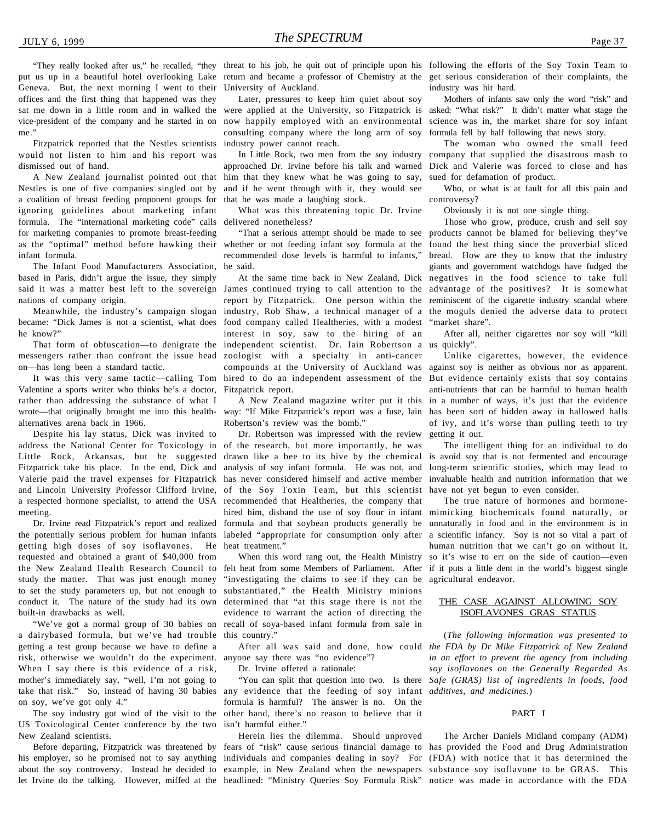Geneva. But, the next morning I went to their offices and the first thing that happened was they sat me down in a little room and in walked the vice-president of the company and he started in on me."

Fitzpatrick reported that the Nestles scientists would not listen to him and his report was dismissed out of hand.

A New Zealand journalist pointed out that Nestles is one of five companies singled out by a coalition of breast feeding proponent groups for ignoring guidelines about marketing infant formula. The "international marketing code" calls delivered nonetheless? for marketing companies to promote breast-feeding as the "optimal" method before hawking their whether or not feeding infant soy formula at the found the best thing since the proverbial sliced infant formula.

The Infant Food Manufacturers Association, based in Paris, didn't argue the issue, they simply nations of company origin.

Meanwhile, the industry's campaign slogan became: "Dick James is not a scientist, what does he know?"

That form of obfuscation—to denigrate the messengers rather than confront the issue head on—has long been a standard tactic.

It was this very same tactic—calling Tom Valentine a sports writer who thinks he's a doctor, rather than addressing the substance of what I wrote—that originally brought me into this healthalternatives arena back in 1966.

Despite his lay status, Dick was invited to address the National Center for Toxicology in of the research, but more importantly, he was Little Rock, Arkansas, but he suggested Fitzpatrick take his place. In the end, Dick and Valerie paid the travel expenses for Fitzpatrick and Lincoln University Professor Clifford Irvine, a respected hormone specialist, to attend the USA meeting.

Dr. Irvine read Fitzpatrick's report and realized the potentially serious problem for human infants getting high doses of soy isoflavones. He requested and obtained a grant of \$40,000 from study the matter. That was just enough money to set the study parameters up, but not enough to substantiated," the Health Ministry minions conduct it. The nature of the study had its own built-in drawbacks as well.

"We've got a normal group of 30 babies on a dairybased formula, but we've had trouble getting a test group because we have to define a risk, otherwise we wouldn't do the experiment. When I say there is this evidence of a risk, mother's immediately say, "well, I'm not going to take that risk." So, instead of having 30 babies on soy, we've got only 4."

The soy industry got wind of the visit to the US Toxicological Center conference by the two isn't harmful either." New Zealand scientists.

his employer, so he promised not to say anything individuals and companies dealing in soy? For (FDA) with notice that it has determined the about the soy controversy. Instead he decided to example, in New Zealand when the newspapers substance soy isoflavone to be GRAS. This let Irvine do the talking. However, miffed at the headlined: "Ministry Queries Soy Formula Risk" notice was made in accordance with the FDA

"They really looked after us," he recalled, "they threat to his job, he quit out of principle upon his following the efforts of the Soy Toxin Team to put us up in a beautiful hotel overlooking Lake return and became a professor of Chemistry at the get serious consideration of their complaints, the University of Auckland.

> Later, pressures to keep him quiet about soy were applied at the University, so Fitzpatrick is now happily employed with an environmental consulting company where the long arm of soy industry power cannot reach.

> approached Dr. Irvine before his talk and warned him that they knew what he was going to say, and if he went through with it, they would see that he was made a laughing stock.

What was this threatening topic Dr. Irvine

recommended dose levels is harmful to infants," he said.

said it was a matter best left to the sovereign James continued trying to call attention to the advantage of the positives? It is somewhat report by Fitzpatrick. One person within the reminiscent of the cigarette industry scandal where industry, Rob Shaw, a technical manager of a the moguls denied the adverse data to protect food company called Healtheries, with a modest interest in soy, saw to the hiring of an independent scientist. Dr. Iain Robertson a us quickly". zoologist with a specialty in anti-cancer compounds at the University of Auckland was hired to do an independent assessment of the Fitzpatrick report.

A New Zealand magazine writer put it this way: "If Mike Fitzpatrick's report was a fuse, Iain Robertson's review was the bomb."

Dr. Robertson was impressed with the review drawn like a bee to its hive by the chemical analysis of soy infant formula. He was not, and has never considered himself and active member of the Soy Toxin Team, but this scientist recommended that Healtheries, the company that hired him, disband the use of soy flour in infant formula and that soybean products generally be labeled "appropriate for consumption only after heat treatment."

the New Zealand Health Research Council to felt heat from some Members of Parliament. After if it puts a little dent in the world's biggest single When this word rang out, the Health Ministry "investigating the claims to see if they can be agricultural endeavor. determined that "at this stage there is not the evidence to warrant the action of directing the recall of soya-based infant formula from sale in this country."

anyone say there was "no evidence"?

Dr. Irvine offered a rationale:

"You can split that question into two. Is there any evidence that the feeding of soy infant *additives, and medicines.*) formula is harmful? The answer is no. On the other hand, there's no reason to believe that it

Herein lies the dilemma. Should unproved

industry was hit hard.

Mothers of infants saw only the word "risk" and asked: "What risk?" It didn't matter what stage the science was in, the market share for soy infant formula fell by half following that news story.

In Little Rock, two men from the soy industry company that supplied the disastrous mash to The woman who owned the small feed Dick and Valerie was forced to close and has sued for defamation of product.

> Who, or what is at fault for all this pain and controversy?

Obviously it is not one single thing.

"That a serious attempt should be made to see products cannot be blamed for believing they've At the same time back in New Zealand, Dick negatives in the food science to take full Those who grow, produce, crush and sell soy bread. How are they to know that the industry giants and government watchdogs have fudged the "market share".

After all, neither cigarettes nor soy will "kill

Unlike cigarettes, however, the evidence against soy is neither as obvious nor as apparent. But evidence certainly exists that soy contains anti-nutrients that can be harmful to human health in a number of ways, it's just that the evidence has been sort of hidden away in hallowed halls of ivy, and it's worse than pulling teeth to try getting it out.

The intelligent thing for an individual to do is avoid soy that is not fermented and encourage long-term scientific studies, which may lead to invaluable health and nutrition information that we have not yet begun to even consider.

The true nature of hormones and hormonemimicking biochemicals found naturally, or unnaturally in food and in the environment is in a scientific infancy. Soy is not so vital a part of human nutrition that we can't go on without it, so it's wise to err on the side of caution—even

#### THE CASE AGAINST ALLOWING SOY ISOFLAVONES GRAS STATUS

After all was said and done, how could *the FDA by Dr Mike Fitzpatrick of New Zealand* (*The following information was presented to in an effort to prevent the agency from including soy isoflavones on the Generally Regarded As Safe (GRAS) list of ingredients in foods, food*

#### PART I

Before departing, Fitzpatrick was threatened by fears of "risk" cause serious financial damage to has provided the Food and Drug Administration The Archer Daniels Midland company (ADM)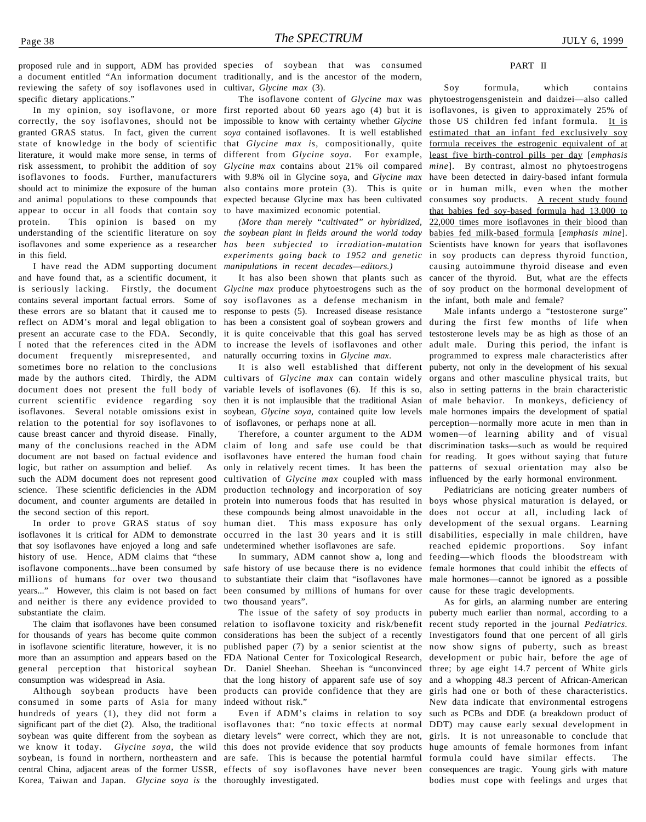specific dietary applications." correctly, the soy isoflavones, should not be impossible to know with certainty whether *Glycine* granted GRAS status. In fact, given the current *soya* contained isoflavones. It is well established state of knowledge in the body of scientific that *Glycine max is*, compositionally, quite <u>formula receives the estrogenic equivalent of at</u> literature, it would make more sense, in terms of different from *Glycine soya.* For example, least five birth-control pills per day [*emphasis* risk assessment, to prohibit the addition of soy *Glycine max* contains about 21% oil compared *mine*]. By contrast, almost no phytoestrogens isoflavones to foods. Further, manufacturers with 9.8% oil in Glycine soya, and *Glycine max* have been detected in dairy-based infant formula should act to minimize the exposure of the human also contains more protein (3). This is quite or in human milk, even when the mother and animal populations to these compounds that expected because Glycine max has been cultivated appear to occur in all foods that contain soy protein. This opinion is based on my understanding of the scientific literature on soy *the soybean plant in fields around the world today* isoflavones and some experience as a researcher in this field.

and have found that, as a scientific document, it is seriously lacking. Firstly, the document *Glycine max* produce phytoestrogens such as the of soy product on the hormonal development of contains several important factual errors. Some of soy isoflavones as a defense mechanism in the infant, both male and female? these errors are so blatant that it caused me to response to pests (5). Increased disease resistance reflect on ADM's moral and legal obligation to present an accurate case to the FDA. Secondly, it is quite conceivable that this goal has served I noted that the references cited in the ADM document frequently misrepresented, and sometimes bore no relation to the conclusions made by the authors cited. Thirdly, the ADM document does not present the full body of current scientific evidence regarding soy isoflavones. Several notable omissions exist in relation to the potential for soy isoflavones to cause breast cancer and thyroid disease. Finally, many of the conclusions reached in the ADM document are not based on factual evidence and logic, but rather on assumption and belief. As such the ADM document does not represent good science. These scientific deficiencies in the ADM document, and counter arguments are detailed in the second section of this report.

In order to prove GRAS status of soy isoflavones it is critical for ADM to demonstrate that soy isoflavones have enjoyed a long and safe history of use. Hence, ADM claims that "these isoflavone components...have been consumed by millions of humans for over two thousand years..." However, this claim is not based on fact and neither is there any evidence provided to substantiate the claim.

for thousands of years has become quite common in isoflavone scientific literature, however, it is no more than an assumption and appears based on the general perception that historical soybean consumption was widespread in Asia.

Although soybean products have been consumed in some parts of Asia for many hundreds of years (1), they did not form a significant part of the diet (2). Also, the traditional isoflavones that: "no toxic effects at normal DDT) may cause early sexual development in soybean was quite different from the soybean as dietary levels" were correct, which they are not, girls. It is not unreasonable to conclude that we know it today. *Glycine soya*, the wild this does not provide evidence that soy products huge amounts of female hormones from infant soybean, is found in northern, northeastern and are safe. This is because the potential harmful formula could have similar effects. The central China, adjacent areas of the former USSR, effects of soy isoflavones have never been consequences are tragic. Young girls with mature Korea, Taiwan and Japan. *Glycine soya is* the thoroughly investigated.

proposed rule and in support, ADM has provided species of soybean that was consumed a document entitled "An information document traditionally, and is the ancestor of the modern, reviewing the safety of soy isoflavones used in cultivar, *Glycine max* (3).

## In my opinion, soy isoflavone, or more first reported about 60 years ago (4) but it is The isoflavone content of *Glycine max* was to have maximized economic potential.

I have read the ADM supporting document *manipulations in recent decades—editors.) (More than merely "cultivated" or hybridized, has been subjected to irradiation-mutation experiments going back to 1952 and genetic* in soy products can depress thyroid function,

> has been a consistent goal of soybean growers and during the first few months of life when to increase the levels of isoflavones and other adult male. During this period, the infant is naturally occurring toxins in *Glycine max*.

It is also well established that different cultivars of *Glycine max* can contain widely variable levels of isoflavones (6). If this is so, then it is not implausible that the traditional Asian soybean, *Glycine soya,* contained quite low levels of isoflavones, or perhaps none at all.

Therefore, a counter argument to the ADM claim of long and safe use could be that isoflavones have entered the human food chain only in relatively recent times. It has been the cultivation of *Glycine max* coupled with mass production technology and incorporation of soy protein into numerous foods that has resulted in boys whose physical maturation is delayed, or these compounds being almost unavoidable in the does not occur at all, including lack of human diet. This mass exposure has only occurred in the last 30 years and it is still disabilities, especially in male children, have undetermined whether isoflavones are safe.

safe history of use because there is no evidence female hormones that could inhibit the effects of to substantiate their claim that "isoflavones have male hormones—cannot be ignored as a possible been consumed by millions of humans for over cause for these tragic developments. two thousand years".

The claim that isoflavones have been consumed relation to isoflavone toxicity and risk/benefit recent study reported in the journal *Pediatrics*. considerations has been the subject of a recently Investigators found that one percent of all girls published paper (7) by a senior scientist at the now show signs of puberty, such as breast FDA National Center for Toxicological Research, development or pubic hair, before the age of Dr. Daniel Sheehan. Sheehan is "unconvinced three; by age eight 14.7 percent of White girls that the long history of apparent safe use of soy and a whopping 48.3 percent of African-American products can provide confidence that they are indeed without risk."

#### PART II

It has also been shown that plants such as cancer of the thyroid. But, what are the effects Soy formula, which contains phytoestrogensgenistein and daidzei—also called isoflavones, is given to approximately 25% of those US children fed infant formula. It is estimated that an infant fed exclusively soy consumes soy products. A recent study found that babies fed soy-based formula had 13,000 to 22,000 times more isoflavones in their blood than babies fed milk-based formula [*emphasis mine*]. Scientists have known for years that isoflavones causing autoimmune thyroid disease and even

> Male infants undergo a "testosterone surge" testosterone levels may be as high as those of an programmed to express male characteristics after puberty, not only in the development of his sexual organs and other masculine physical traits, but also in setting patterns in the brain characteristic of male behavior. In monkeys, deficiency of male hormones impairs the development of spatial perception—normally more acute in men than in women—of learning ability and of visual discrimination tasks—such as would be required for reading. It goes without saying that future patterns of sexual orientation may also be influenced by the early hormonal environment.

In summary, ADM cannot show a, long and feeding—which floods the bloodstream with Pediatricians are noticing greater numbers of development of the sexual organs. Learning reached epidemic proportions. Soy infant

The issue of the safety of soy products in puberty much earlier than normal, according to a Even if ADM's claims in relation to soy such as PCBs and DDE (a breakdown product of As for girls, an alarming number are entering girls had one or both of these characteristics. New data indicate that environmental estrogens bodies must cope with feelings and urges that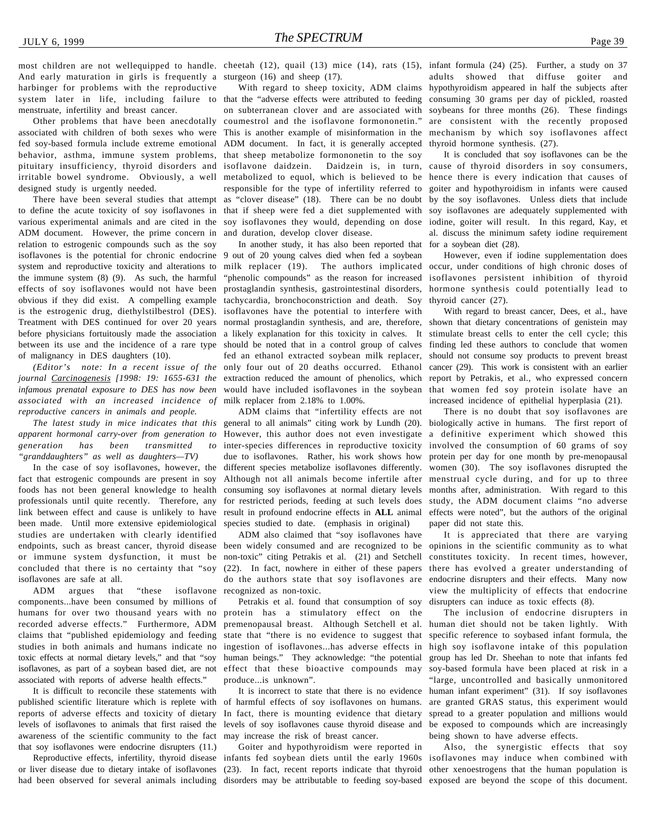And early maturation in girls is frequently a sturgeon (16) and sheep (17). harbinger for problems with the reproductive system later in life, including failure to that the "adverse effects were attributed to feeding menstruate, infertility and breast cancer.

Other problems that have been anecdotally associated with children of both sexes who were This is another example of misinformation in the mechanism by which soy isoflavones affect fed soy-based formula include extreme emotional ADM document. In fact, it is generally accepted behavior, asthma, immune system problems, that sheep metabolize formononetin to the soy pituitary insufficiency, thyroid disorders and isoflavone daidzein. Daidzein is, in turn, cause of thyroid disorders in soy consumers, irritable bowel syndrome. Obviously, a well metabolized to equol, which is believed to be hence there is every indication that causes of designed study is urgently needed.

to define the acute toxicity of soy isoflavones in that if sheep were fed a diet supplemented with various experimental animals and are cited in the soy isoflavones they would, depending on dose ADM document. However, the prime concern in relation to estrogenic compounds such as the soy isoflavones is the potential for chronic endocrine 9 out of 20 young calves died when fed a soybean system and reproductive toxicity and alterations to the immune system (8) (9). As such, the harmful effects of soy isoflavones would not have been prostaglandin synthesis, gastrointestinal disorders, obvious if they did exist. A compelling example tachycardia, bronchoconstriction and death. Soy is the estrogenic drug, diethylstilbestrol (DES). isoflavones have the potential to interfere with Treatment with DES continued for over 20 years normal prostaglandin synthesis, and are, therefore, before physicians fortuitously made the association a likely explanation for this toxicity in calves. It between its use and the incidence of a rare type should be noted that in a control group of calves of malignancy in DES daughters (10).

*(Editor's note: In a recent issue of the journal Carcinogenesis [1998: 19: 1655-631 the infamous prenatal exposure to DES has now been associated with an increased incidence of reproductive cancers in animals and people.*

*apparent hormonal carry-over from generation to generation has been transmitted to "granddaughters" as well as daughters—TV)*

In the case of soy isoflavones, however, the fact that estrogenic compounds are present in soy foods has not been general knowledge to health professionals until quite recently. Therefore, any link between effect and cause is unlikely to have been made. Until more extensive epidemiological studies are undertaken with clearly identified endpoints, such as breast cancer, thyroid disease or immune system dysfunction, it must be concluded that there is no certainty that "soy isoflavones are safe at all.

ADM argues that "these isoflavone components...have been consumed by millions of humans for over two thousand years with no recorded adverse effects." Furthermore, ADM claims that "published epidemiology and feeding studies in both animals and humans indicate no toxic effects at normal dietary levels," and that "soy isoflavones, as part of a soybean based diet, are not associated with reports of adverse health effects."

It is difficult to reconcile these statements with published scientific literature which is replete with reports of adverse effects and toxicity of dietary In fact, there is mounting evidence that dietary awareness of the scientific community to the fact may increase the risk of breast cancer. that soy isoflavones were endocrine disrupters (11.)

or liver disease due to dietary intake of isoflavones (23). In fact, recent reports indicate that thyroid other xenoestrogens that the human population is

With regard to sheep toxicity, ADM claims on subterranean clover and are associated with coumestrol and the isoflavone formononetin." responsible for the type of infertility referred to and duration, develop clover disease.

In another study, it has also been reported that milk replacer (19). The authors implicated occur, under conditions of high chronic doses of "phenolic compounds" as the reason for increased isoflavones persistent inhibition of thyroid fed an ethanol extracted soybean milk replacer, only four out of 20 deaths occurred. Ethanol extraction reduced the amount of phenolics, which report by Petrakis, et al., who expressed concern would have included isoflavones in the soybean that women fed soy protein isolate have an milk replacer from 2.18% to 1.00%.

*The latest study in mice indicates that this* general to all animals" citing work by Lundh (20). ADM claims that "infertility effects are not However, this author does not even investigate inter-species differences in reproductive toxicity due to isoflavones. Rather, his work shows how different species metabolize isoflavones differently. Although not all animals become infertile after consuming soy isoflavones at normal dietary levels for restricted periods, feeding at such levels does result in profound endocrine effects in **ALL** animal species studied to date. (emphasis in original)

> ADM also claimed that "soy isoflavones have been widely consumed and are recognized to be non-toxic" citing Petrakis et al. (21) and Setchell (22). In fact, nowhere in either of these papers do the authors state that soy isoflavones are recognized as non-toxic.

> Petrakis et al. found that consumption of soy protein has a stimulatory effect on the premenopausal breast. Although Setchell et al. state that "there is no evidence to suggest that ingestion of isoflavones...has adverse effects in human beings." They acknowledge: "the potential effect that these bioactive compounds may produce...is unknown".

levels of isoflavones to animals that first raised the levels of soy isoflavones cause thyroid disease and be exposed to compounds which are increasingly It is incorrect to state that there is no evidence of harmful effects of soy isoflavones on humans.

had been observed for several animals including disorders may be attributable to feeding soy-based exposed are beyond the scope of this document.Goiter and hypothyroidism were reported in

most children are not wellequipped to handle. cheetah (12), quail (13) mice (14), rats (15), infant formula (24) (25). Further, a study on 37 adults showed that diffuse goiter and hypothyroidism appeared in half the subjects after consuming 30 grams per day of pickled, roasted soybeans for three months (26). These findings are consistent with the recently proposed thyroid hormone synthesis. (27).

There have been several studies that attempt as "clover disease" (18). There can be no doubt by the soy isoflavones. Unless diets that include It is concluded that soy isoflavones can be the goiter and hypothyroidism in infants were caused soy isoflavones are adequately supplemented with iodine, goiter will result. In this regard, Kay, et al. discuss the minimum safety iodine requirement for a soybean diet (28).

> However, even if iodine supplementation does hormone synthesis could potentially lead to thyroid cancer (27).

> With regard to breast cancer, Dees, et al., have shown that dietary concentrations of genistein may stimulate breast cells to enter the cell cycle; this finding led these authors to conclude that women should not consume soy products to prevent breast cancer (29). This work is consistent with an earlier increased incidence of epithelial hyperplasia (21).

> There is no doubt that soy isoflavones are biologically active in humans. The first report of a definitive experiment which showed this involved the consumption of 60 grams of soy protein per day for one month by pre-menopausal women (30). The soy isoflavones disrupted the menstrual cycle during, and for up to three months after, administration. With regard to this study, the ADM document claims "no adverse effects were noted", but the authors of the original paper did not state this.

> It is appreciated that there are varying opinions in the scientific community as to what constitutes toxicity. In recent times, however, there has evolved a greater understanding of endocrine disrupters and their effects. Many now view the multiplicity of effects that endocrine disrupters can induce as toxic effects (8).

> The inclusion of endocrine disrupters in human diet should not be taken lightly. With specific reference to soybased infant formula, the high soy isoflavone intake of this population group has led Dr. Sheehan to note that infants fed soy-based formula have been placed at risk in a "large, uncontrolled and basically unmonitored human infant experiment" (31). If soy isoflavones are granted GRAS status, this experiment would spread to a greater population and millions would being shown to have adverse effects.

Reproductive effects, infertility, thyroid disease infants fed soybean diets until the early 1960s isoflavones may induce when combined with Also, the synergistic effects that soy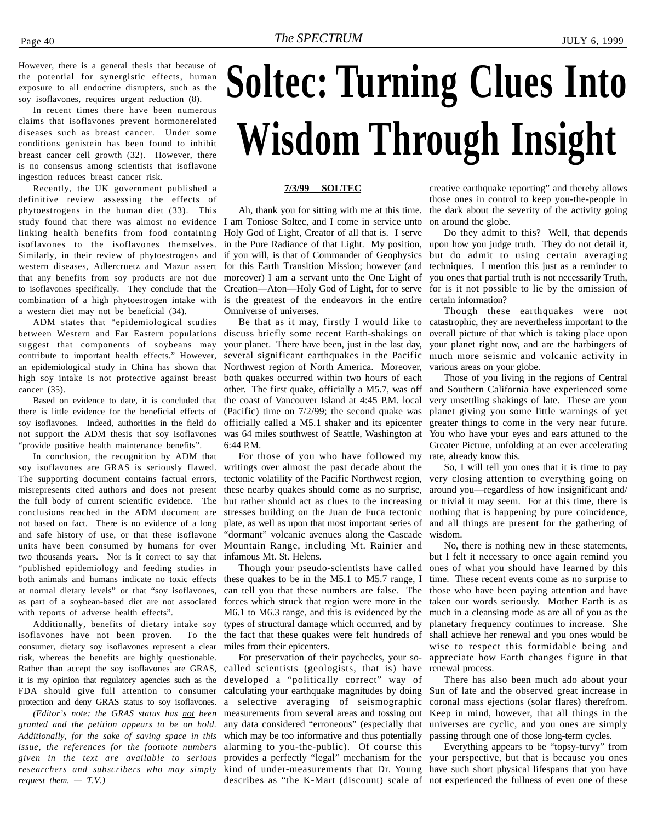<span id="page-39-0"></span>However, there is a general thesis that because of the potential for synergistic effects, human exposure to all endocrine disrupters, such as the soy isoflavones, requires urgent reduction (8).

In recent times there have been numerous claims that isoflavones prevent hormonerelated diseases such as breast cancer. Under some conditions genistein has been found to inhibit breast cancer cell growth (32). However, there is no consensus among scientists that isoflavone ingestion reduces breast cancer risk.

Recently, the UK government published a definitive review assessing the effects of phytoestrogens in the human diet (33). This study found that there was almost no evidence I am Toniose Soltec, and I come in service unto linking health benefits from food containing isoflavones to the isoflavones themselves. Similarly, in their review of phytoestrogens and western diseases, Adlercruetz and Mazur assert that any benefits from soy products are not due to isoflavones specifically. They conclude that the combination of a high phytoestrogen intake with is the greatest of the endeavors in the entire a western diet may not be beneficial (34).

ADM states that "epidemiological studies between Western and Far Eastern populations suggest that components of soybeans may contribute to important health effects." However, an epidemiological study in China has shown that high soy intake is not protective against breast cancer (35).

Based on evidence to date, it is concluded that there is little evidence for the beneficial effects of soy isoflavones. Indeed, authorities in the field do not support the ADM thesis that soy isoflavones "provide positive health maintenance benefits".

In conclusion, the recognition by ADM that soy isoflavones are GRAS is seriously flawed. The supporting document contains factual errors, misrepresents cited authors and does not present the full body of current scientific evidence. The conclusions reached in the ADM document are not based on fact. There is no evidence of a long and safe history of use, or that these isoflavone units have been consumed by humans for over two thousands years. Nor is it correct to say that "published epidemiology and feeding studies in both animals and humans indicate no toxic effects at normal dietary levels" or that "soy isoflavones, as part of a soybean-based diet are not associated with reports of adverse health effects".

Additionally, benefits of dietary intake soy isoflavones have not been proven. To the consumer, dietary soy isoflavones represent a clear risk, whereas the benefits are highly questionable. Rather than accept the soy isoflavones are GRAS, it is my opinion that regulatory agencies such as the FDA should give full attention to consumer protection and deny GRAS status to soy isoflavones.

*(Editor's note: the GRAS status has not been granted and the petition appears to be on hold. Additionally, for the sake of saving space in this issue, the references for the footnote numbers given in the text are available to serious researchers and subscribers who may simply request them. — T.V.)*

## **Soltec: Turning Clues Into Wisdom Through Insight**

#### **7/3/99 SOLTEC**

Ah, thank you for sitting with me at this time. Holy God of Light, Creator of all that is. I serve in the Pure Radiance of that Light. My position, upon how you judge truth. They do not detail it, if you will, is that of Commander of Geophysics for this Earth Transition Mission; however (and moreover) I am a servant unto the One Light of Creation—Aton—Holy God of Light, for to serve Omniverse of universes.

discuss briefly some recent Earth-shakings on your planet. There have been, just in the last day, several significant earthquakes in the Pacific Northwest region of North America. Moreover, both quakes occurred within two hours of each other. The first quake, officially a M5.7, was off the coast of Vancouver Island at 4:45 P.M. local (Pacific) time on 7/2/99; the second quake was officially called a M5.1 shaker and its epicenter was 64 miles southwest of Seattle, Washington at 6:44 P.M.

For those of you who have followed my writings over almost the past decade about the tectonic volatility of the Pacific Northwest region, these nearby quakes should come as no surprise, but rather should act as clues to the increasing stresses building on the Juan de Fuca tectonic plate, as well as upon that most important series of "dormant" volcanic avenues along the Cascade Mountain Range, including Mt. Rainier and infamous Mt. St. Helens.

Though your pseudo-scientists have called these quakes to be in the M5.1 to M5.7 range, I can tell you that these numbers are false. The forces which struck that region were more in the M6.1 to M6.3 range, and this is evidenced by the types of structural damage which occurred, and by the fact that these quakes were felt hundreds of miles from their epicenters.

For preservation of their paychecks, your socalled scientists (geologists, that is) have developed a "politically correct" way of calculating your earthquake magnitudes by doing a selective averaging of seismographic measurements from several areas and tossing out any data considered "erroneous" (especially that universes are cyclic, and you ones are simply which may be too informative and thus potentially alarming to you-the-public). Of course this provides a perfectly "legal" mechanism for the your perspective, but that is because you ones kind of under-measurements that Dr. Young have such short physical lifespans that you have describes as "the K-Mart (discount) scale of not experienced the fullness of even one of these

creative earthquake reporting" and thereby allows those ones in control to keep you-the-people in the dark about the severity of the activity going on around the globe.

Do they admit to this? Well, that depends but do admit to using certain averaging techniques. I mention this just as a reminder to you ones that partial truth is not necessarily Truth, for is it not possible to lie by the omission of certain information?

Be that as it may, firstly I would like to catastrophic, they are nevertheless important to the Though these earthquakes were not overall picture of that which is taking place upon your planet right now, and are the harbingers of much more seismic and volcanic activity in various areas on your globe.

> Those of you living in the regions of Central and Southern California have experienced some very unsettling shakings of late. These are your planet giving you some little warnings of yet greater things to come in the very near future. You who have your eyes and ears attuned to the Greater Picture, unfolding at an ever accelerating rate, already know this.

> So, I will tell you ones that it is time to pay very closing attention to everything going on around you—regardless of how insignificant and/ or trivial it may seem. For at this time, there is nothing that is happening by pure coincidence, and all things are present for the gathering of wisdom.

> No, there is nothing new in these statements, but I felt it necessary to once again remind you ones of what you should have learned by this time. These recent events come as no surprise to those who have been paying attention and have taken our words seriously. Mother Earth is as much in a cleansing mode as are all of you as the planetary frequency continues to increase. She shall achieve her renewal and you ones would be wise to respect this formidable being and appreciate how Earth changes figure in that renewal process.

> There has also been much ado about your Sun of late and the observed great increase in coronal mass ejections (solar flares) therefrom. Keep in mind, however, that all things in the passing through one of those long-term cycles.

> Everything appears to be "topsy-turvy" from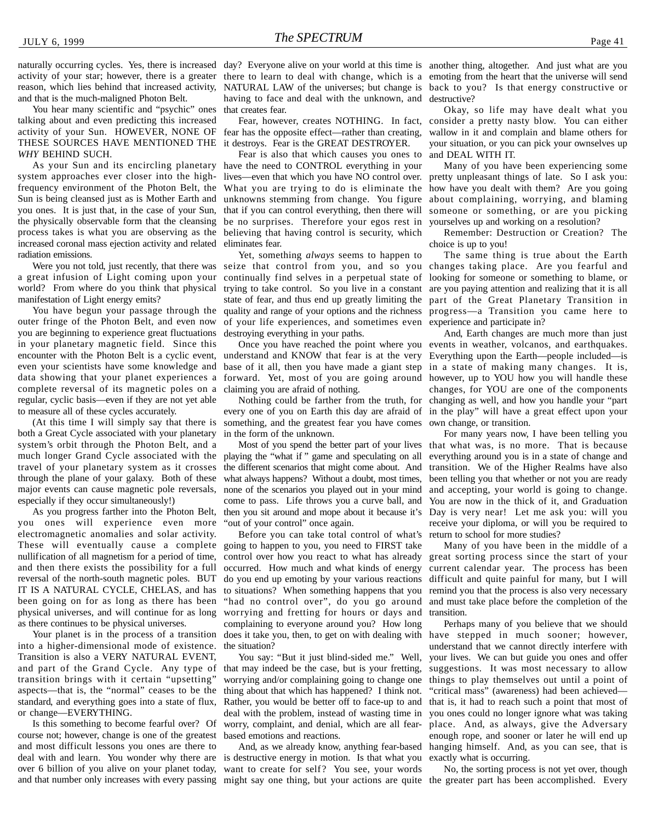reason, which lies behind that increased activity, and that is the much-maligned Photon Belt.

You hear many scientific and "psychic" ones talking about and even predicting this increased activity of your Sun. HOWEVER, NONE OF THESE SOURCES HAVE MENTIONED THE *WHY* BEHIND SUCH.

system approaches ever closer into the highfrequency environment of the Photon Belt, the Sun is being cleansed just as is Mother Earth and you ones. It is just that, in the case of your Sun, the physically observable form that the cleansing process takes is what you are observing as the increased coronal mass ejection activity and related radiation emissions.

a great infusion of Light coming upon your world? From where do you think that physical manifestation of Light energy emits?

You have begun your passage through the outer fringe of the Photon Belt, and even now you are beginning to experience great fluctuations in your planetary magnetic field. Since this encounter with the Photon Belt is a cyclic event, even your scientists have some knowledge and data showing that your planet experiences a complete reversal of its magnetic poles on a regular, cyclic basis—even if they are not yet able to measure all of these cycles accurately.

(At this time I will simply say that there is both a Great Cycle associated with your planetary system's orbit through the Photon Belt, and a much longer Grand Cycle associated with the travel of your planetary system as it crosses through the plane of your galaxy. Both of these major events can cause magnetic pole reversals, especially if they occur simultaneously!)

As you progress farther into the Photon Belt, you ones will experience even more electromagnetic anomalies and solar activity. These will eventually cause a complete going to happen to you, you need to FIRST take nullification of all magnetism for a period of time, and then there exists the possibility for a full reversal of the north-south magnetic poles. BUT IT IS A NATURAL CYCLE, CHELAS, and has been going on for as long as there has been physical universes, and will continue for as long as there continues to be physical universes.

Your planet is in the process of a transition into a higher-dimensional mode of existence. Transition is also a VERY NATURAL EVENT, and part of the Grand Cycle. Any type of transition brings with it certain "upsetting" aspects—that is, the "normal" ceases to be the standard, and everything goes into a state of flux, or change—EVERYTHING.

Is this something to become fearful over? Of course not; however, change is one of the greatest and most difficult lessons you ones are there to deal with and learn. You wonder why there are is destructive energy in motion. Is that what you exactly what is occurring. over 6 billion of you alive on your planet today, and that number only increases with every passing might say one thing, but your actions are quite the greater part has been accomplished. Every

naturally occurring cycles. Yes, there is increased day? Everyone alive on your world at this time is another thing, altogether. And just what are you activity of your star; however, there is a greater there to learn to deal with change, which is a emoting from the heart that the universe will send NATURAL LAW of the universes; but change is back to you? Is that energy constructive or having to face and deal with the unknown, and destructive? that creates fear.

> fear has the opposite effect—rather than creating, it destroys. Fear is the GREAT DESTROYER.

As your Sun and its encircling planetary have the need to CONTROL everything in your Fear is also that which causes you ones to lives—even that which you have NO control over. unknowns stemming from change. You figure that if you can control everything, then there will be no surprises. Therefore your egos rest in believing that having control is security, which eliminates fear.

Were you not told, just recently, that there was seize that control from you, and so you changes taking place. Are you fearful and Yet, something *always* seems to happen to continually find selves in a perpetual state of trying to take control. So you live in a constant state of fear, and thus end up greatly limiting the part of the Great Planetary Transition in quality and range of your options and the richness progress—a Transition you came here to of your life experiences, and sometimes even destroying everything in your paths.

> understand and KNOW that fear is at the very base of it all, then you have made a giant step in a state of making many changes. It is, forward. Yet, most of you are going around however, up to YOU how you will handle these claiming you are afraid of nothing.

Nothing could be farther from the truth, for every one of you on Earth this day are afraid of something, and the greatest fear you have comes in the form of the unknown.

playing the "what if " game and speculating on all the different scenarios that might come about. And what always happens? Without a doubt, most times, none of the scenarios you played out in your mind come to pass. Life throws you a curve ball, and then you sit around and mope about it because it's "out of your control" once again.

Before you can take total control of what's control over how you react to what has already occurred. How much and what kinds of energy do you end up emoting by your various reactions to situations? When something happens that you "had no control over", do you go around worrying and fretting for hours or days and complaining to everyone around you? How long does it take you, then, to get on with dealing with the situation?

You say: "But it just blind-sided me." Well, that may indeed be the case, but is your fretting, worrying and/or complaining going to change one thing about that which has happened? I think not. Rather, you would be better off to face-up to and deal with the problem, instead of wasting time in worry, complaint, and denial, which are all fearbased emotions and reactions.

want to create for self? You see, your words

Fear, however, creates NOTHING. In fact, consider a pretty nasty blow. You can either Okay, so life may have dealt what you wallow in it and complain and blame others for your situation, or you can pick your ownselves up and DEAL WITH IT.

What you are trying to do is eliminate the how have you dealt with them? Are you going Many of you have been experiencing some pretty unpleasant things of late. So I ask you: about complaining, worrying, and blaming someone or something, or are you picking yourselves up and working on a resolution?

> Remember: Destruction or Creation? The choice is up to you!

> The same thing is true about the Earth looking for someone or something to blame, or are you paying attention and realizing that it is all experience and participate in?

Once you have reached the point where you events in weather, volcanos, and earthquakes. And, Earth changes are much more than just Everything upon the Earth—people included—is changes, for YOU are one of the components changing as well, and how you handle your "part in the play" will have a great effect upon your own change, or transition.

Most of you spend the better part of your lives that what was, is no more. That is because For many years now, I have been telling you everything around you is in a state of change and transition. We of the Higher Realms have also been telling you that whether or not you are ready and accepting, your world is going to change. You are now in the thick of it, and Graduation Day is very near! Let me ask you: will you receive your diploma, or will you be required to return to school for more studies?

Many of you have been in the middle of a great sorting process since the start of your current calendar year. The process has been difficult and quite painful for many, but I will remind you that the process is also very necessary and must take place before the completion of the transition.

And, as we already know, anything fear-based hanging himself. And, as you can see, that is Perhaps many of you believe that we should have stepped in much sooner; however, understand that we cannot directly interfere with your lives. We can but guide you ones and offer suggestions. It was most necessary to allow things to play themselves out until a point of "critical mass" (awareness) had been achieved that is, it had to reach such a point that most of you ones could no longer ignore what was taking place. And, as always, give the Adversary enough rope, and sooner or later he will end up

No, the sorting process is not yet over, though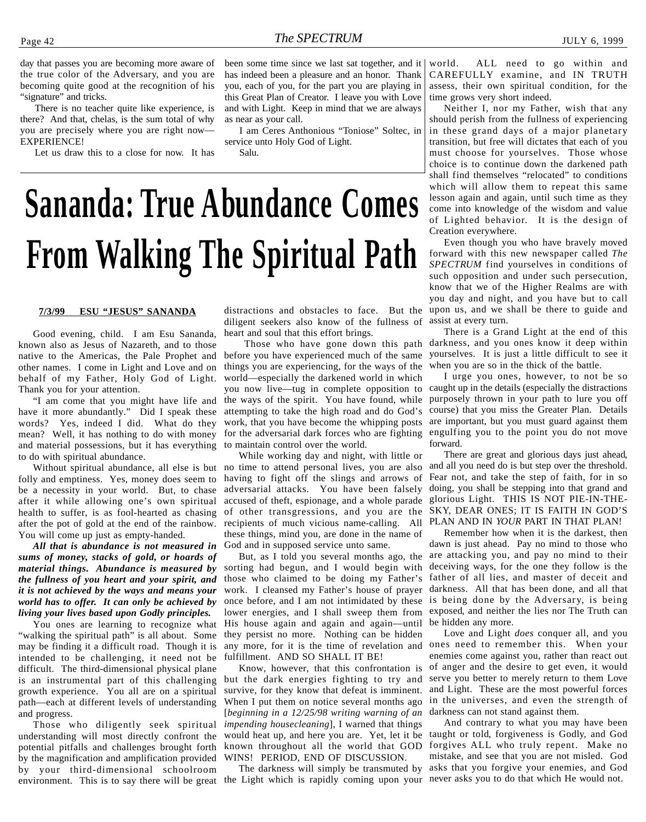<span id="page-41-0"></span>day that passes you are becoming more aware of the true color of the Adversary, and you are becoming quite good at the recognition of his "signature" and tricks.

There is no teacher quite like experience, is there? And that, chelas, is the sum total of why you are precisely where you are right now— EXPERIENCE!

Let us draw this to a close for now. It has

been some time since we last sat together, and it has indeed been a pleasure and an honor. Thank you, each of you, for the part you are playing in this Great Plan of Creator. I leave you with Love and with Light. Keep in mind that we are always as near as your call.

I am Ceres Anthonious "Toniose" Soltec, in service unto Holy God of Light.

Salu.

## **Sananda: True Abundance Comes From Walking The Spiritual Path**

#### **7/3/99 ESU "JESUS" SANANDA**

Good evening, child. I am Esu Sananda, known also as Jesus of Nazareth, and to those native to the Americas, the Pale Prophet and other names. I come in Light and Love and on behalf of my Father, Holy God of Light. Thank you for your attention.

"I am come that you might have life and have it more abundantly." Did I speak these words? Yes, indeed I did. What do they mean? Well, it has nothing to do with money and material possessions, but it has everything to do with spiritual abundance.

folly and emptiness. Yes, money does seem to be a necessity in your world. But, to chase after it while allowing one's own spiritual health to suffer, is as fool-hearted as chasing after the pot of gold at the end of the rainbow. You will come up just as empty-handed.

*All that is abundance is not measured in sums of money, stacks of gold, or hoards of material things. Abundance is measured by the fullness of you heart and your spirit, and it is not achieved by the ways and means your world has to offer. It can only be achieved by living your lives based upon Godly principles.*

You ones are learning to recognize what "walking the spiritual path" is all about. Some may be finding it a difficult road. Though it is intended to be challenging, it need not be difficult. The third-dimensional physical plane is an instrumental part of this challenging growth experience. You all are on a spiritual path—each at different levels of understanding and progress.

environment. This is to say there will be great the Light which is rapidly coming upon your never asks you to do that which He would not. Those who diligently seek spiritual understanding will most directly confront the potential pitfalls and challenges brought forth by the magnification and amplification provided by your third-dimensional schoolroom

diligent seekers also know of the fullness of heart and soul that this effort brings.

before you have experienced much of the same things you are experiencing, for the ways of the world—especially the darkened world in which you now live—tug in complete opposition to the ways of the spirit. You have found, while attempting to take the high road and do God's work, that you have become the whipping posts for the adversarial dark forces who are fighting engulfing you to the point you do not move to maintain control over the world.

While working day and night, with little or Without spiritual abundance, all else is but no time to attend personal lives, you are also having to fight off the slings and arrows of adversarial attacks. You have been falsely accused of theft, espionage, and a whole parade of other transgressions, and you are the recipients of much vicious name-calling. All PLAN AND IN *YOUR* PART IN THAT PLAN! these things, mind you, are done in the name of God and in supposed service unto same.

> But, as I told you several months ago, the sorting had begun, and I would begin with those who claimed to be doing my Father's work. I cleansed my Father's house of prayer once before, and I am not intimidated by these lower energies, and I shall sweep them from His house again and again and again—until they persist no more. Nothing can be hidden any more, for it is the time of revelation and fulfillment. AND SO SHALL IT BE!

> Know, however, that this confrontation is but the dark energies fighting to try and survive, for they know that defeat is imminent. When I put them on notice several months ago [*beginning in a 12/25/98 writing warning of an impending housecleaning*], I warned that things WINS! PERIOD, END OF DISCUSSION.

The darkness will simply be transmuted by

world. ALL need to go within and CAREFULLY examine, and IN TRUTH assess, their own spiritual condition, for the time grows very short indeed.

Neither I, nor my Father, wish that any should perish from the fullness of experiencing in these grand days of a major planetary transition, but free will dictates that each of you must choose for yourselves. Those whose choice is to continue down the darkened path shall find themselves "relocated" to conditions which will allow them to repeat this same lesson again and again, until such time as they come into knowledge of the wisdom and value of Lighted behavior. It is the design of Creation everywhere.

distractions and obstacles to face. But the upon us, and we shall be there to guide and Even though you who have bravely moved forward with this new newspaper called *The SPECTRUM* find yourselves in conditions of such opposition and under such persecution, know that we of the Higher Realms are with you day and night, and you have but to call assist at every turn.

 Those who have gone down this path darkness, and you ones know it deep within There is a Grand Light at the end of this yourselves. It is just a little difficult to see it when you are so in the thick of the battle.

> I urge you ones, however, to not be so caught up in the details (especially the distractions purposely thrown in your path to lure you off course) that you miss the Greater Plan. Details are important, but you must guard against them forward.

> There are great and glorious days just ahead, and all you need do is but step over the threshold. Fear not, and take the step of faith, for in so doing, you shall be stepping into that grand and glorious Light. THIS IS NOT PIE-IN-THE-SKY, DEAR ONES; IT IS FAITH IN GOD'S

> Remember how when it is the darkest, then dawn is just ahead. Pay no mind to those who are attacking you, and pay no mind to their deceiving ways, for the one they follow is the father of all lies, and master of deceit and darkness. All that has been done, and all that is being done by the Adversary, is being exposed, and neither the lies nor The Truth can be hidden any more.

> Love and Light *does* conquer all, and you ones need to remember this. When your enemies come against you, rather than react out of anger and the desire to get even, it would serve you better to merely return to them Love and Light. These are the most powerful forces in the universes, and even the strength of darkness can not stand against them.

would heat up, and here you are. Yet, let it be taught or told, forgiveness is Godly, and God known throughout all the world that GOD forgives ALL who truly repent. Make no And contrary to what you may have been mistake, and see that you are not misled. God asks that you forgive your enemies, and God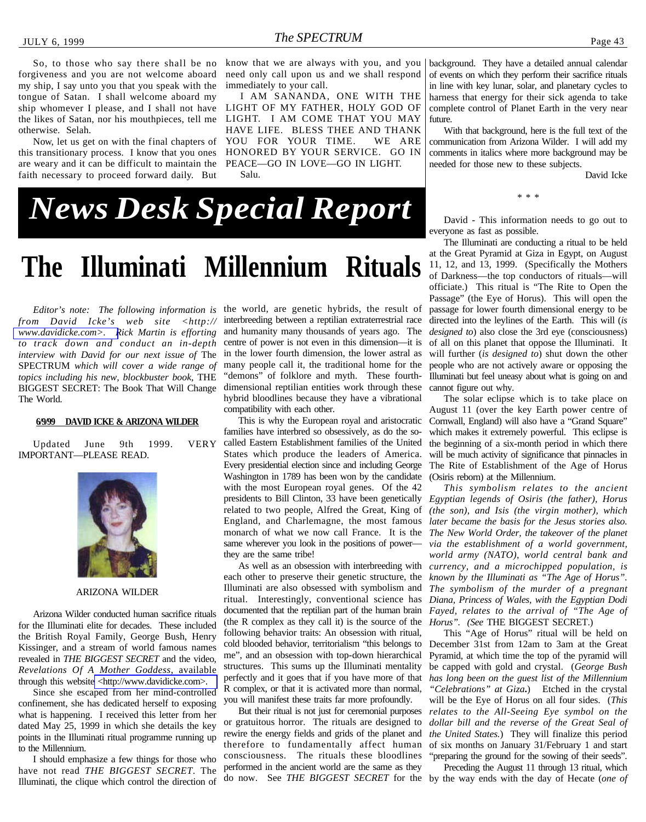<span id="page-42-0"></span>So, to those who say there shall be no forgiveness and you are not welcome aboard my ship, I say unto you that you speak with the tongue of Satan. I shall welcome aboard my ship whomever I please, and I shall not have the likes of Satan, nor his mouthpieces, tell me otherwise. Selah.

Now, let us get on with the final chapters of this transitionary process. I know that you ones are weary and it can be difficult to maintain the faith necessary to proceed forward daily. But

know that we are always with you, and you need only call upon us and we shall respond immediately to your call.

I AM SANANDA, ONE WITH THE LIGHT OF MY FATHER, HOLY GOD OF LIGHT. I AM COME THAT YOU MAY HAVE LIFE. BLESS THEE AND THANK YOU FOR YOUR TIME. WE ARE HONORED BY YOUR SERVICE. GO IN PEACE—GO IN LOVE—GO IN LIGHT. Salu.

background. They have a detailed annual calendar of events on which they perform their sacrifice rituals in line with key lunar, solar, and planetary cycles to harness that energy for their sick agenda to take complete control of Planet Earth in the very near future.

With that background, here is the full text of the communication from Arizona Wilder. I will add my comments in italics where more background may be needed for those new to these subjects.

David Icke

## *News Desk Special Report*

### **The Illuminati Millennium Rituals**

*from David Icke's web site <http:// [www.davidicke.com>. R](http://www.davidicke.com)ick Martin is efforting to track down and conduct an in-depth interview with David for our next issue of* The SPECTRUM *which will cover a wide range of topics including his new, blockbuster book,* THE BIGGEST SECRET: The Book That Will Change The World.

#### **DAVID ICKE & ARIZONA WILDER**

Updated June 9th 1999. VERY IMPORTANT—PLEASE READ.



#### ARIZONA WILDER

Arizona Wilder conducted human sacrifice rituals for the Illuminati elite for decades. These included the British Royal Family, George Bush, Henry Kissinger, and a stream of world famous names revealed in *THE BIGGEST SECRET* and the video, *Revelations Of A Mother Goddess*, available through this websit[e <http://www.davidicke.com>.](http://www.davidicke.com)

Since she escaped from her mind-controlled confinement, she has dedicated herself to exposing what is happening. I received this letter from her dated May 25, 1999 in which she details the key points in the Illuminati ritual programme running up to the Millennium.

I should emphasize a few things for those who have not read *THE BIGGEST SECRET*. The Illuminati, the clique which control the direction of

*Editor's note: The following information is* the world, are genetic hybrids, the result of interbreeding between a reptilian extraterrestrial race and humanity many thousands of years ago. The centre of power is not even in this dimension—it is in the lower fourth dimension, the lower astral as many people call it, the traditional home for the "demons" of folklore and myth. These fourthdimensional reptilian entities work through these hybrid bloodlines because they have a vibrational compatibility with each other.

> This is why the European royal and aristocratic families have interbred so obsessively, as do the socalled Eastern Establishment families of the United States which produce the leaders of America. Every presidential election since and including George Washington in 1789 has been won by the candidate with the most European royal genes. Of the 42 presidents to Bill Clinton, 33 have been genetically *Egyptian legends of Osiris (the father), Horus* related to two people, Alfred the Great, King of England, and Charlemagne, the most famous monarch of what we now call France. It is the same wherever you look in the positions of power they are the same tribe!

As well as an obsession with interbreeding with each other to preserve their genetic structure, the Illuminati are also obsessed with symbolism and ritual. Interestingly, conventional science has documented that the reptilian part of the human brain (the R complex as they call it) is the source of the following behavior traits: An obsession with ritual, cold blooded behavior, territorialism "this belongs to me", and an obsession with top-down hierarchical structures. This sums up the Illuminati mentality perfectly and it goes that if you have more of that R complex, or that it is activated more than normal, you will manifest these traits far more profoundly.

But their ritual is not just for ceremonial purposes or gratuitous horror. The rituals are designed to rewire the energy fields and grids of the planet and therefore to fundamentally affect human consciousness. The rituals these bloodlines performed in the ancient world are the same as they

David - This information needs to go out to everyone as fast as possible.

\* \* \*

The Illuminati are conducting a ritual to be held at the Great Pyramid at Giza in Egypt, on August 11, 12, and 13, 1999. (Specifically the Mothers of Darkness—the top conductors of rituals—will officiate.) This ritual is "The Rite to Open the Passage" (the Eye of Horus). This will open the passage for lower fourth dimensional energy to be directed into the leylines of the Earth. This will (*is designed to*) also close the 3rd eye (consciousness) of all on this planet that oppose the Illuminati. It will further (*is designed to*) shut down the other people who are not actively aware or opposing the Illuminati but feel uneasy about what is going on and cannot figure out why.

The solar eclipse which is to take place on August 11 (over the key Earth power centre of Cornwall, England) will also have a "Grand Square" which makes it extremely powerful. This eclipse is the beginning of a six-month period in which there will be much activity of significance that pinnacles in The Rite of Establishment of the Age of Horus (Osiris reborn) at the Millennium.

*This symbolism relates to the ancient (the son), and Isis (the virgin mother), which later became the basis for the Jesus stories also. The New World Order, the takeover of the planet via the establishment of a world government, world army (NATO), world central bank and currency, and a microchipped population, is known by the Illuminati as "The Age of Horus". The symbolism of the murder of a pregnant Diana, Princess of Wales, with the Egyptian Dodi Fayed, relates to the arrival of "The Age of Horus". (See* THE BIGGEST SECRET.)

This "Age of Horus" ritual will be held on December 31st from 12am to 3am at the Great Pyramid, at which time the top of the pyramid will be capped with gold and crystal. (*George Bush has long been on the guest list of the Millennium "Celebrations" at Giza***.**)Etched in the crystal will be the Eye of Horus on all four sides. (*This relates to the All-Seeing Eye symbol on the dollar bill and the reverse of the Great Seal of the United States.*)They will finalize this period of six months on January 31/February 1 and start "preparing the ground for the sowing of their seeds".

do now. See *THE BIGGEST SECRET* for the by the way ends with the day of Hecate (*one of* Preceding the August 11 through 13 ritual, which